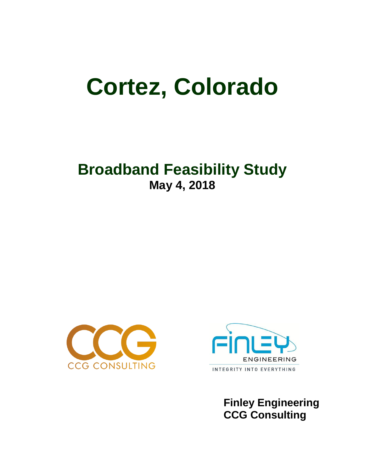# **Cortez, Colorado**

## **Broadband Feasibility Study May 4, 2018**





 **Finley Engineering CCG Consulting**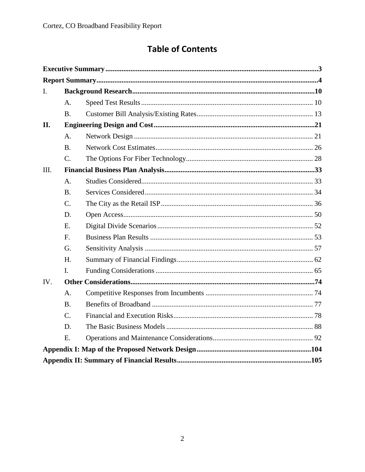## **Table of Contents**

| I.   |                |  |  |
|------|----------------|--|--|
|      | A.             |  |  |
|      | <b>B.</b>      |  |  |
| II.  |                |  |  |
|      | A.             |  |  |
|      | B.             |  |  |
|      | C.             |  |  |
| III. |                |  |  |
|      | A <sub>1</sub> |  |  |
|      | <b>B.</b>      |  |  |
|      | $C_{\cdot}$    |  |  |
|      | D.             |  |  |
|      | E.             |  |  |
|      | F.             |  |  |
|      | G.             |  |  |
|      | H.             |  |  |
|      | I.             |  |  |
| IV.  |                |  |  |
|      | A <sub>1</sub> |  |  |
|      | <b>B.</b>      |  |  |
|      | $C_{\cdot}$    |  |  |
|      | D.             |  |  |
|      | E.             |  |  |
|      |                |  |  |
|      |                |  |  |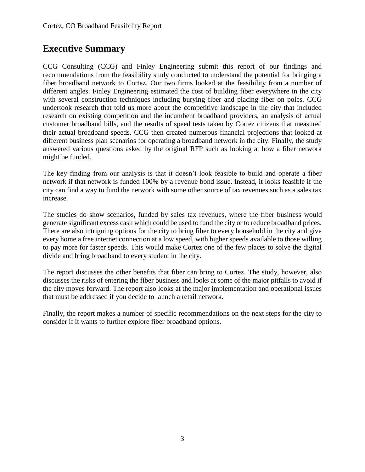## **Executive Summary**

CCG Consulting (CCG) and Finley Engineering submit this report of our findings and recommendations from the feasibility study conducted to understand the potential for bringing a fiber broadband network to Cortez. Our two firms looked at the feasibility from a number of different angles. Finley Engineering estimated the cost of building fiber everywhere in the city with several construction techniques including burying fiber and placing fiber on poles. CCG undertook research that told us more about the competitive landscape in the city that included research on existing competition and the incumbent broadband providers, an analysis of actual customer broadband bills, and the results of speed tests taken by Cortez citizens that measured their actual broadband speeds. CCG then created numerous financial projections that looked at different business plan scenarios for operating a broadband network in the city. Finally, the study answered various questions asked by the original RFP such as looking at how a fiber network might be funded.

The key finding from our analysis is that it doesn't look feasible to build and operate a fiber network if that network is funded 100% by a revenue bond issue. Instead, it looks feasible if the city can find a way to fund the network with some other source of tax revenues such as a sales tax increase.

The studies do show scenarios, funded by sales tax revenues, where the fiber business would generate significant excess cash which could be used to fund the city or to reduce broadband prices. There are also intriguing options for the city to bring fiber to every household in the city and give every home a free internet connection at a low speed, with higher speeds available to those willing to pay more for faster speeds. This would make Cortez one of the few places to solve the digital divide and bring broadband to every student in the city.

The report discusses the other benefits that fiber can bring to Cortez. The study, however, also discusses the risks of entering the fiber business and looks at some of the major pitfalls to avoid if the city moves forward. The report also looks at the major implementation and operational issues that must be addressed if you decide to launch a retail network.

Finally, the report makes a number of specific recommendations on the next steps for the city to consider if it wants to further explore fiber broadband options.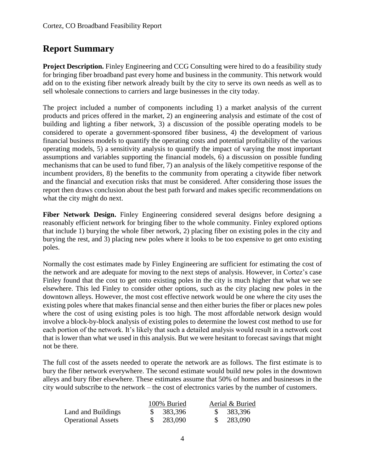## **Report Summary**

**Project Description.** Finley Engineering and CCG Consulting were hired to do a feasibility study for bringing fiber broadband past every home and business in the community. This network would add on to the existing fiber network already built by the city to serve its own needs as well as to sell wholesale connections to carriers and large businesses in the city today.

The project included a number of components including 1) a market analysis of the current products and prices offered in the market, 2) an engineering analysis and estimate of the cost of building and lighting a fiber network, 3) a discussion of the possible operating models to be considered to operate a government-sponsored fiber business, 4) the development of various financial business models to quantify the operating costs and potential profitability of the various operating models, 5) a sensitivity analysis to quantify the impact of varying the most important assumptions and variables supporting the financial models, 6) a discussion on possible funding mechanisms that can be used to fund fiber, 7) an analysis of the likely competitive response of the incumbent providers, 8) the benefits to the community from operating a citywide fiber network and the financial and execution risks that must be considered. After considering those issues the report then draws conclusion about the best path forward and makes specific recommendations on what the city might do next.

Fiber Network Design. Finley Engineering considered several designs before designing a reasonably efficient network for bringing fiber to the whole community. Finley explored options that include 1) burying the whole fiber network, 2) placing fiber on existing poles in the city and burying the rest, and 3) placing new poles where it looks to be too expensive to get onto existing poles.

Normally the cost estimates made by Finley Engineering are sufficient for estimating the cost of the network and are adequate for moving to the next steps of analysis. However, in Cortez's case Finley found that the cost to get onto existing poles in the city is much higher that what we see elsewhere. This led Finley to consider other options, such as the city placing new poles in the downtown alleys. However, the most cost effective network would be one where the city uses the existing poles where that makes financial sense and then either buries the fiber or places new poles where the cost of using existing poles is too high. The most affordable network design would involve a block-by-block analysis of existing poles to determine the lowest cost method to use for each portion of the network. It's likely that such a detailed analysis would result in a network cost that is lower than what we used in this analysis. But we were hesitant to forecast savings that might not be there.

The full cost of the assets needed to operate the network are as follows. The first estimate is to bury the fiber network everywhere. The second estimate would build new poles in the downtown alleys and bury fiber elsewhere. These estimates assume that 50% of homes and businesses in the city would subscribe to the network – the cost of electronics varies by the number of customers.

|                           | 100% Buried | Aerial & Buried |
|---------------------------|-------------|-----------------|
| Land and Buildings        | \$383,396   | \$ 383,396      |
| <b>Operational Assets</b> | \$ 283,090  | \$283,090       |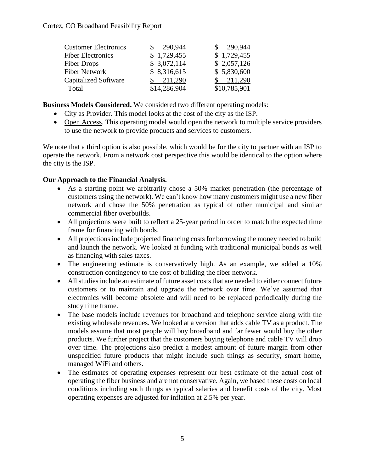| <b>Customer Electronics</b> | 290,944      | 290,944      |
|-----------------------------|--------------|--------------|
| <b>Fiber Electronics</b>    | \$1,729,455  | \$1,729,455  |
| <b>Fiber Drops</b>          | \$3,072,114  | \$2,057,126  |
| <b>Fiber Network</b>        | \$8,316,615  | \$5,830,600  |
| <b>Capitalized Software</b> | 211,290      | 211,290      |
| Total                       | \$14,286,904 | \$10,785,901 |

**Business Models Considered.** We considered two different operating models:

- City as Provider. This model looks at the cost of the city as the ISP.
- Open Access. This operating model would open the network to multiple service providers to use the network to provide products and services to customers.

We note that a third option is also possible, which would be for the city to partner with an ISP to operate the network. From a network cost perspective this would be identical to the option where the city is the ISP.

## **Our Approach to the Financial Analysis.**

- As a starting point we arbitrarily chose a 50% market penetration (the percentage of customers using the network). We can't know how many customers might use a new fiber network and chose the 50% penetration as typical of other municipal and similar commercial fiber overbuilds.
- All projections were built to reflect a 25-year period in order to match the expected time frame for financing with bonds.
- All projections include projected financing costs for borrowing the money needed to build and launch the network. We looked at funding with traditional municipal bonds as well as financing with sales taxes.
- The engineering estimate is conservatively high. As an example, we added a 10% construction contingency to the cost of building the fiber network.
- All studies include an estimate of future asset costs that are needed to either connect future customers or to maintain and upgrade the network over time. We've assumed that electronics will become obsolete and will need to be replaced periodically during the study time frame.
- The base models include revenues for broadband and telephone service along with the existing wholesale revenues. We looked at a version that adds cable TV as a product. The models assume that most people will buy broadband and far fewer would buy the other products. We further project that the customers buying telephone and cable TV will drop over time. The projections also predict a modest amount of future margin from other unspecified future products that might include such things as security, smart home, managed WiFi and others.
- The estimates of operating expenses represent our best estimate of the actual cost of operating the fiber business and are not conservative. Again, we based these costs on local conditions including such things as typical salaries and benefit costs of the city. Most operating expenses are adjusted for inflation at 2.5% per year.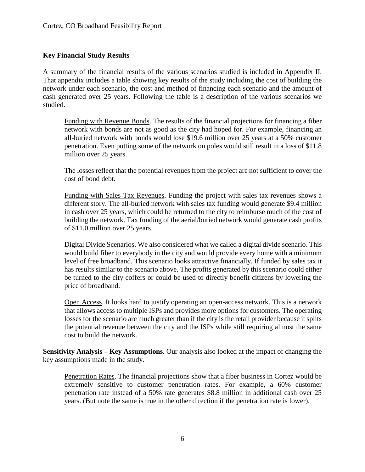## **Key Financial Study Results**

A summary of the financial results of the various scenarios studied is included in Appendix II. That appendix includes a table showing key results of the study including the cost of building the network under each scenario, the cost and method of financing each scenario and the amount of cash generated over 25 years. Following the table is a description of the various scenarios we studied.

Funding with Revenue Bonds. The results of the financial projections for financing a fiber network with bonds are not as good as the city had hoped for. For example, financing an all-buried network with bonds would lose \$19.6 million over 25 years at a 50% customer penetration. Even putting some of the network on poles would still result in a loss of \$11.8 million over 25 years.

The losses reflect that the potential revenues from the project are not sufficient to cover the cost of bond debt.

Funding with Sales Tax Revenues. Funding the project with sales tax revenues shows a different story. The all-buried network with sales tax funding would generate \$9.4 million in cash over 25 years, which could be returned to the city to reimburse much of the cost of building the network. Tax funding of the aerial/buried network would generate cash profits of \$11.0 million over 25 years.

Digital Divide Scenarios. We also considered what we called a digital divide scenario. This would build fiber to everybody in the city and would provide every home with a minimum level of free broadband. This scenario looks attractive financially. If funded by sales tax it has results similar to the scenario above. The profits generated by this scenario could either be turned to the city coffers or could be used to directly benefit citizens by lowering the price of broadband.

Open Access. It looks hard to justify operating an open-access network. This is a network that allows access to multiple ISPs and provides more options for customers. The operating losses for the scenario are much greater than if the city is the retail provider because it splits the potential revenue between the city and the ISPs while still requiring almost the same cost to build the network.

**Sensitivity Analysis – Key Assumptions**. Our analysis also looked at the impact of changing the key assumptions made in the study.

Penetration Rates. The financial projections show that a fiber business in Cortez would be extremely sensitive to customer penetration rates. For example, a 60% customer penetration rate instead of a 50% rate generates \$8.8 million in additional cash over 25 years. (But note the same is true in the other direction if the penetration rate is lower).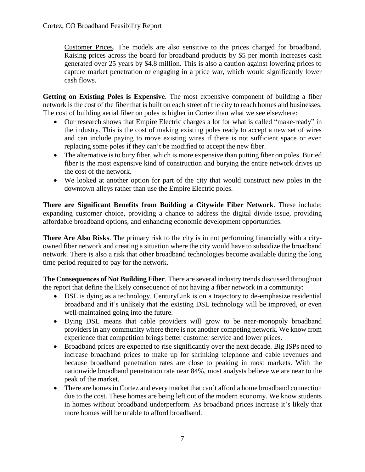Customer Prices. The models are also sensitive to the prices charged for broadband. Raising prices across the board for broadband products by \$5 per month increases cash generated over 25 years by \$4.8 million. This is also a caution against lowering prices to capture market penetration or engaging in a price war, which would significantly lower cash flows.

**Getting on Existing Poles is Expensive**. The most expensive component of building a fiber network is the cost of the fiber that is built on each street of the city to reach homes and businesses. The cost of building aerial fiber on poles is higher in Cortez than what we see elsewhere:

- Our research shows that Empire Electric charges a lot for what is called "make-ready" in the industry. This is the cost of making existing poles ready to accept a new set of wires and can include paying to move existing wires if there is not sufficient space or even replacing some poles if they can't be modified to accept the new fiber.
- The alternative is to bury fiber, which is more expensive than putting fiber on poles. Buried fiber is the most expensive kind of construction and burying the entire network drives up the cost of the network.
- We looked at another option for part of the city that would construct new poles in the downtown alleys rather than use the Empire Electric poles.

**There are Significant Benefits from Building a Citywide Fiber Network**. These include: expanding customer choice, providing a chance to address the digital divide issue, providing affordable broadband options, and enhancing economic development opportunities.

**There Are Also Risks**. The primary risk to the city is in not performing financially with a cityowned fiber network and creating a situation where the city would have to subsidize the broadband network. There is also a risk that other broadband technologies become available during the long time period required to pay for the network.

**The Consequences of Not Building Fiber**. There are several industry trends discussed throughout the report that define the likely consequence of not having a fiber network in a community:

- DSL is dying as a technology. CenturyLink is on a trajectory to de-emphasize residential broadband and it's unlikely that the existing DSL technology will be improved, or even well-maintained going into the future.
- Dying DSL means that cable providers will grow to be near-monopoly broadband providers in any community where there is not another competing network. We know from experience that competition brings better customer service and lower prices.
- Broadband prices are expected to rise significantly over the next decade. Big ISPs need to increase broadband prices to make up for shrinking telephone and cable revenues and because broadband penetration rates are close to peaking in most markets. With the nationwide broadband penetration rate near 84%, most analysts believe we are near to the peak of the market.
- There are homes in Cortez and every market that can't afford a home broadband connection due to the cost. These homes are being left out of the modern economy. We know students in homes without broadband underperform. As broadband prices increase it's likely that more homes will be unable to afford broadband.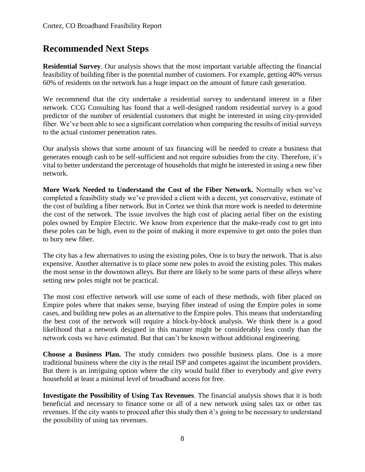## **Recommended Next Steps**

**Residential Survey**. Our analysis shows that the most important variable affecting the financial feasibility of building fiber is the potential number of customers. For example, getting 40% versus 60% of residents on the network has a huge impact on the amount of future cash generation.

We recommend that the city undertake a residential survey to understand interest in a fiber network. CCG Consulting has found that a well-designed random residential survey is a good predictor of the number of residential customers that might be interested in using city-provided fiber. We've been able to see a significant correlation when comparing the results of initial surveys to the actual customer penetration rates.

Our analysis shows that some amount of tax financing will be needed to create a business that generates enough cash to be self-sufficient and not require subsidies from the city. Therefore, it's vital to better understand the percentage of households that might be interested in using a new fiber network.

**More Work Needed to Understand the Cost of the Fiber Network.** Normally when we've completed a feasibility study we've provided a client with a decent, yet conservative, estimate of the cost of building a fiber network. But in Cortez we think that more work is needed to determine the cost of the network. The issue involves the high cost of placing aerial fiber on the existing poles owned by Empire Electric. We know from experience that the make-ready cost to get into these poles can be high, even to the point of making it more expensive to get onto the poles than to bury new fiber.

The city has a few alternatives to using the existing poles. One is to bury the network. That is also expensive. Another alternative is to place some new poles to avoid the existing poles. This makes the most sense in the downtown alleys. But there are likely to be some parts of these alleys where setting new poles might not be practical.

The most cost effective network will use some of each of these methods, with fiber placed on Empire poles where that makes sense, burying fiber instead of using the Empire poles in some cases, and building new poles as an alternative to the Empire poles. This means that understanding the best cost of the network will require a block-by-block analysis. We think there is a good likelihood that a network designed in this manner might be considerably less costly than the network costs we have estimated. But that can't be known without additional engineering.

**Choose a Business Plan.** The study considers two possible business plans. One is a more traditional business where the city is the retail ISP and competes against the incumbent providers. But there is an intriguing option where the city would build fiber to everybody and give every household at least a minimal level of broadband access for free.

**Investigate the Possibility of Using Tax Revenues**. The financial analysis shows that it is both beneficial and necessary to finance some or all of a new network using sales tax or other tax revenues. If the city wants to proceed after this study then it's going to be necessary to understand the possibility of using tax revenues.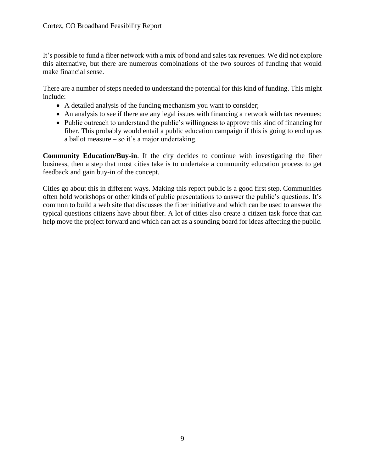It's possible to fund a fiber network with a mix of bond and sales tax revenues. We did not explore this alternative, but there are numerous combinations of the two sources of funding that would make financial sense.

There are a number of steps needed to understand the potential for this kind of funding. This might include:

- A detailed analysis of the funding mechanism you want to consider;
- An analysis to see if there are any legal issues with financing a network with tax revenues;
- Public outreach to understand the public's willingness to approve this kind of financing for fiber. This probably would entail a public education campaign if this is going to end up as a ballot measure – so it's a major undertaking.

**Community Education/Buy-in**. If the city decides to continue with investigating the fiber business, then a step that most cities take is to undertake a community education process to get feedback and gain buy-in of the concept.

Cities go about this in different ways. Making this report public is a good first step. Communities often hold workshops or other kinds of public presentations to answer the public's questions. It's common to build a web site that discusses the fiber initiative and which can be used to answer the typical questions citizens have about fiber. A lot of cities also create a citizen task force that can help move the project forward and which can act as a sounding board for ideas affecting the public.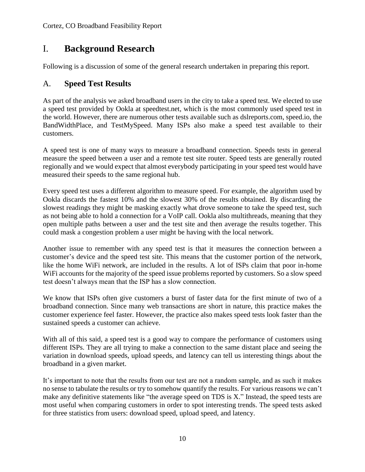## I. **Background Research**

Following is a discussion of some of the general research undertaken in preparing this report.

## A. **Speed Test Results**

As part of the analysis we asked broadband users in the city to take a speed test. We elected to use a speed test provided by Ookla at speedtest.net, which is the most commonly used speed test in the world. However, there are numerous other tests available such as dslreports.com, speed.io, the BandWidthPlace, and TestMySpeed. Many ISPs also make a speed test available to their customers.

A speed test is one of many ways to measure a broadband connection. Speeds tests in general measure the speed between a user and a remote test site router. Speed tests are generally routed regionally and we would expect that almost everybody participating in your speed test would have measured their speeds to the same regional hub.

Every speed test uses a different algorithm to measure speed. For example, the algorithm used by Ookla discards the fastest 10% and the slowest 30% of the results obtained. By discarding the slowest readings they might be masking exactly what drove someone to take the speed test, such as not being able to hold a connection for a VoIP call. Ookla also multithreads, meaning that they open multiple paths between a user and the test site and then average the results together. This could mask a congestion problem a user might be having with the local network.

Another issue to remember with any speed test is that it measures the connection between a customer's device and the speed test site. This means that the customer portion of the network, like the home WiFi network, are included in the results. A lot of ISPs claim that poor in-home WiFi accounts for the majority of the speed issue problems reported by customers. So a slow speed test doesn't always mean that the ISP has a slow connection.

We know that ISPs often give customers a burst of faster data for the first minute of two of a broadband connection. Since many web transactions are short in nature, this practice makes the customer experience feel faster. However, the practice also makes speed tests look faster than the sustained speeds a customer can achieve.

With all of this said, a speed test is a good way to compare the performance of customers using different ISPs. They are all trying to make a connection to the same distant place and seeing the variation in download speeds, upload speeds, and latency can tell us interesting things about the broadband in a given market.

It's important to note that the results from our test are not a random sample, and as such it makes no sense to tabulate the results or try to somehow quantify the results. For various reasons we can't make any definitive statements like "the average speed on TDS is X." Instead, the speed tests are most useful when comparing customers in order to spot interesting trends. The speed tests asked for three statistics from users: download speed, upload speed, and latency.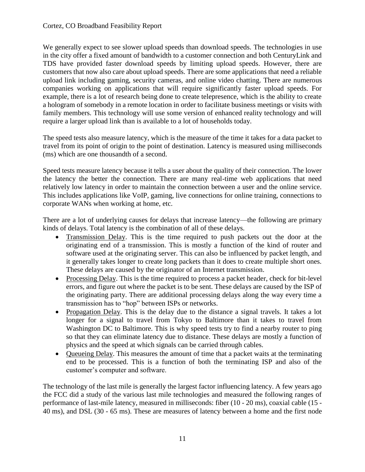We generally expect to see slower upload speeds than download speeds. The technologies in use in the city offer a fixed amount of bandwidth to a customer connection and both CenturyLink and TDS have provided faster download speeds by limiting upload speeds. However, there are customers that now also care about upload speeds. There are some applications that need a reliable upload link including gaming, security cameras, and online video chatting. There are numerous companies working on applications that will require significantly faster upload speeds. For example, there is a lot of research being done to create telepresence, which is the ability to create a hologram of somebody in a remote location in order to facilitate business meetings or visits with family members. This technology will use some version of enhanced reality technology and will require a larger upload link than is available to a lot of households today.

The speed tests also measure latency, which is the measure of the time it takes for a data packet to travel from its point of origin to the point of destination. Latency is measured using milliseconds (ms) which are one thousandth of a second.

Speed tests measure latency because it tells a user about the quality of their connection. The lower the latency the better the connection. There are many real-time web applications that need relatively low latency in order to maintain the connection between a user and the online service. This includes applications like VoIP, gaming, live connections for online training, connections to corporate WANs when working at home, etc.

There are a lot of underlying causes for delays that increase latency—the following are primary kinds of delays. Total latency is the combination of all of these delays.

- Transmission Delay. This is the time required to push packets out the door at the originating end of a transmission. This is mostly a function of the kind of router and software used at the originating server. This can also be influenced by packet length, and it generally takes longer to create long packets than it does to create multiple short ones. These delays are caused by the originator of an Internet transmission.
- Processing Delay. This is the time required to process a packet header, check for bit-level errors, and figure out where the packet is to be sent. These delays are caused by the ISP of the originating party. There are additional processing delays along the way every time a transmission has to "hop" between ISPs or networks.
- Propagation Delay. This is the delay due to the distance a signal travels. It takes a lot longer for a signal to travel from Tokyo to Baltimore than it takes to travel from Washington DC to Baltimore. This is why speed tests try to find a nearby router to ping so that they can eliminate latency due to distance. These delays are mostly a function of physics and the speed at which signals can be carried through cables.
- Oueueing Delay. This measures the amount of time that a packet waits at the terminating end to be processed. This is a function of both the terminating ISP and also of the customer's computer and software.

The technology of the last mile is generally the largest factor influencing latency. A few years ago the FCC did a study of the various last mile technologies and measured the following ranges of performance of last-mile latency, measured in milliseconds: fiber (10 - 20 ms), coaxial cable (15 - 40 ms), and DSL (30 - 65 ms). These are measures of latency between a home and the first node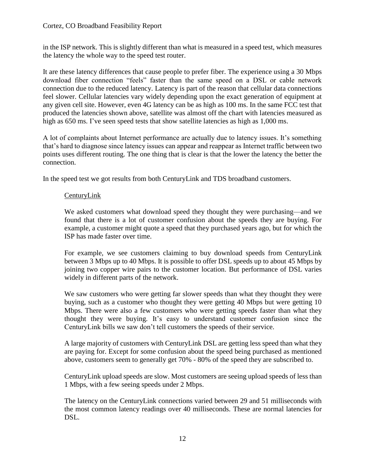in the ISP network. This is slightly different than what is measured in a speed test, which measures the latency the whole way to the speed test router.

It are these latency differences that cause people to prefer fiber. The experience using a 30 Mbps download fiber connection "feels" faster than the same speed on a DSL or cable network connection due to the reduced latency. Latency is part of the reason that cellular data connections feel slower. Cellular latencies vary widely depending upon the exact generation of equipment at any given cell site. However, even 4G latency can be as high as 100 ms. In the same FCC test that produced the latencies shown above, satellite was almost off the chart with latencies measured as high as 650 ms. I've seen speed tests that show satellite latencies as high as 1,000 ms.

A lot of complaints about Internet performance are actually due to latency issues. It's something that's hard to diagnose since latency issues can appear and reappear as Internet traffic between two points uses different routing. The one thing that is clear is that the lower the latency the better the connection.

In the speed test we got results from both CenturyLink and TDS broadband customers.

## CenturyLink

We asked customers what download speed they thought they were purchasing—and we found that there is a lot of customer confusion about the speeds they are buying. For example, a customer might quote a speed that they purchased years ago, but for which the ISP has made faster over time.

For example, we see customers claiming to buy download speeds from CenturyLink between 3 Mbps up to 40 Mbps. It is possible to offer DSL speeds up to about 45 Mbps by joining two copper wire pairs to the customer location. But performance of DSL varies widely in different parts of the network.

We saw customers who were getting far slower speeds than what they thought they were buying, such as a customer who thought they were getting 40 Mbps but were getting 10 Mbps. There were also a few customers who were getting speeds faster than what they thought they were buying. It's easy to understand customer confusion since the CenturyLink bills we saw don't tell customers the speeds of their service.

A large majority of customers with CenturyLink DSL are getting less speed than what they are paying for. Except for some confusion about the speed being purchased as mentioned above, customers seem to generally get 70% - 80% of the speed they are subscribed to.

CenturyLink upload speeds are slow. Most customers are seeing upload speeds of less than 1 Mbps, with a few seeing speeds under 2 Mbps.

The latency on the CenturyLink connections varied between 29 and 51 milliseconds with the most common latency readings over 40 milliseconds. These are normal latencies for DSL.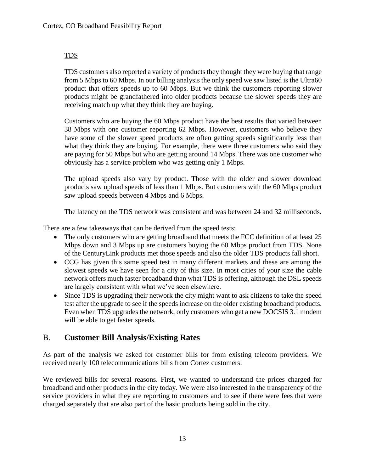## TDS

TDS customers also reported a variety of products they thought they were buying that range from 5 Mbps to 60 Mbps. In our billing analysis the only speed we saw listed is the Ultra60 product that offers speeds up to 60 Mbps. But we think the customers reporting slower products might be grandfathered into older products because the slower speeds they are receiving match up what they think they are buying.

Customers who are buying the 60 Mbps product have the best results that varied between 38 Mbps with one customer reporting 62 Mbps. However, customers who believe they have some of the slower speed products are often getting speeds significantly less than what they think they are buying. For example, there were three customers who said they are paying for 50 Mbps but who are getting around 14 Mbps. There was one customer who obviously has a service problem who was getting only 1 Mbps.

The upload speeds also vary by product. Those with the older and slower download products saw upload speeds of less than 1 Mbps. But customers with the 60 Mbps product saw upload speeds between 4 Mbps and 6 Mbps.

The latency on the TDS network was consistent and was between 24 and 32 milliseconds.

There are a few takeaways that can be derived from the speed tests:

- The only customers who are getting broadband that meets the FCC definition of at least 25 Mbps down and 3 Mbps up are customers buying the 60 Mbps product from TDS. None of the CenturyLink products met those speeds and also the older TDS products fall short.
- CCG has given this same speed test in many different markets and these are among the slowest speeds we have seen for a city of this size. In most cities of your size the cable network offers much faster broadband than what TDS is offering, although the DSL speeds are largely consistent with what we've seen elsewhere.
- Since TDS is upgrading their network the city might want to ask citizens to take the speed test after the upgrade to see if the speeds increase on the older existing broadband products. Even when TDS upgrades the network, only customers who get a new DOCSIS 3.1 modem will be able to get faster speeds.

## B. **Customer Bill Analysis/Existing Rates**

As part of the analysis we asked for customer bills for from existing telecom providers. We received nearly 100 telecommunications bills from Cortez customers.

We reviewed bills for several reasons. First, we wanted to understand the prices charged for broadband and other products in the city today. We were also interested in the transparency of the service providers in what they are reporting to customers and to see if there were fees that were charged separately that are also part of the basic products being sold in the city.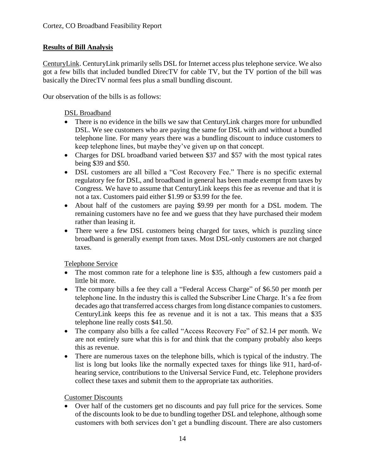## **Results of Bill Analysis**

CenturyLink. CenturyLink primarily sells DSL for Internet access plus telephone service. We also got a few bills that included bundled DirecTV for cable TV, but the TV portion of the bill was basically the DirecTV normal fees plus a small bundling discount.

Our observation of the bills is as follows:

## DSL Broadband

- There is no evidence in the bills we saw that CenturyLink charges more for unbundled DSL. We see customers who are paying the same for DSL with and without a bundled telephone line. For many years there was a bundling discount to induce customers to keep telephone lines, but maybe they've given up on that concept.
- Charges for DSL broadband varied between \$37 and \$57 with the most typical rates being \$39 and \$50.
- DSL customers are all billed a "Cost Recovery Fee." There is no specific external regulatory fee for DSL, and broadband in general has been made exempt from taxes by Congress. We have to assume that CenturyLink keeps this fee as revenue and that it is not a tax. Customers paid either \$1.99 or \$3.99 for the fee.
- About half of the customers are paying \$9.99 per month for a DSL modem. The remaining customers have no fee and we guess that they have purchased their modem rather than leasing it.
- There were a few DSL customers being charged for taxes, which is puzzling since broadband is generally exempt from taxes. Most DSL-only customers are not charged taxes.

Telephone Service

- The most common rate for a telephone line is \$35, although a few customers paid a little bit more.
- The company bills a fee they call a "Federal Access Charge" of \$6.50 per month per telephone line. In the industry this is called the Subscriber Line Charge. It's a fee from decades ago that transferred access charges from long distance companies to customers. CenturyLink keeps this fee as revenue and it is not a tax. This means that a \$35 telephone line really costs \$41.50.
- The company also bills a fee called "Access Recovery Fee" of \$2.14 per month. We are not entirely sure what this is for and think that the company probably also keeps this as revenue.
- There are numerous taxes on the telephone bills, which is typical of the industry. The list is long but looks like the normally expected taxes for things like 911, hard-ofhearing service, contributions to the Universal Service Fund, etc. Telephone providers collect these taxes and submit them to the appropriate tax authorities.

Customer Discounts

• Over half of the customers get no discounts and pay full price for the services. Some of the discounts look to be due to bundling together DSL and telephone, although some customers with both services don't get a bundling discount. There are also customers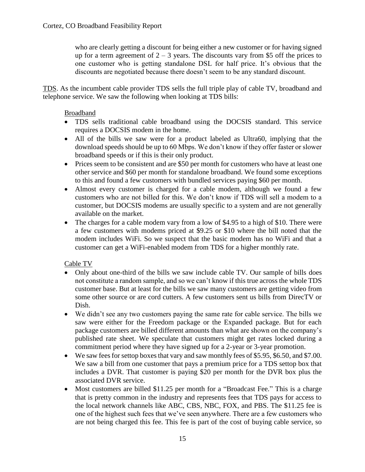who are clearly getting a discount for being either a new customer or for having signed up for a term agreement of  $2 - 3$  years. The discounts vary from \$5 off the prices to one customer who is getting standalone DSL for half price. It's obvious that the discounts are negotiated because there doesn't seem to be any standard discount.

TDS. As the incumbent cable provider TDS sells the full triple play of cable TV, broadband and telephone service. We saw the following when looking at TDS bills:

## Broadband

- TDS sells traditional cable broadband using the DOCSIS standard. This service requires a DOCSIS modem in the home.
- All of the bills we saw were for a product labeled as Ultra60, implying that the download speeds should be up to 60 Mbps. We don't know if they offer faster or slower broadband speeds or if this is their only product.
- Prices seem to be consistent and are \$50 per month for customers who have at least one other service and \$60 per month for standalone broadband. We found some exceptions to this and found a few customers with bundled services paying \$60 per month.
- Almost every customer is charged for a cable modem, although we found a few customers who are not billed for this. We don't know if TDS will sell a modem to a customer, but DOCSIS modems are usually specific to a system and are not generally available on the market.
- The charges for a cable modem vary from a low of \$4.95 to a high of \$10. There were a few customers with modems priced at \$9.25 or \$10 where the bill noted that the modem includes WiFi. So we suspect that the basic modem has no WiFi and that a customer can get a WiFi-enabled modem from TDS for a higher monthly rate.

## Cable TV

- Only about one-third of the bills we saw include cable TV. Our sample of bills does not constitute a random sample, and so we can't know if this true across the whole TDS customer base. But at least for the bills we saw many customers are getting video from some other source or are cord cutters. A few customers sent us bills from DirecTV or Dish.
- We didn't see any two customers paying the same rate for cable service. The bills we saw were either for the Freedom package or the Expanded package. But for each package customers are billed different amounts than what are shown on the company's published rate sheet. We speculate that customers might get rates locked during a commitment period where they have signed up for a 2-year or 3-year promotion.
- We saw fees for settop boxes that vary and saw monthly fees of \$5.95, \$6.50, and \$7.00. We saw a bill from one customer that pays a premium price for a TDS settop box that includes a DVR. That customer is paying \$20 per month for the DVR box plus the associated DVR service.
- Most customers are billed \$11.25 per month for a "Broadcast Fee." This is a charge that is pretty common in the industry and represents fees that TDS pays for access to the local network channels like ABC, CBS, NBC, FOX, and PBS. The \$11.25 fee is one of the highest such fees that we've seen anywhere. There are a few customers who are not being charged this fee. This fee is part of the cost of buying cable service, so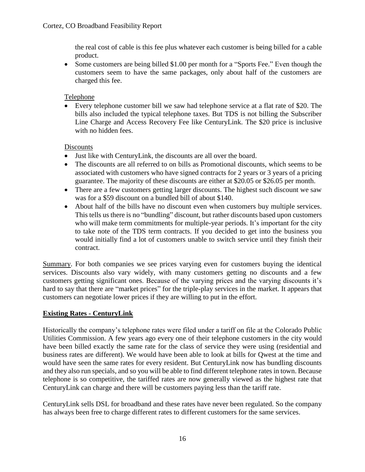the real cost of cable is this fee plus whatever each customer is being billed for a cable product.

• Some customers are being billed \$1.00 per month for a "Sports Fee." Even though the customers seem to have the same packages, only about half of the customers are charged this fee.

## Telephone

• Every telephone customer bill we saw had telephone service at a flat rate of \$20. The bills also included the typical telephone taxes. But TDS is not billing the Subscriber Line Charge and Access Recovery Fee like CenturyLink. The \$20 price is inclusive with no hidden fees.

## **Discounts**

- Just like with CenturyLink, the discounts are all over the board.
- The discounts are all referred to on bills as Promotional discounts, which seems to be associated with customers who have signed contracts for 2 years or 3 years of a pricing guarantee. The majority of these discounts are either at \$20.05 or \$26.05 per month.
- There are a few customers getting larger discounts. The highest such discount we saw was for a \$59 discount on a bundled bill of about \$140.
- About half of the bills have no discount even when customers buy multiple services. This tells us there is no "bundling" discount, but rather discounts based upon customers who will make term commitments for multiple-year periods. It's important for the city to take note of the TDS term contracts. If you decided to get into the business you would initially find a lot of customers unable to switch service until they finish their contract.

Summary. For both companies we see prices varying even for customers buying the identical services. Discounts also vary widely, with many customers getting no discounts and a few customers getting significant ones. Because of the varying prices and the varying discounts it's hard to say that there are "market prices" for the triple-play services in the market. It appears that customers can negotiate lower prices if they are willing to put in the effort.

## **Existing Rates - CenturyLink**

Historically the company's telephone rates were filed under a tariff on file at the Colorado Public Utilities Commission. A few years ago every one of their telephone customers in the city would have been billed exactly the same rate for the class of service they were using (residential and business rates are different). We would have been able to look at bills for Qwest at the time and would have seen the same rates for every resident. But CenturyLink now has bundling discounts and they also run specials, and so you will be able to find different telephone rates in town. Because telephone is so competitive, the tariffed rates are now generally viewed as the highest rate that CenturyLink can charge and there will be customers paying less than the tariff rate.

CenturyLink sells DSL for broadband and these rates have never been regulated. So the company has always been free to charge different rates to different customers for the same services.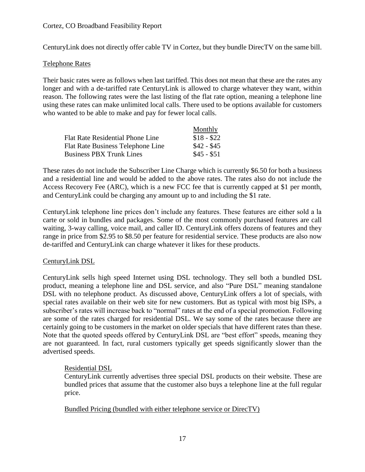## Cortez, CO Broadband Feasibility Report

CenturyLink does not directly offer cable TV in Cortez, but they bundle DirecTV on the same bill.

#### Telephone Rates

Their basic rates were as follows when last tariffed. This does not mean that these are the rates any longer and with a de-tariffed rate CenturyLink is allowed to charge whatever they want, within reason. The following rates were the last listing of the flat rate option, meaning a telephone line using these rates can make unlimited local calls. There used to be options available for customers who wanted to be able to make and pay for fewer local calls.

|                                          | Monthly       |
|------------------------------------------|---------------|
| Flat Rate Residential Phone Line         | $$18 - $22$   |
| <b>Flat Rate Business Telephone Line</b> | $$42 - $45$   |
| <b>Business PBX Trunk Lines</b>          | $\$45 - \$51$ |

These rates do not include the Subscriber Line Charge which is currently \$6.50 for both a business and a residential line and would be added to the above rates. The rates also do not include the Access Recovery Fee (ARC), which is a new FCC fee that is currently capped at \$1 per month, and CenturyLink could be charging any amount up to and including the \$1 rate.

CenturyLink telephone line prices don't include any features. These features are either sold a la carte or sold in bundles and packages. Some of the most commonly purchased features are call waiting, 3-way calling, voice mail, and caller ID. CenturyLink offers dozens of features and they range in price from \$2.95 to \$8.50 per feature for residential service. These products are also now de-tariffed and CenturyLink can charge whatever it likes for these products.

## CenturyLink DSL

CenturyLink sells high speed Internet using DSL technology. They sell both a bundled DSL product, meaning a telephone line and DSL service, and also "Pure DSL" meaning standalone DSL with no telephone product. As discussed above, CenturyLink offers a lot of specials, with special rates available on their web site for new customers. But as typical with most big ISPs, a subscriber's rates will increase back to "normal" rates at the end of a special promotion. Following are some of the rates charged for residential DSL. We say some of the rates because there are certainly going to be customers in the market on older specials that have different rates than these. Note that the quoted speeds offered by CenturyLink DSL are "best effort" speeds, meaning they are not guaranteed. In fact, rural customers typically get speeds significantly slower than the advertised speeds.

#### Residential DSL

CenturyLink currently advertises three special DSL products on their website. These are bundled prices that assume that the customer also buys a telephone line at the full regular price.

#### Bundled Pricing (bundled with either telephone service or DirecTV)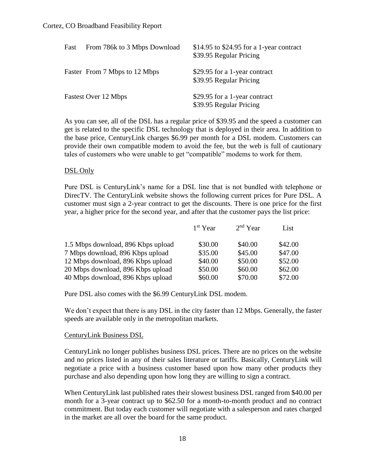| Fast | From 786k to 3 Mbps Download  | $$14.95$ to \$24.95 for a 1-year contract<br>\$39.95 Regular Pricing |
|------|-------------------------------|----------------------------------------------------------------------|
|      | Faster From 7 Mbps to 12 Mbps | \$29.95 for a 1-year contract<br>\$39.95 Regular Pricing             |
|      | Fastest Over 12 Mbps          | \$29.95 for a 1-year contract<br>\$39.95 Regular Pricing             |

As you can see, all of the DSL has a regular price of \$39.95 and the speed a customer can get is related to the specific DSL technology that is deployed in their area. In addition to the base price, CenturyLink charges \$6.99 per month for a DSL modem. Customers can provide their own compatible modem to avoid the fee, but the web is full of cautionary tales of customers who were unable to get "compatible" modems to work for them.

## DSL Only

Pure DSL is CenturyLink's name for a DSL line that is not bundled with telephone or DirecTV. The CenturyLink website shows the following current prices for Pure DSL. A customer must sign a 2-year contract to get the discounts. There is one price for the first year, a higher price for the second year, and after that the customer pays the list price:

|                                    | 1 <sup>st</sup> Year | $2nd$ Year | List    |
|------------------------------------|----------------------|------------|---------|
| 1.5 Mbps download, 896 Kbps upload | \$30.00              | \$40.00    | \$42.00 |
| 7 Mbps download, 896 Kbps upload   | \$35.00              | \$45.00    | \$47.00 |
| 12 Mbps download, 896 Kbps upload  | \$40.00              | \$50.00    | \$52.00 |
| 20 Mbps download, 896 Kbps upload  | \$50.00              | \$60.00    | \$62.00 |
| 40 Mbps download, 896 Kbps upload  | \$60.00              | \$70.00    | \$72.00 |

Pure DSL also comes with the \$6.99 CenturyLink DSL modem.

We don't expect that there is any DSL in the city faster than 12 Mbps. Generally, the faster speeds are available only in the metropolitan markets.

#### CenturyLink Business DSL

CenturyLink no longer publishes business DSL prices. There are no prices on the website and no prices listed in any of their sales literature or tariffs. Basically, CenturyLink will negotiate a price with a business customer based upon how many other products they purchase and also depending upon how long they are willing to sign a contract.

When CenturyLink last published rates their slowest business DSL ranged from \$40.00 per month for a 3-year contract up to \$62.50 for a month-to-month product and no contract commitment. But today each customer will negotiate with a salesperson and rates charged in the market are all over the board for the same product.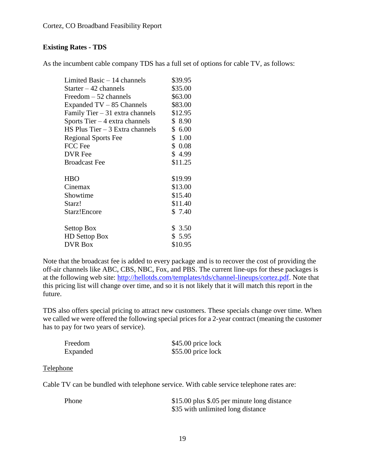## **Existing Rates - TDS**

As the incumbent cable company TDS has a full set of options for cable TV, as follows:

| Limited Basic $-14$ channels       | \$39.95 |
|------------------------------------|---------|
| Starter $-42$ channels             | \$35.00 |
| Freedom $-52$ channels             | \$63.00 |
| Expanded $TV - 85$ Channels        | \$83.00 |
| Family Tier $-31$ extra channels   | \$12.95 |
| Sports Tier $-4$ extra channels    | \$8.90  |
| $HS$ Plus Tier $-3$ Extra channels | \$6.00  |
| <b>Regional Sports Fee</b>         | \$1.00  |
| FCC Fee                            | \$0.08  |
| <b>DVR</b> Fee                     | \$4.99  |
| <b>Broadcast Fee</b>               | \$11.25 |
| <b>HBO</b>                         | \$19.99 |
| Cinemax                            | \$13.00 |
| Showtime                           | \$15.40 |
| Starz!                             | \$11.40 |
| Starz!Encore                       | \$7.40  |
| Settop Box                         | \$3.50  |
| <b>HD</b> Settop Box               | \$5.95  |
| <b>DVR Box</b>                     | \$10.95 |

Note that the broadcast fee is added to every package and is to recover the cost of providing the off-air channels like ABC, CBS, NBC, Fox, and PBS. The current line-ups for these packages is at the following web site: [http://hellotds.com/templates/tds/channel-lineups/cortez.pdf.](http://hellotds.com/templates/tds/channel-lineups/cortez.pdf) Note that this pricing list will change over time, and so it is not likely that it will match this report in the future.

TDS also offers special pricing to attract new customers. These specials change over time. When we called we were offered the following special prices for a 2-year contract (meaning the customer has to pay for two years of service).

| Freedom  | \$45.00 price lock |
|----------|--------------------|
| Expanded | \$55.00 price lock |

#### Telephone

Cable TV can be bundled with telephone service. With cable service telephone rates are:

Phone \$15.00 plus \$.05 per minute long distance \$35 with unlimited long distance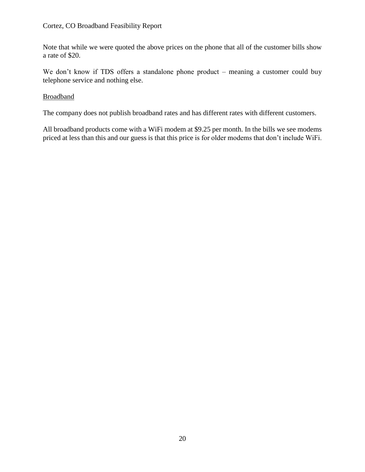#### Cortez, CO Broadband Feasibility Report

Note that while we were quoted the above prices on the phone that all of the customer bills show a rate of \$20.

We don't know if TDS offers a standalone phone product – meaning a customer could buy telephone service and nothing else.

## Broadband

The company does not publish broadband rates and has different rates with different customers.

All broadband products come with a WiFi modem at \$9.25 per month. In the bills we see modems priced at less than this and our guess is that this price is for older modems that don't include WiFi.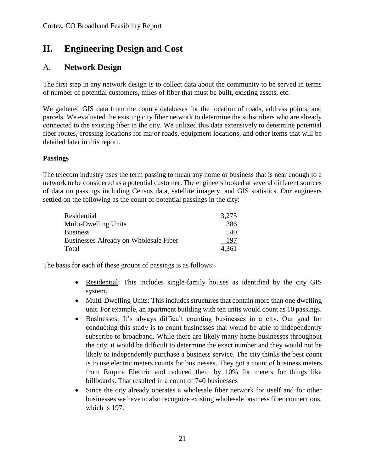## **II. Engineering Design and Cost**

## A. **Network Design**

The first step in any network design is to collect data about the community to be served in terms of number of potential customers, miles of fiber that must be built, existing assets, etc.

We gathered GIS data from the county databases for the location of roads, address points, and parcels. We evaluated the existing city fiber network to determine the subscribers who are already connected to the existing fiber in the city. We utilized this data extensively to determine potential fiber routes, crossing locations for major roads, equipment locations, and other items that will be detailed later in this report.

## **Passings**

The telecom industry uses the term passing to mean any home or business that is near enough to a network to be considered as a potential customer. The engineers looked at several different sources of data on passings including Census data, satellite imagery, and GIS statistics. Our engineers settled on the following as the count of potential passings in the city:

| Residential                           | 3,275 |
|---------------------------------------|-------|
| <b>Multi-Dwelling Units</b>           | 386   |
| <b>Business</b>                       | 540   |
| Businesses Already on Wholesale Fiber | 197   |
| Total                                 | 4.361 |

The basis for each of these groups of passings is as follows:

- Residential: This includes single-family houses as identified by the city GIS system.
- Multi-Dwelling Units: This includes structures that contain more than one dwelling unit. For example, an apartment building with ten units would count as 10 passings.
- Businesses: It's always difficult counting businesses in a city. Our goal for conducting this study is to count businesses that would be able to independently subscribe to broadband. While there are likely many home businesses throughout the city, it would be difficult to determine the exact number and they would not be likely to independently purchase a business service. The city thinks the best count is to use electric meters counts for businesses. They got a count of business meters from Empire Electric and reduced them by 10% for meters for things like billboards. That resulted in a count of 740 businesses
- Since the city already operates a wholesale fiber network for itself and for other businesses we have to also recognize existing wholesale business fiber connections, which is 197.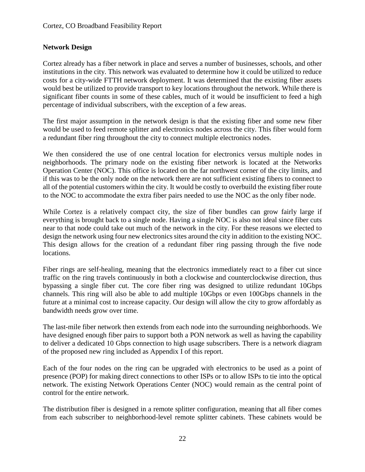## **Network Design**

Cortez already has a fiber network in place and serves a number of businesses, schools, and other institutions in the city. This network was evaluated to determine how it could be utilized to reduce costs for a city-wide FTTH network deployment. It was determined that the existing fiber assets would best be utilized to provide transport to key locations throughout the network. While there is significant fiber counts in some of these cables, much of it would be insufficient to feed a high percentage of individual subscribers, with the exception of a few areas.

The first major assumption in the network design is that the existing fiber and some new fiber would be used to feed remote splitter and electronics nodes across the city. This fiber would form a redundant fiber ring throughout the city to connect multiple electronics nodes.

We then considered the use of one central location for electronics versus multiple nodes in neighborhoods. The primary node on the existing fiber network is located at the Networks Operation Center (NOC). This office is located on the far northwest corner of the city limits, and if this was to be the only node on the network there are not sufficient existing fibers to connect to all of the potential customers within the city. It would be costly to overbuild the existing fiber route to the NOC to accommodate the extra fiber pairs needed to use the NOC as the only fiber node.

While Cortez is a relatively compact city, the size of fiber bundles can grow fairly large if everything is brought back to a single node. Having a single NOC is also not ideal since fiber cuts near to that node could take out much of the network in the city. For these reasons we elected to design the network using four new electronics sites around the city in addition to the existing NOC. This design allows for the creation of a redundant fiber ring passing through the five node locations.

Fiber rings are self-healing, meaning that the electronics immediately react to a fiber cut since traffic on the ring travels continuously in both a clockwise and counterclockwise direction, thus bypassing a single fiber cut. The core fiber ring was designed to utilize redundant 10Gbps channels. This ring will also be able to add multiple 10Gbps or even 100Gbps channels in the future at a minimal cost to increase capacity. Our design will allow the city to grow affordably as bandwidth needs grow over time.

The last-mile fiber network then extends from each node into the surrounding neighborhoods. We have designed enough fiber pairs to support both a PON network as well as having the capability to deliver a dedicated 10 Gbps connection to high usage subscribers. There is a network diagram of the proposed new ring included as Appendix I of this report.

Each of the four nodes on the ring can be upgraded with electronics to be used as a point of presence (POP) for making direct connections to other ISPs or to allow ISPs to tie into the optical network. The existing Network Operations Center (NOC) would remain as the central point of control for the entire network.

The distribution fiber is designed in a remote splitter configuration, meaning that all fiber comes from each subscriber to neighborhood-level remote splitter cabinets. These cabinets would be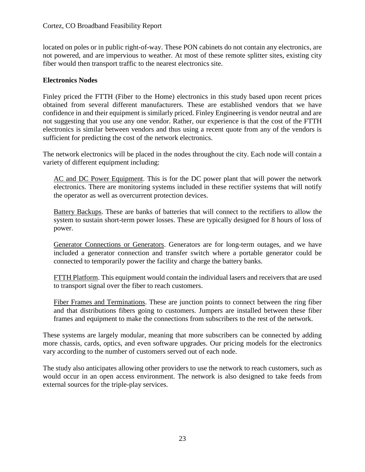located on poles or in public right-of-way. These PON cabinets do not contain any electronics, are not powered, and are impervious to weather. At most of these remote splitter sites, existing city fiber would then transport traffic to the nearest electronics site.

## **Electronics Nodes**

Finley priced the FTTH (Fiber to the Home) electronics in this study based upon recent prices obtained from several different manufacturers. These are established vendors that we have confidence in and their equipment is similarly priced. Finley Engineering is vendor neutral and are not suggesting that you use any one vendor. Rather, our experience is that the cost of the FTTH electronics is similar between vendors and thus using a recent quote from any of the vendors is sufficient for predicting the cost of the network electronics.

The network electronics will be placed in the nodes throughout the city. Each node will contain a variety of different equipment including:

AC and DC Power Equipment. This is for the DC power plant that will power the network electronics. There are monitoring systems included in these rectifier systems that will notify the operator as well as overcurrent protection devices.

Battery Backups. These are banks of batteries that will connect to the rectifiers to allow the system to sustain short-term power losses. These are typically designed for 8 hours of loss of power.

Generator Connections or Generators. Generators are for long-term outages, and we have included a generator connection and transfer switch where a portable generator could be connected to temporarily power the facility and charge the battery banks.

FTTH Platform. This equipment would contain the individual lasers and receivers that are used to transport signal over the fiber to reach customers.

Fiber Frames and Terminations. These are junction points to connect between the ring fiber and that distributions fibers going to customers. Jumpers are installed between these fiber frames and equipment to make the connections from subscribers to the rest of the network.

These systems are largely modular, meaning that more subscribers can be connected by adding more chassis, cards, optics, and even software upgrades. Our pricing models for the electronics vary according to the number of customers served out of each node.

The study also anticipates allowing other providers to use the network to reach customers, such as would occur in an open access environment. The network is also designed to take feeds from external sources for the triple-play services.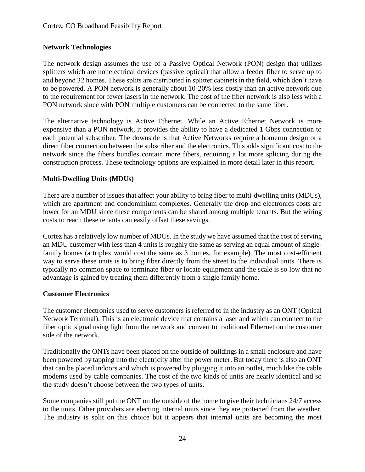## **Network Technologies**

The network design assumes the use of a Passive Optical Network (PON) design that utilizes splitters which are nonelectrical devices (passive optical) that allow a feeder fiber to serve up to and beyond 32 homes. These splits are distributed in splitter cabinets in the field, which don't have to be powered. A PON network is generally about 10-20% less costly than an active network due to the requirement for fewer lasers in the network. The cost of the fiber network is also less with a PON network since with PON multiple customers can be connected to the same fiber.

The alternative technology is Active Ethernet. While an Active Ethernet Network is more expensive than a PON network, it provides the ability to have a dedicated 1 Gbps connection to each potential subscriber. The downside is that Active Networks require a homerun design or a direct fiber connection between the subscriber and the electronics. This adds significant cost to the network since the fibers bundles contain more fibers, requiring a lot more splicing during the construction process. These technology options are explained in more detail later in this report.

## **Multi-Dwelling Units (MDUs)**

There are a number of issues that affect your ability to bring fiber to multi-dwelling units (MDUs), which are apartment and condominium complexes. Generally the drop and electronics costs are lower for an MDU since these components can be shared among multiple tenants. But the wiring costs to reach these tenants can easily offset these savings.

Cortez has a relatively low number of MDUs. In the study we have assumed that the cost of serving an MDU customer with less than 4 units is roughly the same as serving an equal amount of singlefamily homes (a triplex would cost the same as 3 homes, for example). The most cost-efficient way to serve these units is to bring fiber directly from the street to the individual units. There is typically no common space to terminate fiber or locate equipment and the scale is so low that no advantage is gained by treating them differently from a single family home.

## **Customer Electronics**

The customer electronics used to serve customers is referred to in the industry as an ONT (Optical Network Terminal). This is an electronic device that contains a laser and which can connect to the fiber optic signal using light from the network and convert to traditional Ethernet on the customer side of the network.

Traditionally the ONTs have been placed on the outside of buildings in a small enclosure and have been powered by tapping into the electricity after the power meter. But today there is also an ONT that can be placed indoors and which is powered by plugging it into an outlet, much like the cable modems used by cable companies. The cost of the two kinds of units are nearly identical and so the study doesn't choose between the two types of units.

Some companies still put the ONT on the outside of the home to give their technicians 24/7 access to the units. Other providers are electing internal units since they are protected from the weather. The industry is split on this choice but it appears that internal units are becoming the most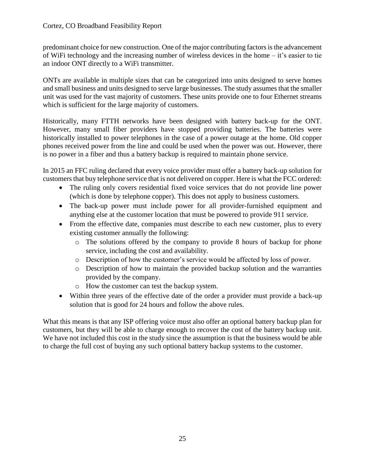predominant choice for new construction. One of the major contributing factors is the advancement of WiFi technology and the increasing number of wireless devices in the home – it's easier to tie an indoor ONT directly to a WiFi transmitter.

ONTs are available in multiple sizes that can be categorized into units designed to serve homes and small business and units designed to serve large businesses. The study assumes that the smaller unit was used for the vast majority of customers. These units provide one to four Ethernet streams which is sufficient for the large majority of customers.

Historically, many FTTH networks have been designed with battery back-up for the ONT. However, many small fiber providers have stopped providing batteries. The batteries were historically installed to power telephones in the case of a power outage at the home. Old copper phones received power from the line and could be used when the power was out. However, there is no power in a fiber and thus a battery backup is required to maintain phone service.

In 2015 an FFC ruling declared that every voice provider must offer a battery back-up solution for customers that buy telephone service that is not delivered on copper. Here is what the FCC ordered:

- The ruling only covers residential fixed voice services that do not provide line power (which is done by telephone copper). This does not apply to business customers.
- The back-up power must include power for all provider-furnished equipment and anything else at the customer location that must be powered to provide 911 service.
- From the effective date, companies must describe to each new customer, plus to every existing customer annually the following:
	- o The solutions offered by the company to provide 8 hours of backup for phone service, including the cost and availability.
	- o Description of how the customer's service would be affected by loss of power.
	- o Description of how to maintain the provided backup solution and the warranties provided by the company.
	- o How the customer can test the backup system.
- Within three years of the effective date of the order a provider must provide a back-up solution that is good for 24 hours and follow the above rules.

What this means is that any ISP offering voice must also offer an optional battery backup plan for customers, but they will be able to charge enough to recover the cost of the battery backup unit. We have not included this cost in the study since the assumption is that the business would be able to charge the full cost of buying any such optional battery backup systems to the customer.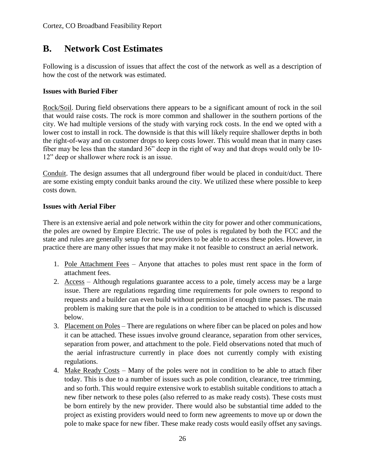## **B. Network Cost Estimates**

Following is a discussion of issues that affect the cost of the network as well as a description of how the cost of the network was estimated.

## **Issues with Buried Fiber**

Rock/Soil. During field observations there appears to be a significant amount of rock in the soil that would raise costs. The rock is more common and shallower in the southern portions of the city. We had multiple versions of the study with varying rock costs. In the end we opted with a lower cost to install in rock. The downside is that this will likely require shallower depths in both the right-of-way and on customer drops to keep costs lower. This would mean that in many cases fiber may be less than the standard 36" deep in the right of way and that drops would only be 10- 12" deep or shallower where rock is an issue.

Conduit. The design assumes that all underground fiber would be placed in conduit/duct. There are some existing empty conduit banks around the city. We utilized these where possible to keep costs down.

## **Issues with Aerial Fiber**

There is an extensive aerial and pole network within the city for power and other communications, the poles are owned by Empire Electric. The use of poles is regulated by both the FCC and the state and rules are generally setup for new providers to be able to access these poles. However, in practice there are many other issues that may make it not feasible to construct an aerial network.

- 1. Pole Attachment Fees Anyone that attaches to poles must rent space in the form of attachment fees.
- 2. Access Although regulations guarantee access to a pole, timely access may be a large issue. There are regulations regarding time requirements for pole owners to respond to requests and a builder can even build without permission if enough time passes. The main problem is making sure that the pole is in a condition to be attached to which is discussed below.
- 3. Placement on Poles There are regulations on where fiber can be placed on poles and how it can be attached. These issues involve ground clearance, separation from other services, separation from power, and attachment to the pole. Field observations noted that much of the aerial infrastructure currently in place does not currently comply with existing regulations.
- 4. Make Ready Costs Many of the poles were not in condition to be able to attach fiber today. This is due to a number of issues such as pole condition, clearance, tree trimming, and so forth. This would require extensive work to establish suitable conditions to attach a new fiber network to these poles (also referred to as make ready costs). These costs must be born entirely by the new provider. There would also be substantial time added to the project as existing providers would need to form new agreements to move up or down the pole to make space for new fiber. These make ready costs would easily offset any savings.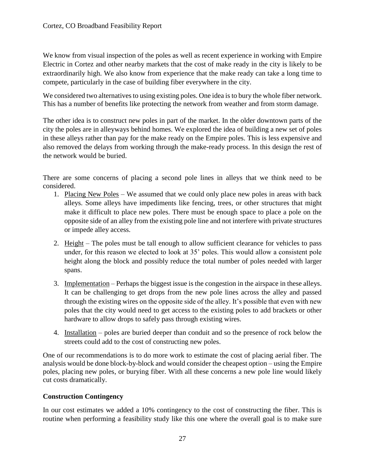We know from visual inspection of the poles as well as recent experience in working with Empire Electric in Cortez and other nearby markets that the cost of make ready in the city is likely to be extraordinarily high. We also know from experience that the make ready can take a long time to compete, particularly in the case of building fiber everywhere in the city.

We considered two alternatives to using existing poles. One idea is to bury the whole fiber network. This has a number of benefits like protecting the network from weather and from storm damage.

The other idea is to construct new poles in part of the market. In the older downtown parts of the city the poles are in alleyways behind homes. We explored the idea of building a new set of poles in these alleys rather than pay for the make ready on the Empire poles. This is less expensive and also removed the delays from working through the make-ready process. In this design the rest of the network would be buried.

There are some concerns of placing a second pole lines in alleys that we think need to be considered.

- 1. Placing New Poles We assumed that we could only place new poles in areas with back alleys. Some alleys have impediments like fencing, trees, or other structures that might make it difficult to place new poles. There must be enough space to place a pole on the opposite side of an alley from the existing pole line and not interfere with private structures or impede alley access.
- 2. Height The poles must be tall enough to allow sufficient clearance for vehicles to pass under, for this reason we elected to look at 35' poles. This would allow a consistent pole height along the block and possibly reduce the total number of poles needed with larger spans.
- 3. Implementation Perhaps the biggest issue is the congestion in the airspace in these alleys. It can be challenging to get drops from the new pole lines across the alley and passed through the existing wires on the opposite side of the alley. It's possible that even with new poles that the city would need to get access to the existing poles to add brackets or other hardware to allow drops to safely pass through existing wires.
- 4. Installation poles are buried deeper than conduit and so the presence of rock below the streets could add to the cost of constructing new poles.

One of our recommendations is to do more work to estimate the cost of placing aerial fiber. The analysis would be done block-by-block and would consider the cheapest option – using the Empire poles, placing new poles, or burying fiber. With all these concerns a new pole line would likely cut costs dramatically.

## **Construction Contingency**

In our cost estimates we added a 10% contingency to the cost of constructing the fiber. This is routine when performing a feasibility study like this one where the overall goal is to make sure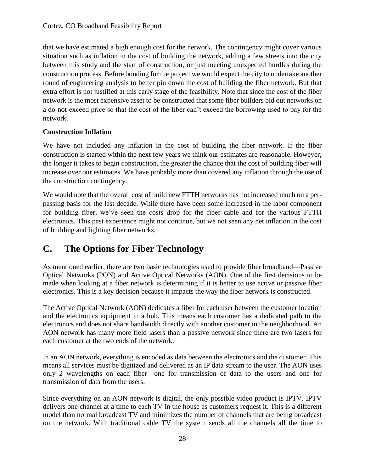that we have estimated a high enough cost for the network. The contingency might cover various situation such as inflation in the cost of building the network, adding a few streets into the city between this study and the start of construction, or just meeting unexpected hurdles during the construction process. Before bonding for the project we would expect the city to undertake another round of engineering analysis to better pin down the cost of building the fiber network. But that extra effort is not justified at this early stage of the feasibility. Note that since the cost of the fiber network is the most expensive asset to be constructed that some fiber builders bid out networks on a do-not-exceed price so that the cost of the fiber can't exceed the borrowing used to pay for the network.

## **Construction Inflation**

We have not included any inflation in the cost of building the fiber network. If the fiber construction is started within the next few years we think our estimates are reasonable. However, the longer it takes to begin construction, the greater the chance that the cost of building fiber will increase over our estimates. We have probably more than covered any inflation through the use of the construction contingency.

We would note that the overall cost of build new FTTH networks has not increased much on a perpassing basis for the last decade. While there have been some increased in the labor component for building fiber, we've seen the costs drop for the fiber cable and for the various FTTH electronics. This past experience might not continue, but we not seen any net inflation in the cost of building and lighting fiber networks.

## **C. The Options for Fiber Technology**

As mentioned earlier, there are two basic technologies used to provide fiber broadband—Passive Optical Networks (PON) and Active Optical Networks (AON). One of the first decisions to be made when looking at a fiber network is determining if it is better to use active or passive fiber electronics. This is a key decision because it impacts the way the fiber network is constructed.

The Active Optical Network (AON) dedicates a fiber for each user between the customer location and the electronics equipment in a hub. This means each customer has a dedicated path to the electronics and does not share bandwidth directly with another customer in the neighborhood. An AON network has many more field lasers than a passive network since there are two lasers for each customer at the two ends of the network.

In an AON network, everything is encoded as data between the electronics and the customer. This means all services must be digitized and delivered as an IP data stream to the user. The AON uses only 2 wavelengths on each fiber—one for transmission of data to the users and one for transmission of data from the users.

Since everything on an AON network is digital, the only possible video product is IPTV. IPTV delivers one channel at a time to each TV in the house as customers request it. This is a different model than normal broadcast TV and minimizes the number of channels that are being broadcast on the network. With traditional cable TV the system sends all the channels all the time to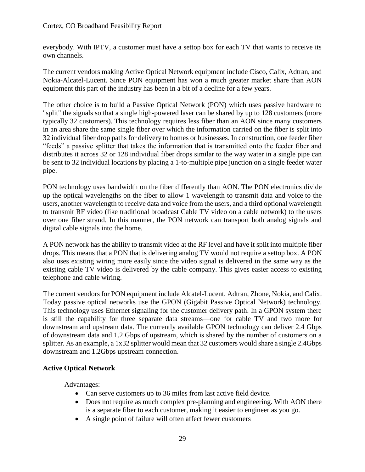everybody. With IPTV, a customer must have a settop box for each TV that wants to receive its own channels.

The current vendors making Active Optical Network equipment include Cisco, Calix, Adtran, and Nokia-Alcatel-Lucent. Since PON equipment has won a much greater market share than AON equipment this part of the industry has been in a bit of a decline for a few years.

The other choice is to build a Passive Optical Network (PON) which uses passive hardware to "split" the signals so that a single high-powered laser can be shared by up to 128 customers (more typically 32 customers). This technology requires less fiber than an AON since many customers in an area share the same single fiber over which the information carried on the fiber is split into 32 individual fiber drop paths for delivery to homes or businesses. In construction, one feeder fiber "feeds" a passive splitter that takes the information that is transmitted onto the feeder fiber and distributes it across 32 or 128 individual fiber drops similar to the way water in a single pipe can be sent to 32 individual locations by placing a 1-to-multiple pipe junction on a single feeder water pipe.

PON technology uses bandwidth on the fiber differently than AON. The PON electronics divide up the optical wavelengths on the fiber to allow 1 wavelength to transmit data and voice to the users, another wavelength to receive data and voice from the users, and a third optional wavelength to transmit RF video (like traditional broadcast Cable TV video on a cable network) to the users over one fiber strand. In this manner, the PON network can transport both analog signals and digital cable signals into the home.

A PON network has the ability to transmit video at the RF level and have it split into multiple fiber drops. This means that a PON that is delivering analog TV would not require a settop box. A PON also uses existing wiring more easily since the video signal is delivered in the same way as the existing cable TV video is delivered by the cable company. This gives easier access to existing telephone and cable wiring.

The current vendors for PON equipment include Alcatel-Lucent, Adtran, Zhone, Nokia, and Calix. Today passive optical networks use the GPON (Gigabit Passive Optical Network) technology. This technology uses Ethernet signaling for the customer delivery path. In a GPON system there is still the capability for three separate data streams—one for cable TV and two more for downstream and upstream data. The currently available GPON technology can deliver 2.4 Gbps of downstream data and 1.2 Gbps of upstream, which is shared by the number of customers on a splitter. As an example, a 1x32 splitter would mean that 32 customers would share a single 2.4Gbps downstream and 1.2Gbps upstream connection.

## **Active Optical Network**

Advantages:

- Can serve customers up to 36 miles from last active field device.
- Does not require as much complex pre-planning and engineering. With AON there is a separate fiber to each customer, making it easier to engineer as you go.
- A single point of failure will often affect fewer customers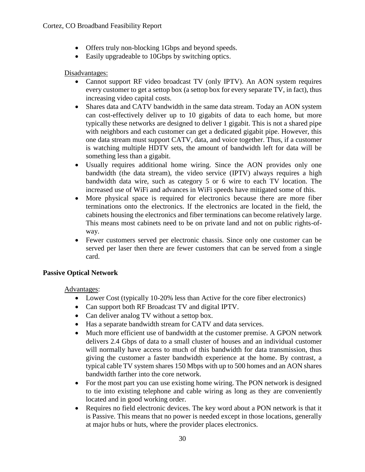- Offers truly non-blocking 1Gbps and beyond speeds.
- Easily upgradeable to 10Gbps by switching optics.

## Disadvantages:

- Cannot support RF video broadcast TV (only IPTV). An AON system requires every customer to get a settop box (a settop box for every separate TV, in fact), thus increasing video capital costs.
- Shares data and CATV bandwidth in the same data stream. Today an AON system can cost-effectively deliver up to 10 gigabits of data to each home, but more typically these networks are designed to deliver 1 gigabit. This is not a shared pipe with neighbors and each customer can get a dedicated gigabit pipe. However, this one data stream must support CATV, data, and voice together. Thus, if a customer is watching multiple HDTV sets, the amount of bandwidth left for data will be something less than a gigabit.
- Usually requires additional home wiring. Since the AON provides only one bandwidth (the data stream), the video service (IPTV) always requires a high bandwidth data wire, such as category 5 or 6 wire to each TV location. The increased use of WiFi and advances in WiFi speeds have mitigated some of this.
- More physical space is required for electronics because there are more fiber terminations onto the electronics. If the electronics are located in the field, the cabinets housing the electronics and fiber terminations can become relatively large. This means most cabinets need to be on private land and not on public rights-ofway.
- Fewer customers served per electronic chassis. Since only one customer can be served per laser then there are fewer customers that can be served from a single card.

## **Passive Optical Network**

Advantages:

- Lower Cost (typically 10-20% less than Active for the core fiber electronics)
- Can support both RF Broadcast TV and digital IPTV.
- Can deliver analog TV without a settop box.
- Has a separate bandwidth stream for CATV and data services.
- Much more efficient use of bandwidth at the customer premise. A GPON network delivers 2.4 Gbps of data to a small cluster of houses and an individual customer will normally have access to much of this bandwidth for data transmission, thus giving the customer a faster bandwidth experience at the home. By contrast, a typical cable TV system shares 150 Mbps with up to 500 homes and an AON shares bandwidth farther into the core network.
- For the most part you can use existing home wiring. The PON network is designed to tie into existing telephone and cable wiring as long as they are conveniently located and in good working order.
- Requires no field electronic devices. The key word about a PON network is that it is Passive. This means that no power is needed except in those locations, generally at major hubs or huts, where the provider places electronics.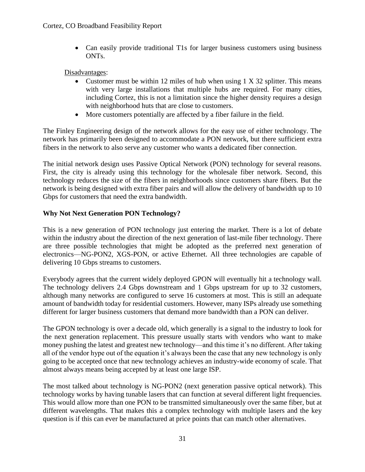• Can easily provide traditional T1s for larger business customers using business ONTs.

Disadvantages:

- Customer must be within 12 miles of hub when using 1 X 32 splitter. This means with very large installations that multiple hubs are required. For many cities, including Cortez, this is not a limitation since the higher density requires a design with neighborhood huts that are close to customers.
- More customers potentially are affected by a fiber failure in the field.

The Finley Engineering design of the network allows for the easy use of either technology. The network has primarily been designed to accommodate a PON network, but there sufficient extra fibers in the network to also serve any customer who wants a dedicated fiber connection.

The initial network design uses Passive Optical Network (PON) technology for several reasons. First, the city is already using this technology for the wholesale fiber network. Second, this technology reduces the size of the fibers in neighborhoods since customers share fibers. But the network is being designed with extra fiber pairs and will allow the delivery of bandwidth up to 10 Gbps for customers that need the extra bandwidth.

## **Why Not Next Generation PON Technology?**

This is a new generation of PON technology just entering the market. There is a lot of debate within the industry about the direction of the next generation of last-mile fiber technology. There are three possible technologies that might be adopted as the preferred next generation of electronics—NG-PON2, XGS-PON, or active Ethernet. All three technologies are capable of delivering 10 Gbps streams to customers.

Everybody agrees that the current widely deployed GPON will eventually hit a technology wall. The technology delivers 2.4 Gbps downstream and 1 Gbps upstream for up to 32 customers, although many networks are configured to serve 16 customers at most. This is still an adequate amount of bandwidth today for residential customers. However, many ISPs already use something different for larger business customers that demand more bandwidth than a PON can deliver.

The GPON technology is over a decade old, which generally is a signal to the industry to look for the next generation replacement. This pressure usually starts with vendors who want to make money pushing the latest and greatest new technology—and this time it's no different. After taking all of the vendor hype out of the equation it's always been the case that any new technology is only going to be accepted once that new technology achieves an industry-wide economy of scale. That almost always means being accepted by at least one large ISP.

The most talked about technology is NG-PON2 (next generation passive optical network). This technology works by having tunable lasers that can function at several different light frequencies. This would allow more than one PON to be transmitted simultaneously over the same fiber, but at different wavelengths. That makes this a complex technology with multiple lasers and the key question is if this can ever be manufactured at price points that can match other alternatives.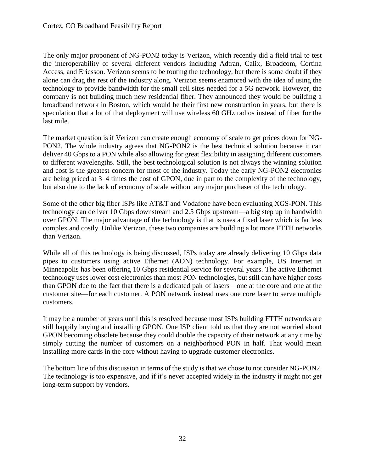The only major proponent of NG-PON2 today is Verizon, which recently did a field trial to test the interoperability of several different vendors including Adtran, Calix, Broadcom, Cortina Access, and Ericsson. Verizon seems to be touting the technology, but there is some doubt if they alone can drag the rest of the industry along. Verizon seems enamored with the idea of using the technology to provide bandwidth for the small cell sites needed for a 5G network. However, the company is not building much new residential fiber. They announced they would be building a broadband network in Boston, which would be their first new construction in years, but there is speculation that a lot of that deployment will use wireless 60 GHz radios instead of fiber for the last mile.

The market question is if Verizon can create enough economy of scale to get prices down for NG-PON2. The whole industry agrees that NG-PON2 is the best technical solution because it can deliver 40 Gbps to a PON while also allowing for great flexibility in assigning different customers to different wavelengths. Still, the best technological solution is not always the winning solution and cost is the greatest concern for most of the industry. Today the early NG-PON2 electronics are being priced at 3–4 times the cost of GPON, due in part to the complexity of the technology, but also due to the lack of economy of scale without any major purchaser of the technology.

Some of the other big fiber ISPs like AT&T and Vodafone have been evaluating XGS-PON. This technology can deliver 10 Gbps downstream and 2.5 Gbps upstream—a big step up in bandwidth over GPON. The major advantage of the technology is that is uses a fixed laser which is far less complex and costly. Unlike Verizon, these two companies are building a lot more FTTH networks than Verizon.

While all of this technology is being discussed, ISPs today are already delivering 10 Gbps data pipes to customers using active Ethernet (AON) technology. For example, US Internet in Minneapolis has been offering 10 Gbps residential service for several years. The active Ethernet technology uses lower cost electronics than most PON technologies, but still can have higher costs than GPON due to the fact that there is a dedicated pair of lasers—one at the core and one at the customer site—for each customer. A PON network instead uses one core laser to serve multiple customers.

It may be a number of years until this is resolved because most ISPs building FTTH networks are still happily buying and installing GPON. One ISP client told us that they are not worried about GPON becoming obsolete because they could double the capacity of their network at any time by simply cutting the number of customers on a neighborhood PON in half. That would mean installing more cards in the core without having to upgrade customer electronics.

The bottom line of this discussion in terms of the study is that we chose to not consider NG-PON2. The technology is too expensive, and if it's never accepted widely in the industry it might not get long-term support by vendors.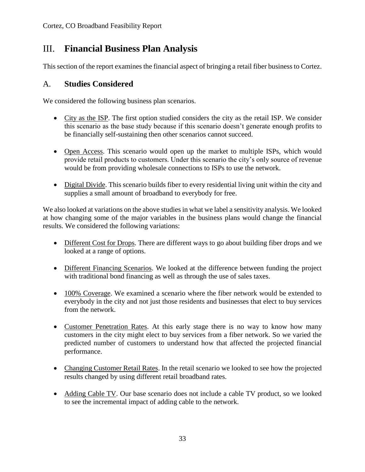## III. **Financial Business Plan Analysis**

This section of the report examines the financial aspect of bringing a retail fiber business to Cortez.

## A. **Studies Considered**

We considered the following business plan scenarios.

- City as the ISP. The first option studied considers the city as the retail ISP. We consider this scenario as the base study because if this scenario doesn't generate enough profits to be financially self-sustaining then other scenarios cannot succeed.
- Open Access. This scenario would open up the market to multiple ISPs, which would provide retail products to customers. Under this scenario the city's only source of revenue would be from providing wholesale connections to ISPs to use the network.
- Digital Divide. This scenario builds fiber to every residential living unit within the city and supplies a small amount of broadband to everybody for free.

We also looked at variations on the above studies in what we label a sensitivity analysis. We looked at how changing some of the major variables in the business plans would change the financial results. We considered the following variations:

- Different Cost for Drops. There are different ways to go about building fiber drops and we looked at a range of options.
- Different Financing Scenarios. We looked at the difference between funding the project with traditional bond financing as well as through the use of sales taxes.
- 100% Coverage. We examined a scenario where the fiber network would be extended to everybody in the city and not just those residents and businesses that elect to buy services from the network.
- Customer Penetration Rates. At this early stage there is no way to know how many customers in the city might elect to buy services from a fiber network. So we varied the predicted number of customers to understand how that affected the projected financial performance.
- Changing Customer Retail Rates. In the retail scenario we looked to see how the projected results changed by using different retail broadband rates.
- Adding Cable TV. Our base scenario does not include a cable TV product, so we looked to see the incremental impact of adding cable to the network.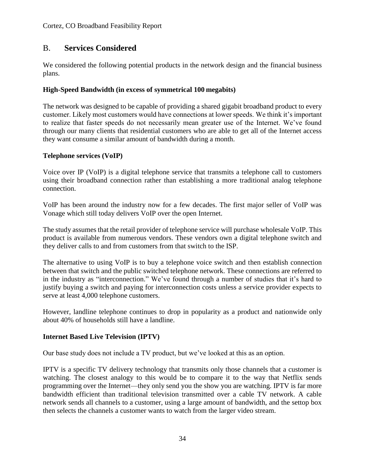## B. **Services Considered**

We considered the following potential products in the network design and the financial business plans.

## **High-Speed Bandwidth (in excess of symmetrical 100 megabits)**

The network was designed to be capable of providing a shared gigabit broadband product to every customer. Likely most customers would have connections at lower speeds. We think it's important to realize that faster speeds do not necessarily mean greater use of the Internet. We've found through our many clients that residential customers who are able to get all of the Internet access they want consume a similar amount of bandwidth during a month.

## **Telephone services (VoIP)**

Voice over IP (VoIP) is a digital telephone service that transmits a telephone call to customers using their broadband connection rather than establishing a more traditional analog telephone connection.

VoIP has been around the industry now for a few decades. The first major seller of VoIP was Vonage which still today delivers VoIP over the open Internet.

The study assumes that the retail provider of telephone service will purchase wholesale VoIP. This product is available from numerous vendors. These vendors own a digital telephone switch and they deliver calls to and from customers from that switch to the ISP.

The alternative to using VoIP is to buy a telephone voice switch and then establish connection between that switch and the public switched telephone network. These connections are referred to in the industry as "interconnection." We've found through a number of studies that it's hard to justify buying a switch and paying for interconnection costs unless a service provider expects to serve at least 4,000 telephone customers.

However, landline telephone continues to drop in popularity as a product and nationwide only about 40% of households still have a landline.

## **Internet Based Live Television (IPTV)**

Our base study does not include a TV product, but we've looked at this as an option.

IPTV is a specific TV delivery technology that transmits only those channels that a customer is watching. The closest analogy to this would be to compare it to the way that Netflix sends programming over the Internet—they only send you the show you are watching. IPTV is far more bandwidth efficient than traditional television transmitted over a cable TV network. A cable network sends all channels to a customer, using a large amount of bandwidth, and the settop box then selects the channels a customer wants to watch from the larger video stream.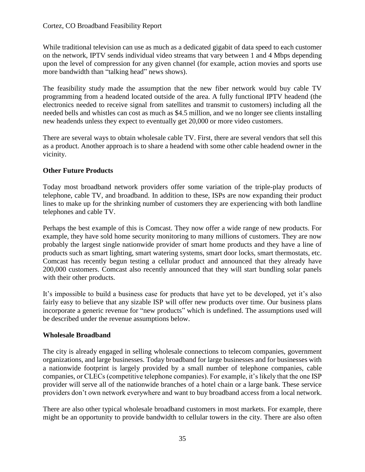While traditional television can use as much as a dedicated gigabit of data speed to each customer on the network, IPTV sends individual video streams that vary between 1 and 4 Mbps depending upon the level of compression for any given channel (for example, action movies and sports use more bandwidth than "talking head" news shows).

The feasibility study made the assumption that the new fiber network would buy cable TV programming from a headend located outside of the area. A fully functional IPTV headend (the electronics needed to receive signal from satellites and transmit to customers) including all the needed bells and whistles can cost as much as \$4.5 million, and we no longer see clients installing new headends unless they expect to eventually get 20,000 or more video customers.

There are several ways to obtain wholesale cable TV. First, there are several vendors that sell this as a product. Another approach is to share a headend with some other cable headend owner in the vicinity.

## **Other Future Products**

Today most broadband network providers offer some variation of the triple-play products of telephone, cable TV, and broadband. In addition to these, ISPs are now expanding their product lines to make up for the shrinking number of customers they are experiencing with both landline telephones and cable TV.

Perhaps the best example of this is Comcast. They now offer a wide range of new products. For example, they have sold home security monitoring to many millions of customers. They are now probably the largest single nationwide provider of smart home products and they have a line of products such as smart lighting, smart watering systems, smart door locks, smart thermostats, etc. Comcast has recently begun testing a cellular product and announced that they already have 200,000 customers. Comcast also recently announced that they will start bundling solar panels with their other products.

It's impossible to build a business case for products that have yet to be developed, yet it's also fairly easy to believe that any sizable ISP will offer new products over time. Our business plans incorporate a generic revenue for "new products" which is undefined. The assumptions used will be described under the revenue assumptions below.

## **Wholesale Broadband**

The city is already engaged in selling wholesale connections to telecom companies, government organizations, and large businesses. Today broadband for large businesses and for businesses with a nationwide footprint is largely provided by a small number of telephone companies, cable companies, or CLECs (competitive telephone companies). For example, it's likely that the one ISP provider will serve all of the nationwide branches of a hotel chain or a large bank. These service providers don't own network everywhere and want to buy broadband access from a local network.

There are also other typical wholesale broadband customers in most markets. For example, there might be an opportunity to provide bandwidth to cellular towers in the city. There are also often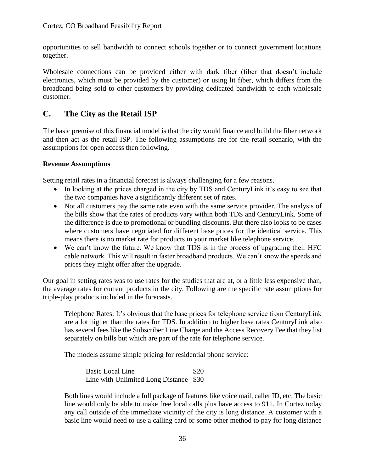opportunities to sell bandwidth to connect schools together or to connect government locations together.

Wholesale connections can be provided either with dark fiber (fiber that doesn't include electronics, which must be provided by the customer) or using lit fiber, which differs from the broadband being sold to other customers by providing dedicated bandwidth to each wholesale customer.

## **C. The City as the Retail ISP**

The basic premise of this financial model is that the city would finance and build the fiber network and then act as the retail ISP. The following assumptions are for the retail scenario, with the assumptions for open access then following.

## **Revenue Assumptions**

Setting retail rates in a financial forecast is always challenging for a few reasons.

- In looking at the prices charged in the city by TDS and CenturyLink it's easy to see that the two companies have a significantly different set of rates.
- Not all customers pay the same rate even with the same service provider. The analysis of the bills show that the rates of products vary within both TDS and CenturyLink. Some of the difference is due to promotional or bundling discounts. But there also looks to be cases where customers have negotiated for different base prices for the identical service. This means there is no market rate for products in your market like telephone service.
- We can't know the future. We know that TDS is in the process of upgrading their HFC cable network. This will result in faster broadband products. We can't know the speeds and prices they might offer after the upgrade.

Our goal in setting rates was to use rates for the studies that are at, or a little less expensive than, the average rates for current products in the city. Following are the specific rate assumptions for triple-play products included in the forecasts.

Telephone Rates: It's obvious that the base prices for telephone service from CenturyLink are a lot higher than the rates for TDS. In addition to higher base rates CenturyLink also has several fees like the Subscriber Line Charge and the Access Recovery Fee that they list separately on bills but which are part of the rate for telephone service.

The models assume simple pricing for residential phone service:

Basic Local Line \$20 Line with Unlimited Long Distance \$30

Both lines would include a full package of features like voice mail, caller ID, etc. The basic line would only be able to make free local calls plus have access to 911. In Cortez today any call outside of the immediate vicinity of the city is long distance. A customer with a basic line would need to use a calling card or some other method to pay for long distance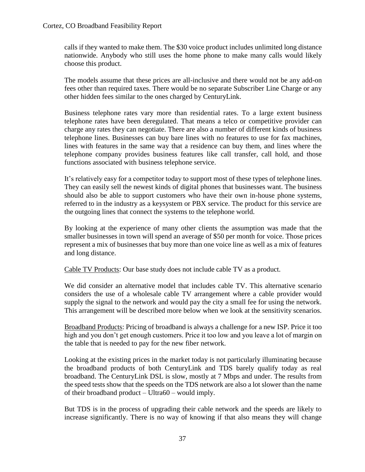calls if they wanted to make them. The \$30 voice product includes unlimited long distance nationwide. Anybody who still uses the home phone to make many calls would likely choose this product.

The models assume that these prices are all-inclusive and there would not be any add-on fees other than required taxes. There would be no separate Subscriber Line Charge or any other hidden fees similar to the ones charged by CenturyLink.

Business telephone rates vary more than residential rates. To a large extent business telephone rates have been deregulated. That means a telco or competitive provider can charge any rates they can negotiate. There are also a number of different kinds of business telephone lines. Businesses can buy bare lines with no features to use for fax machines, lines with features in the same way that a residence can buy them, and lines where the telephone company provides business features like call transfer, call hold, and those functions associated with business telephone service.

It's relatively easy for a competitor today to support most of these types of telephone lines. They can easily sell the newest kinds of digital phones that businesses want. The business should also be able to support customers who have their own in-house phone systems, referred to in the industry as a keysystem or PBX service. The product for this service are the outgoing lines that connect the systems to the telephone world.

By looking at the experience of many other clients the assumption was made that the smaller businesses in town will spend an average of \$50 per month for voice. Those prices represent a mix of businesses that buy more than one voice line as well as a mix of features and long distance.

Cable TV Products: Our base study does not include cable TV as a product.

We did consider an alternative model that includes cable TV. This alternative scenario considers the use of a wholesale cable TV arrangement where a cable provider would supply the signal to the network and would pay the city a small fee for using the network. This arrangement will be described more below when we look at the sensitivity scenarios.

Broadband Products: Pricing of broadband is always a challenge for a new ISP. Price it too high and you don't get enough customers. Price it too low and you leave a lot of margin on the table that is needed to pay for the new fiber network.

Looking at the existing prices in the market today is not particularly illuminating because the broadband products of both CenturyLink and TDS barely qualify today as real broadband. The CenturyLink DSL is slow, mostly at 7 Mbps and under. The results from the speed tests show that the speeds on the TDS network are also a lot slower than the name of their broadband product – Ultra60 – would imply.

But TDS is in the process of upgrading their cable network and the speeds are likely to increase significantly. There is no way of knowing if that also means they will change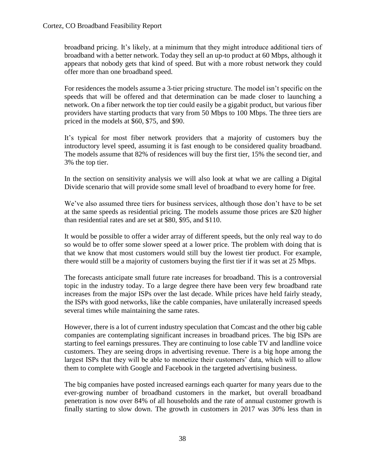broadband pricing. It's likely, at a minimum that they might introduce additional tiers of broadband with a better network. Today they sell an up-to product at 60 Mbps, although it appears that nobody gets that kind of speed. But with a more robust network they could offer more than one broadband speed.

For residences the models assume a 3-tier pricing structure. The model isn't specific on the speeds that will be offered and that determination can be made closer to launching a network. On a fiber network the top tier could easily be a gigabit product, but various fiber providers have starting products that vary from 50 Mbps to 100 Mbps. The three tiers are priced in the models at \$60, \$75, and \$90.

It's typical for most fiber network providers that a majority of customers buy the introductory level speed, assuming it is fast enough to be considered quality broadband. The models assume that 82% of residences will buy the first tier, 15% the second tier, and 3% the top tier.

In the section on sensitivity analysis we will also look at what we are calling a Digital Divide scenario that will provide some small level of broadband to every home for free.

We've also assumed three tiers for business services, although those don't have to be set at the same speeds as residential pricing. The models assume those prices are \$20 higher than residential rates and are set at \$80, \$95, and \$110.

It would be possible to offer a wider array of different speeds, but the only real way to do so would be to offer some slower speed at a lower price. The problem with doing that is that we know that most customers would still buy the lowest tier product. For example, there would still be a majority of customers buying the first tier if it was set at 25 Mbps.

The forecasts anticipate small future rate increases for broadband. This is a controversial topic in the industry today. To a large degree there have been very few broadband rate increases from the major ISPs over the last decade. While prices have held fairly steady, the ISPs with good networks, like the cable companies, have unilaterally increased speeds several times while maintaining the same rates.

However, there is a lot of current industry speculation that Comcast and the other big cable companies are contemplating significant increases in broadband prices. The big ISPs are starting to feel earnings pressures. They are continuing to lose cable TV and landline voice customers. They are seeing drops in advertising revenue. There is a big hope among the largest ISPs that they will be able to monetize their customers' data, which will to allow them to complete with Google and Facebook in the targeted advertising business.

The big companies have posted increased earnings each quarter for many years due to the ever-growing number of broadband customers in the market, but overall broadband penetration is now over 84% of all households and the rate of annual customer growth is finally starting to slow down. The growth in customers in 2017 was 30% less than in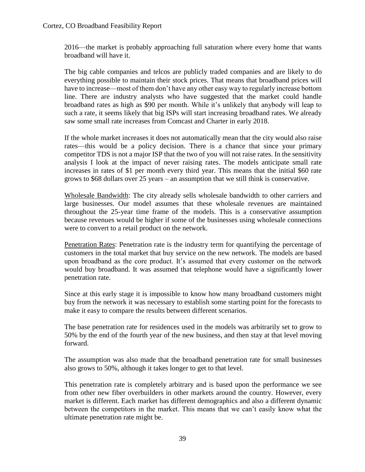2016—the market is probably approaching full saturation where every home that wants broadband will have it.

The big cable companies and telcos are publicly traded companies and are likely to do everything possible to maintain their stock prices. That means that broadband prices will have to increase—most of them don't have any other easy way to regularly increase bottom line. There are industry analysts who have suggested that the market could handle broadband rates as high as \$90 per month. While it's unlikely that anybody will leap to such a rate, it seems likely that big ISPs will start increasing broadband rates. We already saw some small rate increases from Comcast and Charter in early 2018.

If the whole market increases it does not automatically mean that the city would also raise rates—this would be a policy decision. There is a chance that since your primary competitor TDS is not a major ISP that the two of you will not raise rates. In the sensitivity analysis I look at the impact of never raising rates. The models anticipate small rate increases in rates of \$1 per month every third year. This means that the initial \$60 rate grows to \$68 dollars over 25 years – an assumption that we still think is conservative.

Wholesale Bandwidth: The city already sells wholesale bandwidth to other carriers and large businesses. Our model assumes that these wholesale revenues are maintained throughout the 25-year time frame of the models. This is a conservative assumption because revenues would be higher if some of the businesses using wholesale connections were to convert to a retail product on the network.

Penetration Rates: Penetration rate is the industry term for quantifying the percentage of customers in the total market that buy service on the new network. The models are based upon broadband as the core product. It's assumed that every customer on the network would buy broadband. It was assumed that telephone would have a significantly lower penetration rate.

Since at this early stage it is impossible to know how many broadband customers might buy from the network it was necessary to establish some starting point for the forecasts to make it easy to compare the results between different scenarios.

The base penetration rate for residences used in the models was arbitrarily set to grow to 50% by the end of the fourth year of the new business, and then stay at that level moving forward.

The assumption was also made that the broadband penetration rate for small businesses also grows to 50%, although it takes longer to get to that level.

This penetration rate is completely arbitrary and is based upon the performance we see from other new fiber overbuilders in other markets around the country. However, every market is different. Each market has different demographics and also a different dynamic between the competitors in the market. This means that we can't easily know what the ultimate penetration rate might be.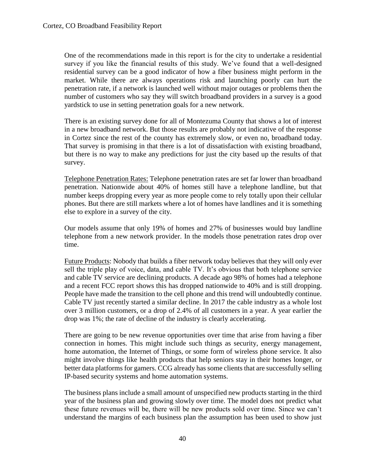One of the recommendations made in this report is for the city to undertake a residential survey if you like the financial results of this study. We've found that a well-designed residential survey can be a good indicator of how a fiber business might perform in the market. While there are always operations risk and launching poorly can hurt the penetration rate, if a network is launched well without major outages or problems then the number of customers who say they will switch broadband providers in a survey is a good yardstick to use in setting penetration goals for a new network.

There is an existing survey done for all of Montezuma County that shows a lot of interest in a new broadband network. But those results are probably not indicative of the response in Cortez since the rest of the county has extremely slow, or even no, broadband today. That survey is promising in that there is a lot of dissatisfaction with existing broadband, but there is no way to make any predictions for just the city based up the results of that survey.

Telephone Penetration Rates: Telephone penetration rates are set far lower than broadband penetration. Nationwide about 40% of homes still have a telephone landline, but that number keeps dropping every year as more people come to rely totally upon their cellular phones. But there are still markets where a lot of homes have landlines and it is something else to explore in a survey of the city.

Our models assume that only 19% of homes and 27% of businesses would buy landline telephone from a new network provider. In the models those penetration rates drop over time.

Future Products: Nobody that builds a fiber network today believes that they will only ever sell the triple play of voice, data, and cable TV. It's obvious that both telephone service and cable TV service are declining products. A decade ago 98% of homes had a telephone and a recent FCC report shows this has dropped nationwide to 40% and is still dropping. People have made the transition to the cell phone and this trend will undoubtedly continue. Cable TV just recently started a similar decline. In 2017 the cable industry as a whole lost over 3 million customers, or a drop of 2.4% of all customers in a year. A year earlier the drop was 1%; the rate of decline of the industry is clearly accelerating.

There are going to be new revenue opportunities over time that arise from having a fiber connection in homes. This might include such things as security, energy management, home automation, the Internet of Things, or some form of wireless phone service. It also might involve things like health products that help seniors stay in their homes longer, or better data platforms for gamers. CCG already has some clients that are successfully selling IP-based security systems and home automation systems.

The business plans include a small amount of unspecified new products starting in the third year of the business plan and growing slowly over time. The model does not predict what these future revenues will be, there will be new products sold over time. Since we can't understand the margins of each business plan the assumption has been used to show just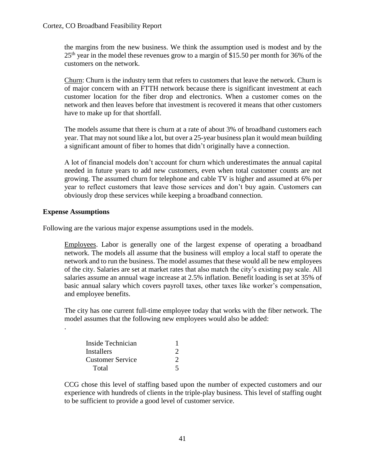the margins from the new business. We think the assumption used is modest and by the  $25<sup>th</sup>$  year in the model these revenues grow to a margin of \$15.50 per month for 36% of the customers on the network.

Churn: Churn is the industry term that refers to customers that leave the network. Churn is of major concern with an FTTH network because there is significant investment at each customer location for the fiber drop and electronics. When a customer comes on the network and then leaves before that investment is recovered it means that other customers have to make up for that shortfall.

The models assume that there is churn at a rate of about 3% of broadband customers each year. That may not sound like a lot, but over a 25-year business plan it would mean building a significant amount of fiber to homes that didn't originally have a connection.

A lot of financial models don't account for churn which underestimates the annual capital needed in future years to add new customers, even when total customer counts are not growing. The assumed churn for telephone and cable TV is higher and assumed at 6% per year to reflect customers that leave those services and don't buy again. Customers can obviously drop these services while keeping a broadband connection.

#### **Expense Assumptions**

.

Following are the various major expense assumptions used in the models.

Employees. Labor is generally one of the largest expense of operating a broadband network. The models all assume that the business will employ a local staff to operate the network and to run the business. The model assumes that these would all be new employees of the city. Salaries are set at market rates that also match the city's existing pay scale. All salaries assume an annual wage increase at 2.5% inflation. Benefit loading is set at 35% of basic annual salary which covers payroll taxes, other taxes like worker's compensation, and employee benefits.

The city has one current full-time employee today that works with the fiber network. The model assumes that the following new employees would also be added:

| Inside Technician       |  |
|-------------------------|--|
| Installers              |  |
| <b>Customer Service</b> |  |
| Total                   |  |

CCG chose this level of staffing based upon the number of expected customers and our experience with hundreds of clients in the triple-play business. This level of staffing ought to be sufficient to provide a good level of customer service.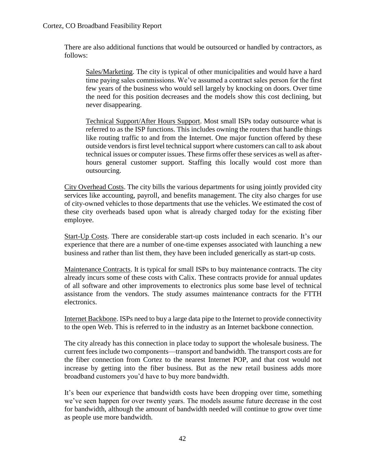There are also additional functions that would be outsourced or handled by contractors, as follows:

Sales/Marketing. The city is typical of other municipalities and would have a hard time paying sales commissions. We've assumed a contract sales person for the first few years of the business who would sell largely by knocking on doors. Over time the need for this position decreases and the models show this cost declining, but never disappearing.

Technical Support/After Hours Support. Most small ISPs today outsource what is referred to as the ISP functions. This includes owning the routers that handle things like routing traffic to and from the Internet. One major function offered by these outside vendors is first level technical support where customers can call to ask about technical issues or computer issues. These firms offer these services as well as afterhours general customer support. Staffing this locally would cost more than outsourcing.

City Overhead Costs. The city bills the various departments for using jointly provided city services like accounting, payroll, and benefits management. The city also charges for use of city-owned vehicles to those departments that use the vehicles. We estimated the cost of these city overheads based upon what is already charged today for the existing fiber employee.

Start-Up Costs. There are considerable start-up costs included in each scenario. It's our experience that there are a number of one-time expenses associated with launching a new business and rather than list them, they have been included generically as start-up costs.

Maintenance Contracts. It is typical for small ISPs to buy maintenance contracts. The city already incurs some of these costs with Calix. These contracts provide for annual updates of all software and other improvements to electronics plus some base level of technical assistance from the vendors. The study assumes maintenance contracts for the FTTH electronics.

Internet Backbone. ISPs need to buy a large data pipe to the Internet to provide connectivity to the open Web. This is referred to in the industry as an Internet backbone connection.

The city already has this connection in place today to support the wholesale business. The current fees include two components—transport and bandwidth. The transport costs are for the fiber connection from Cortez to the nearest Internet POP, and that cost would not increase by getting into the fiber business. But as the new retail business adds more broadband customers you'd have to buy more bandwidth.

It's been our experience that bandwidth costs have been dropping over time, something we've seen happen for over twenty years. The models assume future decrease in the cost for bandwidth, although the amount of bandwidth needed will continue to grow over time as people use more bandwidth.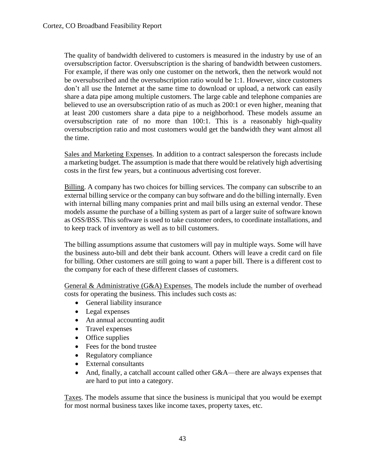The quality of bandwidth delivered to customers is measured in the industry by use of an oversubscription factor. Oversubscription is the sharing of bandwidth between customers. For example, if there was only one customer on the network, then the network would not be oversubscribed and the oversubscription ratio would be 1:1. However, since customers don't all use the Internet at the same time to download or upload, a network can easily share a data pipe among multiple customers. The large cable and telephone companies are believed to use an oversubscription ratio of as much as 200:1 or even higher, meaning that at least 200 customers share a data pipe to a neighborhood. These models assume an oversubscription rate of no more than 100:1. This is a reasonably high-quality oversubscription ratio and most customers would get the bandwidth they want almost all the time.

Sales and Marketing Expenses. In addition to a contract salesperson the forecasts include a marketing budget. The assumption is made that there would be relatively high advertising costs in the first few years, but a continuous advertising cost forever.

Billing. A company has two choices for billing services. The company can subscribe to an external billing service or the company can buy software and do the billing internally. Even with internal billing many companies print and mail bills using an external vendor. These models assume the purchase of a billing system as part of a larger suite of software known as OSS/BSS. This software is used to take customer orders, to coordinate installations, and to keep track of inventory as well as to bill customers.

The billing assumptions assume that customers will pay in multiple ways. Some will have the business auto-bill and debt their bank account. Others will leave a credit card on file for billing. Other customers are still going to want a paper bill. There is a different cost to the company for each of these different classes of customers.

General & Administrative (G&A) Expenses. The models include the number of overhead costs for operating the business. This includes such costs as:

- General liability insurance
- Legal expenses
- An annual accounting audit
- Travel expenses
- Office supplies
- Fees for the bond trustee
- Regulatory compliance
- External consultants
- And, finally, a catchall account called other G&A—there are always expenses that are hard to put into a category.

Taxes. The models assume that since the business is municipal that you would be exempt for most normal business taxes like income taxes, property taxes, etc.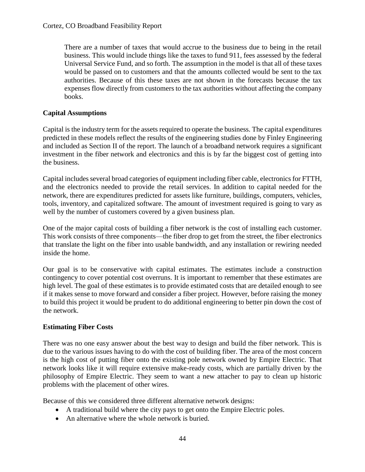There are a number of taxes that would accrue to the business due to being in the retail business. This would include things like the taxes to fund 911, fees assessed by the federal Universal Service Fund, and so forth. The assumption in the model is that all of these taxes would be passed on to customers and that the amounts collected would be sent to the tax authorities. Because of this these taxes are not shown in the forecasts because the tax expenses flow directly from customers to the tax authorities without affecting the company books.

### **Capital Assumptions**

Capital is the industry term for the assets required to operate the business. The capital expenditures predicted in these models reflect the results of the engineering studies done by Finley Engineering and included as Section II of the report. The launch of a broadband network requires a significant investment in the fiber network and electronics and this is by far the biggest cost of getting into the business.

Capital includes several broad categories of equipment including fiber cable, electronics for FTTH, and the electronics needed to provide the retail services. In addition to capital needed for the network, there are expenditures predicted for assets like furniture, buildings, computers, vehicles, tools, inventory, and capitalized software. The amount of investment required is going to vary as well by the number of customers covered by a given business plan.

One of the major capital costs of building a fiber network is the cost of installing each customer. This work consists of three components—the fiber drop to get from the street, the fiber electronics that translate the light on the fiber into usable bandwidth, and any installation or rewiring needed inside the home.

Our goal is to be conservative with capital estimates. The estimates include a construction contingency to cover potential cost overruns. It is important to remember that these estimates are high level. The goal of these estimates is to provide estimated costs that are detailed enough to see if it makes sense to move forward and consider a fiber project. However, before raising the money to build this project it would be prudent to do additional engineering to better pin down the cost of the network.

### **Estimating Fiber Costs**

There was no one easy answer about the best way to design and build the fiber network. This is due to the various issues having to do with the cost of building fiber. The area of the most concern is the high cost of putting fiber onto the existing pole network owned by Empire Electric. That network looks like it will require extensive make-ready costs, which are partially driven by the philosophy of Empire Electric. They seem to want a new attacher to pay to clean up historic problems with the placement of other wires.

Because of this we considered three different alternative network designs:

- A traditional build where the city pays to get onto the Empire Electric poles.
- An alternative where the whole network is buried.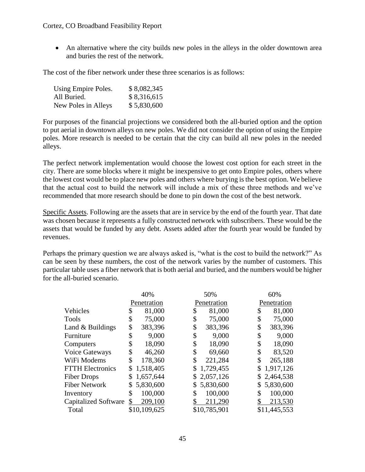• An alternative where the city builds new poles in the alleys in the older downtown area and buries the rest of the network.

The cost of the fiber network under these three scenarios is as follows:

| Using Empire Poles. | \$8,082,345 |
|---------------------|-------------|
| All Buried.         | \$8,316,615 |
| New Poles in Alleys | \$5,830,600 |

For purposes of the financial projections we considered both the all-buried option and the option to put aerial in downtown alleys on new poles. We did not consider the option of using the Empire poles. More research is needed to be certain that the city can build all new poles in the needed alleys.

The perfect network implementation would choose the lowest cost option for each street in the city. There are some blocks where it might be inexpensive to get onto Empire poles, others where the lowest cost would be to place new poles and others where burying is the best option. We believe that the actual cost to build the network will include a mix of these three methods and we've recommended that more research should be done to pin down the cost of the best network.

Specific Assets. Following are the assets that are in service by the end of the fourth year. That date was chosen because it represents a fully constructed network with subscribers. These would be the assets that would be funded by any debt. Assets added after the fourth year would be funded by revenues.

Perhaps the primary question we are always asked is, "what is the cost to build the network?" As can be seen by these numbers, the cost of the network varies by the number of customers. This particular table uses a fiber network that is both aerial and buried, and the numbers would be higher for the all-buried scenario.

|                             | 40%           | 50%          | 60%          |
|-----------------------------|---------------|--------------|--------------|
|                             | Penetration   | Penetration  | Penetration  |
| Vehicles                    | 81,000        | \$           | 81,000       |
|                             | \$            | 81,000       | \$           |
| Tools                       | 75,000        | \$           | \$           |
|                             | \$            | 75,000       | 75,000       |
| Land & Buildings            | \$            | \$           | \$           |
|                             | 383,396       | 383,396      | 383,396      |
| Furniture                   | \$            | \$           | \$           |
|                             | 9,000         | 9,000        | 9,000        |
| Computers                   | \$            | \$           | \$           |
|                             | 18,090        | 18,090       | 18,090       |
| Voice Gateways              | \$            | \$           | \$           |
|                             | 46,260        | 69,660       | 83,520       |
| WiFi Modems                 | \$            | \$           | \$           |
|                             | 178,360       | 221,284      | 265,188      |
| <b>FTTH Electronics</b>     | 1,518,405     | 1,729,455    | \$           |
|                             | \$            | \$           | 1,917,126    |
| <b>Fiber Drops</b>          | 1,657,644     | 2,057,126    | 2,464,538    |
|                             | \$            | \$           | \$           |
| <b>Fiber Network</b>        | 5,830,600     | 5,830,600    | 5,830,600    |
|                             | \$            | \$           | \$           |
| Inventory                   | 100,000       | 100,000      | \$           |
|                             | \$            | \$           | 100,000      |
| <b>Capitalized Software</b> | 209,100<br>\$ | 211,290      | 213,530      |
| Total                       | \$10,109,625  | \$10,785,901 | \$11,445,553 |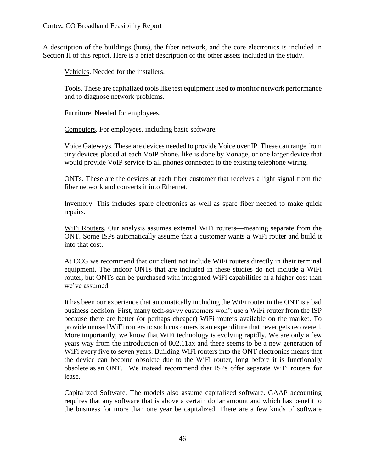A description of the buildings (huts), the fiber network, and the core electronics is included in Section II of this report. Here is a brief description of the other assets included in the study.

Vehicles. Needed for the installers.

Tools. These are capitalized tools like test equipment used to monitor network performance and to diagnose network problems.

Furniture. Needed for employees.

Computers. For employees, including basic software.

Voice Gateways. These are devices needed to provide Voice over IP. These can range from tiny devices placed at each VoIP phone, like is done by Vonage, or one larger device that would provide VoIP service to all phones connected to the existing telephone wiring.

ONTs. These are the devices at each fiber customer that receives a light signal from the fiber network and converts it into Ethernet.

Inventory. This includes spare electronics as well as spare fiber needed to make quick repairs.

WiFi Routers. Our analysis assumes external WiFi routers—meaning separate from the ONT. Some ISPs automatically assume that a customer wants a WiFi router and build it into that cost.

At CCG we recommend that our client not include WiFi routers directly in their terminal equipment. The indoor ONTs that are included in these studies do not include a WiFi router, but ONTs can be purchased with integrated WiFi capabilities at a higher cost than we've assumed.

It has been our experience that automatically including the WiFi router in the ONT is a bad business decision. First, many tech-savvy customers won't use a WiFi router from the ISP because there are better (or perhaps cheaper) WiFi routers available on the market. To provide unused WiFi routers to such customers is an expenditure that never gets recovered. More importantly, we know that WiFi technology is evolving rapidly. We are only a few years way from the introduction of 802.11ax and there seems to be a new generation of WiFi every five to seven years. Building WiFi routers into the ONT electronics means that the device can become obsolete due to the WiFi router, long before it is functionally obsolete as an ONT. We instead recommend that ISPs offer separate WiFi routers for lease.

Capitalized Software. The models also assume capitalized software. GAAP accounting requires that any software that is above a certain dollar amount and which has benefit to the business for more than one year be capitalized. There are a few kinds of software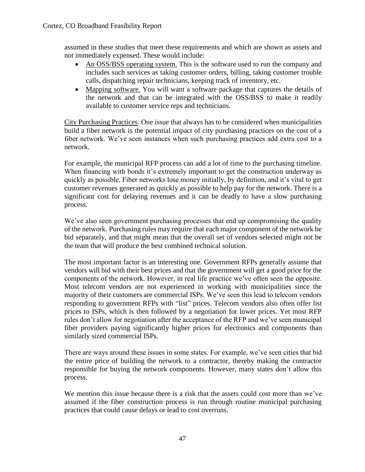assumed in these studies that meet these requirements and which are shown as assets and not immediately expensed. These would include:

- An OSS/BSS operating system. This is the software used to run the company and includes such services as taking customer orders, billing, taking customer trouble calls, dispatching repair technicians, keeping track of inventory, etc.
- Mapping software. You will want a software package that captures the details of the network and that can be integrated with the OSS/BSS to make it readily available to customer service reps and technicians.

City Purchasing Practices. One issue that always has to be considered when municipalities build a fiber network is the potential impact of city purchasing practices on the cost of a fiber network. We've seen instances when such purchasing practices add extra cost to a network.

For example, the municipal RFP process can add a lot of time to the purchasing timeline. When financing with bonds it's extremely important to get the construction underway as quickly as possible. Fiber networks lose money initially, by definition, and it's vital to get customer revenues generated as quickly as possible to help pay for the network. There is a significant cost for delaying revenues and it can be deadly to have a slow purchasing process.

We've also seen government purchasing processes that end up compromising the quality of the network. Purchasing rules may require that each major component of the network be bid separately, and that might mean that the overall set of vendors selected might not be the team that will produce the best combined technical solution.

The most important factor is an interesting one. Government RFPs generally assume that vendors will bid with their best prices and that the government will get a good price for the components of the network. However, in real life practice we've often seen the opposite. Most telecom vendors are not experienced in working with municipalities since the majority of their customers are commercial ISPs. We've seen this lead to telecom vendors responding to government RFPs with "list" prices. Telecom vendors also often offer list prices to ISPs, which is then followed by a negotiation for lower prices. Yet most RFP rules don't allow for negotiation after the acceptance of the RFP and we've seen municipal fiber providers paying significantly higher prices for electronics and components than similarly sized commercial ISPs.

There are ways around these issues in some states. For example, we've seen cities that bid the entire price of building the network to a contractor, thereby making the contractor responsible for buying the network components. However, many states don't allow this process.

We mention this issue because there is a risk that the assets could cost more than we've assumed if the fiber construction process is run through routine municipal purchasing practices that could cause delays or lead to cost overruns.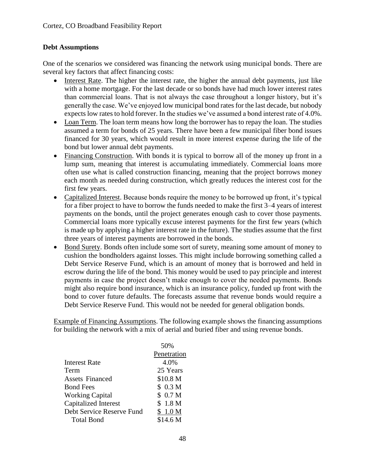## **Debt Assumptions**

One of the scenarios we considered was financing the network using municipal bonds. There are several key factors that affect financing costs:

- Interest Rate. The higher the interest rate, the higher the annual debt payments, just like with a home mortgage. For the last decade or so bonds have had much lower interest rates than commercial loans. That is not always the case throughout a longer history, but it's generally the case. We've enjoyed low municipal bond rates for the last decade, but nobody expects low rates to hold forever. In the studies we've assumed a bond interest rate of 4.0%.
- Loan Term. The loan term means how long the borrower has to repay the loan. The studies assumed a term for bonds of 25 years. There have been a few municipal fiber bond issues financed for 30 years, which would result in more interest expense during the life of the bond but lower annual debt payments.
- Financing Construction. With bonds it is typical to borrow all of the money up front in a lump sum, meaning that interest is accumulating immediately. Commercial loans more often use what is called construction financing, meaning that the project borrows money each month as needed during construction, which greatly reduces the interest cost for the first few years.
- Capitalized Interest. Because bonds require the money to be borrowed up front, it's typical for a fiber project to have to borrow the funds needed to make the first 3–4 years of interest payments on the bonds, until the project generates enough cash to cover those payments. Commercial loans more typically excuse interest payments for the first few years (which is made up by applying a higher interest rate in the future). The studies assume that the first three years of interest payments are borrowed in the bonds.
- Bond Surety. Bonds often include some sort of surety, meaning some amount of money to cushion the bondholders against losses. This might include borrowing something called a Debt Service Reserve Fund, which is an amount of money that is borrowed and held in escrow during the life of the bond. This money would be used to pay principle and interest payments in case the project doesn't make enough to cover the needed payments. Bonds might also require bond insurance, which is an insurance policy, funded up front with the bond to cover future defaults. The forecasts assume that revenue bonds would require a Debt Service Reserve Fund. This would not be needed for general obligation bonds.

Example of Financing Assumptions. The following example shows the financing assumptions for building the network with a mix of aerial and buried fiber and using revenue bonds.

| 50%                |
|--------------------|
| Penetration        |
| 4.0%               |
| 25 Years           |
| \$10.8 M           |
| \$0.3 <sub>M</sub> |
| \$0.7 <sub>M</sub> |
| \$1.8 <sub>M</sub> |
| \$1.0 <sub>M</sub> |
| \$14.6 M           |
|                    |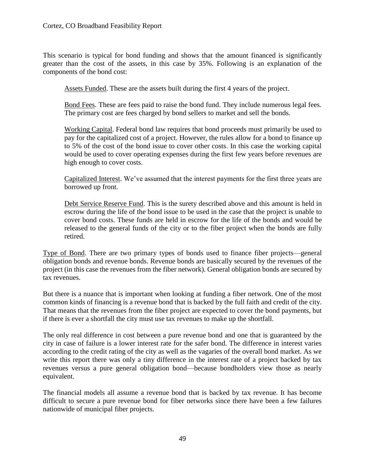This scenario is typical for bond funding and shows that the amount financed is significantly greater than the cost of the assets, in this case by 35%. Following is an explanation of the components of the bond cost:

Assets Funded. These are the assets built during the first 4 years of the project.

Bond Fees. These are fees paid to raise the bond fund. They include numerous legal fees. The primary cost are fees charged by bond sellers to market and sell the bonds.

Working Capital. Federal bond law requires that bond proceeds must primarily be used to pay for the capitalized cost of a project. However, the rules allow for a bond to finance up to 5% of the cost of the bond issue to cover other costs. In this case the working capital would be used to cover operating expenses during the first few years before revenues are high enough to cover costs.

Capitalized Interest. We've assumed that the interest payments for the first three years are borrowed up front.

Debt Service Reserve Fund. This is the surety described above and this amount is held in escrow during the life of the bond issue to be used in the case that the project is unable to cover bond costs. These funds are held in escrow for the life of the bonds and would be released to the general funds of the city or to the fiber project when the bonds are fully retired.

Type of Bond. There are two primary types of bonds used to finance fiber projects—general obligation bonds and revenue bonds. Revenue bonds are basically secured by the revenues of the project (in this case the revenues from the fiber network). General obligation bonds are secured by tax revenues.

But there is a nuance that is important when looking at funding a fiber network. One of the most common kinds of financing is a revenue bond that is backed by the full faith and credit of the city. That means that the revenues from the fiber project are expected to cover the bond payments, but if there is ever a shortfall the city must use tax revenues to make up the shortfall.

The only real difference in cost between a pure revenue bond and one that is guaranteed by the city in case of failure is a lower interest rate for the safer bond. The difference in interest varies according to the credit rating of the city as well as the vagaries of the overall bond market. As we write this report there was only a tiny difference in the interest rate of a project backed by tax revenues versus a pure general obligation bond—because bondholders view those as nearly equivalent.

The financial models all assume a revenue bond that is backed by tax revenue. It has become difficult to secure a pure revenue bond for fiber networks since there have been a few failures nationwide of municipal fiber projects.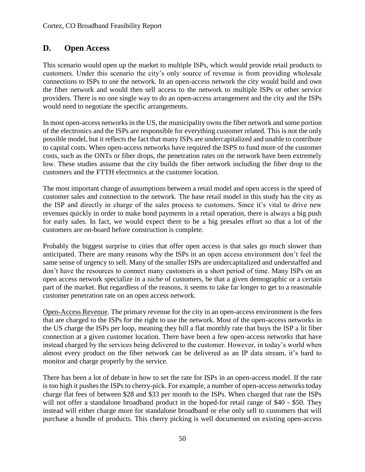# **D. Open Access**

This scenario would open up the market to multiple ISPs, which would provide retail products to customers. Under this scenario the city's only source of revenue is from providing wholesale connections to ISPs to use the network. In an open-access network the city would build and own the fiber network and would then sell access to the network to multiple ISPs or other service providers. There is no one single way to do an open-access arrangement and the city and the ISPs would need to negotiate the specific arrangements.

In most open-access networks in the US, the municipality owns the fiber network and some portion of the electronics and the ISPs are responsible for everything customer related. This is not the only possible model, but it reflects the fact that many ISPs are undercapitalized and unable to contribute to capital costs. When open-access networks have required the ISPS to fund more of the customer costs, such as the ONTs or fiber drops, the penetration rates on the network have been extremely low. These studies assume that the city builds the fiber network including the fiber drop to the customers and the FTTH electronics at the customer location.

The most important change of assumptions between a retail model and open access is the speed of customer sales and connection to the network. The base retail model in this study has the city as the ISP and directly in charge of the sales process to customers. Since it's vital to drive new revenues quickly in order to make bond payments in a retail operation, there is always a big push for early sales. In fact, we would expect there to be a big presales effort so that a lot of the customers are on-board before construction is complete.

Probably the biggest surprise to cities that offer open access is that sales go much slower than anticipated. There are many reasons why the ISPs in an open access environment don't feel the same sense of urgency to sell. Many of the smaller ISPs are undercapitalized and understaffed and don't have the resources to connect many customers in a short period of time. Many ISPs on an open access network specialize in a niche of customers, be that a given demographic or a certain part of the market. But regardless of the reasons, it seems to take far longer to get to a reasonable customer penetration rate on an open access network.

Open-Access Revenue. The primary revenue for the city in an open-access environment is the fees that are charged to the ISPs for the right to use the network. Most of the open-access networks in the US charge the ISPs per loop, meaning they bill a flat monthly rate that buys the ISP a lit fiber connection at a given customer location. There have been a few open-access networks that have instead charged by the services being delivered to the customer. However, in today's world when almost every product on the fiber network can be delivered as an IP data stream, it's hard to monitor and charge properly by the service.

There has been a lot of debate in how to set the rate for ISPs in an open-access model. If the rate is too high it pushes the ISPs to cherry-pick. For example, a number of open-access networks today charge flat fees of between \$28 and \$33 per month to the ISPs. When charged that rate the ISPs will not offer a standalone broadband product in the hoped-for retail range of \$40 - \$50. They instead will either charge more for standalone broadband or else only sell to customers that will purchase a bundle of products. This cherry picking is well documented on existing open-access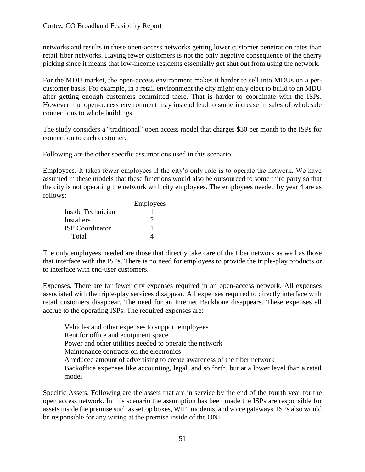networks and results in these open-access networks getting lower customer penetration rates than retail fiber networks. Having fewer customers is not the only negative consequence of the cherry picking since it means that low-income residents essentially get shut out from using the network.

For the MDU market, the open-access environment makes it harder to sell into MDUs on a percustomer basis. For example, in a retail environment the city might only elect to build to an MDU after getting enough customers committed there. That is harder to coordinate with the ISPs. However, the open-access environment may instead lead to some increase in sales of wholesale connections to whole buildings.

The study considers a "traditional" open access model that charges \$30 per month to the ISPs for connection to each customer.

Following are the other specific assumptions used in this scenario.

Employees. It takes fewer employees if the city's only role is to operate the network. We have assumed in these models that these functions would also be outsourced to some third party so that the city is not operating the network with city employees. The employees needed by year 4 are as follows:

|                        | Employees |
|------------------------|-----------|
| Inside Technician      |           |
| <b>Installers</b>      | 2         |
| <b>ISP</b> Coordinator |           |
| Total                  |           |

The only employees needed are those that directly take care of the fiber network as well as those that interface with the ISPs. There is no need for employees to provide the triple-play products or to interface with end-user customers.

Expenses. There are far fewer city expenses required in an open-access network. All expenses associated with the triple-play services disappear. All expenses required to directly interface with retail customers disappear. The need for an Internet Backbone disappears. These expenses all accrue to the operating ISPs. The required expenses are:

Vehicles and other expenses to support employees Rent for office and equipment space Power and other utilities needed to operate the network Maintenance contracts on the electronics A reduced amount of advertising to create awareness of the fiber network Backoffice expenses like accounting, legal, and so forth, but at a lower level than a retail model

Specific Assets. Following are the assets that are in service by the end of the fourth year for the open access network. In this scenario the assumption has been made the ISPs are responsible for assets inside the premise such as settop boxes, WIFI modems, and voice gateways. ISPs also would be responsible for any wiring at the premise inside of the ONT.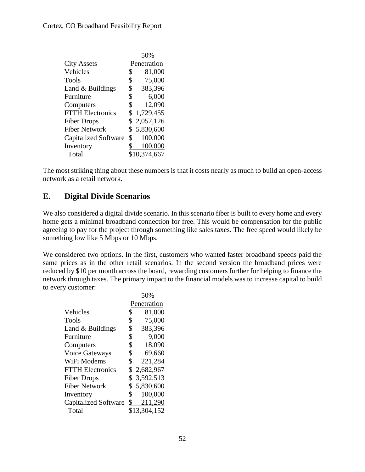|                             | 50%             |
|-----------------------------|-----------------|
| <b>City Assets</b>          | Penetration     |
| Vehicles                    | \$<br>81,000    |
| Tools                       | \$<br>75,000    |
| Land & Buildings            | \$<br>383,396   |
| Furniture                   | \$<br>6,000     |
| Computers                   | \$<br>12,090    |
| <b>FTTH Electronics</b>     | \$<br>1,729,455 |
| <b>Fiber Drops</b>          | \$2,057,126     |
| <b>Fiber Network</b>        | \$5,830,600     |
| <b>Capitalized Software</b> | \$<br>100,000   |
| Inventory                   | 100,000         |
| Total                       | \$10,374,667    |
|                             |                 |

The most striking thing about these numbers is that it costs nearly as much to build an open-access network as a retail network.

# **E. Digital Divide Scenarios**

We also considered a digital divide scenario. In this scenario fiber is built to every home and every home gets a minimal broadband connection for free. This would be compensation for the public agreeing to pay for the project through something like sales taxes. The free speed would likely be something low like 5 Mbps or 10 Mbps.

We considered two options. In the first, customers who wanted faster broadband speeds paid the same prices as in the other retail scenarios. In the second version the broadband prices were reduced by \$10 per month across the board, rewarding customers further for helping to finance the network through taxes. The primary impact to the financial models was to increase capital to build to every customer:

 $50<sub>0</sub>$ 

|                             | .)VY0           |
|-----------------------------|-----------------|
|                             | Penetration     |
| Vehicles                    | \$<br>81,000    |
| Tools                       | \$<br>75,000    |
| Land & Buildings            | \$<br>383,396   |
| Furniture                   | \$<br>9,000     |
| Computers                   | \$<br>18,090    |
| <b>Voice Gateways</b>       | \$<br>69,660    |
| WiFi Modems                 | \$<br>221,284   |
| <b>FTTH Electronics</b>     | \$2,682,967     |
| <b>Fiber Drops</b>          | \$<br>3,592,513 |
| <b>Fiber Network</b>        | \$<br>5,830,600 |
| Inventory                   | \$<br>100,000   |
| <b>Capitalized Software</b> | \$<br>211,290   |
| Total                       | \$13,304,152    |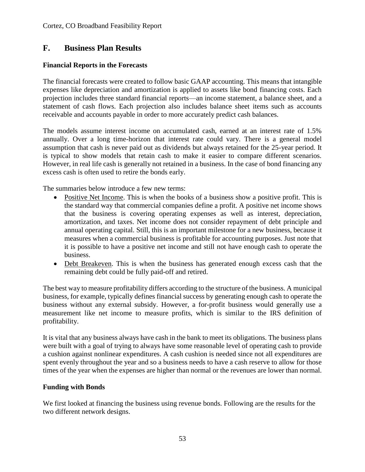## **F. Business Plan Results**

### **Financial Reports in the Forecasts**

The financial forecasts were created to follow basic GAAP accounting. This means that intangible expenses like depreciation and amortization is applied to assets like bond financing costs. Each projection includes three standard financial reports—an income statement, a balance sheet, and a statement of cash flows. Each projection also includes balance sheet items such as accounts receivable and accounts payable in order to more accurately predict cash balances.

The models assume interest income on accumulated cash, earned at an interest rate of 1.5% annually. Over a long time-horizon that interest rate could vary. There is a general model assumption that cash is never paid out as dividends but always retained for the 25-year period. It is typical to show models that retain cash to make it easier to compare different scenarios. However, in real life cash is generally not retained in a business. In the case of bond financing any excess cash is often used to retire the bonds early.

The summaries below introduce a few new terms:

- Positive Net Income. This is when the books of a business show a positive profit. This is the standard way that commercial companies define a profit. A positive net income shows that the business is covering operating expenses as well as interest, depreciation, amortization, and taxes. Net income does not consider repayment of debt principle and annual operating capital. Still, this is an important milestone for a new business, because it measures when a commercial business is profitable for accounting purposes. Just note that it is possible to have a positive net income and still not have enough cash to operate the business.
- Debt Breakeven. This is when the business has generated enough excess cash that the remaining debt could be fully paid-off and retired.

The best way to measure profitability differs according to the structure of the business. A municipal business, for example, typically defines financial success by generating enough cash to operate the business without any external subsidy. However, a for-profit business would generally use a measurement like net income to measure profits, which is similar to the IRS definition of profitability.

It is vital that any business always have cash in the bank to meet its obligations. The business plans were built with a goal of trying to always have some reasonable level of operating cash to provide a cushion against nonlinear expenditures. A cash cushion is needed since not all expenditures are spent evenly throughout the year and so a business needs to have a cash reserve to allow for those times of the year when the expenses are higher than normal or the revenues are lower than normal.

### **Funding with Bonds**

We first looked at financing the business using revenue bonds. Following are the results for the two different network designs.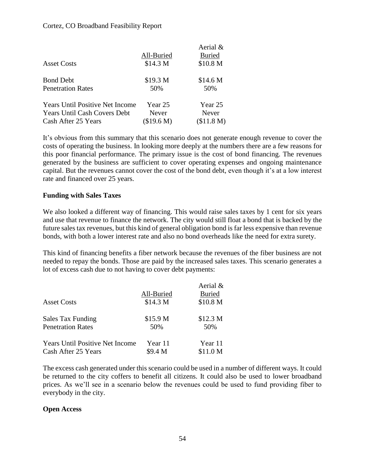#### Cortez, CO Broadband Feasibility Report

|                                        |                     | Aerial &      |
|----------------------------------------|---------------------|---------------|
|                                        | All-Buried          | <b>Buried</b> |
| <b>Asset Costs</b>                     | \$14.3 <sub>M</sub> | \$10.8 M      |
| <b>Bond Debt</b>                       | \$19.3 M            | \$14.6 M      |
| <b>Penetration Rates</b>               | 50%                 | 50%           |
| <b>Years Until Positive Net Income</b> | Year 25             | Year 25       |
| <b>Years Until Cash Covers Debt</b>    | Never               | Never         |
| Cash After 25 Years                    | (\$19.6 M)          | (\$11.8 M)    |

It's obvious from this summary that this scenario does not generate enough revenue to cover the costs of operating the business. In looking more deeply at the numbers there are a few reasons for this poor financial performance. The primary issue is the cost of bond financing. The revenues generated by the business are sufficient to cover operating expenses and ongoing maintenance capital. But the revenues cannot cover the cost of the bond debt, even though it's at a low interest rate and financed over 25 years.

#### **Funding with Sales Taxes**

We also looked a different way of financing. This would raise sales taxes by 1 cent for six years and use that revenue to finance the network. The city would still float a bond that is backed by the future sales tax revenues, but this kind of general obligation bond is far less expensive than revenue bonds, with both a lower interest rate and also no bond overheads like the need for extra surety.

This kind of financing benefits a fiber network because the revenues of the fiber business are not needed to repay the bonds. Those are paid by the increased sales taxes. This scenario generates a lot of excess cash due to not having to cover debt payments:

|                                        |                     | Aerial &            |
|----------------------------------------|---------------------|---------------------|
|                                        | All-Buried          | <b>Buried</b>       |
| <b>Asset Costs</b>                     | \$14.3 <sub>M</sub> | \$10.8 M            |
| Sales Tax Funding                      | \$15.9 <sub>M</sub> | \$12.3 <sub>M</sub> |
| <b>Penetration Rates</b>               | 50%                 | 50%                 |
| <b>Years Until Positive Net Income</b> | Year 11             | Year 11             |
| Cash After 25 Years                    | \$9.4 M             | \$11.0 <sub>M</sub> |

The excess cash generated under this scenario could be used in a number of different ways. It could be returned to the city coffers to benefit all citizens. It could also be used to lower broadband prices. As we'll see in a scenario below the revenues could be used to fund providing fiber to everybody in the city.

#### **Open Access**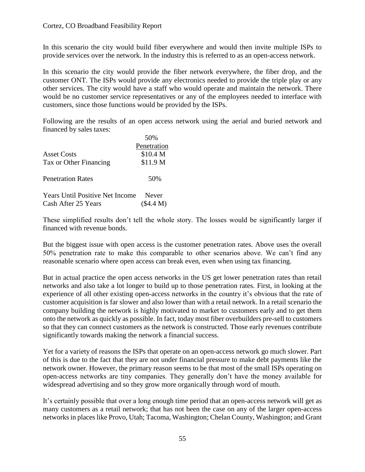In this scenario the city would build fiber everywhere and would then invite multiple ISPs to provide services over the network. In the industry this is referred to as an open-access network.

In this scenario the city would provide the fiber network everywhere, the fiber drop, and the customer ONT. The ISPs would provide any electronics needed to provide the triple play or any other services. The city would have a staff who would operate and maintain the network. There would be no customer service representatives or any of the employees needed to interface with customers, since those functions would be provided by the ISPs.

Following are the results of an open access network using the aerial and buried network and financed by sales taxes:

|                                                               | 50%                       |
|---------------------------------------------------------------|---------------------------|
|                                                               | Penetration               |
| <b>Asset Costs</b>                                            | \$10.4 M                  |
| Tax or Other Financing                                        | \$11.9 <sub>M</sub>       |
| <b>Penetration Rates</b>                                      | 50%                       |
| <b>Years Until Positive Net Income</b><br>Cash After 25 Years | <b>Never</b><br>(\$4.4 M) |

These simplified results don't tell the whole story. The losses would be significantly larger if financed with revenue bonds.

But the biggest issue with open access is the customer penetration rates. Above uses the overall 50% penetration rate to make this comparable to other scenarios above. We can't find any reasonable scenario where open access can break even, even when using tax financing.

But in actual practice the open access networks in the US get lower penetration rates than retail networks and also take a lot longer to build up to those penetration rates. First, in looking at the experience of all other existing open-access networks in the country it's obvious that the rate of customer acquisition is far slower and also lower than with a retail network. In a retail scenario the company building the network is highly motivated to market to customers early and to get them onto the network as quickly as possible. In fact, today most fiber overbuilders pre-sell to customers so that they can connect customers as the network is constructed. Those early revenues contribute significantly towards making the network a financial success.

Yet for a variety of reasons the ISPs that operate on an open-access network go much slower. Part of this is due to the fact that they are not under financial pressure to make debt payments like the network owner. However, the primary reason seems to be that most of the small ISPs operating on open-access networks are tiny companies. They generally don't have the money available for widespread advertising and so they grow more organically through word of mouth.

It's certainly possible that over a long enough time period that an open-access network will get as many customers as a retail network; that has not been the case on any of the larger open-access networks in places like Provo, Utah; Tacoma, Washington; Chelan County, Washington; and Grant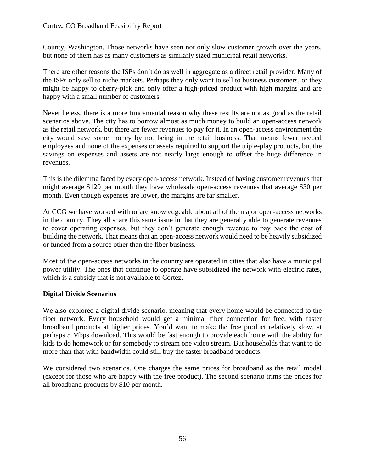#### Cortez, CO Broadband Feasibility Report

County, Washington. Those networks have seen not only slow customer growth over the years, but none of them has as many customers as similarly sized municipal retail networks.

There are other reasons the ISPs don't do as well in aggregate as a direct retail provider. Many of the ISPs only sell to niche markets. Perhaps they only want to sell to business customers, or they might be happy to cherry-pick and only offer a high-priced product with high margins and are happy with a small number of customers.

Nevertheless, there is a more fundamental reason why these results are not as good as the retail scenarios above. The city has to borrow almost as much money to build an open-access network as the retail network, but there are fewer revenues to pay for it. In an open-access environment the city would save some money by not being in the retail business. That means fewer needed employees and none of the expenses or assets required to support the triple-play products, but the savings on expenses and assets are not nearly large enough to offset the huge difference in revenues.

This is the dilemma faced by every open-access network. Instead of having customer revenues that might average \$120 per month they have wholesale open-access revenues that average \$30 per month. Even though expenses are lower, the margins are far smaller.

At CCG we have worked with or are knowledgeable about all of the major open-access networks in the country. They all share this same issue in that they are generally able to generate revenues to cover operating expenses, but they don't generate enough revenue to pay back the cost of building the network. That means that an open-access network would need to be heavily subsidized or funded from a source other than the fiber business.

Most of the open-access networks in the country are operated in cities that also have a municipal power utility. The ones that continue to operate have subsidized the network with electric rates, which is a subsidy that is not available to Cortez.

### **Digital Divide Scenarios**

We also explored a digital divide scenario, meaning that every home would be connected to the fiber network. Every household would get a minimal fiber connection for free, with faster broadband products at higher prices. You'd want to make the free product relatively slow, at perhaps 5 Mbps download. This would be fast enough to provide each home with the ability for kids to do homework or for somebody to stream one video stream. But households that want to do more than that with bandwidth could still buy the faster broadband products.

We considered two scenarios. One charges the same prices for broadband as the retail model (except for those who are happy with the free product). The second scenario trims the prices for all broadband products by \$10 per month.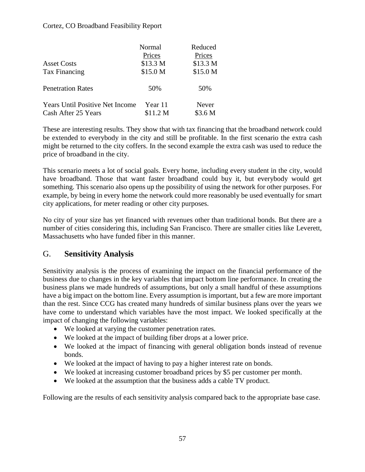#### Cortez, CO Broadband Feasibility Report

|                                        | Normal   | Reduced  |
|----------------------------------------|----------|----------|
|                                        | Prices   | Prices   |
| <b>Asset Costs</b>                     | \$13.3 M | \$13.3 M |
| Tax Financing                          | \$15.0 M | \$15.0 M |
| <b>Penetration Rates</b>               | 50%      | 50%      |
| <b>Years Until Positive Net Income</b> | Year 11  | Never    |
| Cash After 25 Years                    | \$11.2 M | \$3.6 M  |

These are interesting results. They show that with tax financing that the broadband network could be extended to everybody in the city and still be profitable. In the first scenario the extra cash might be returned to the city coffers. In the second example the extra cash was used to reduce the price of broadband in the city.

This scenario meets a lot of social goals. Every home, including every student in the city, would have broadband. Those that want faster broadband could buy it, but everybody would get something. This scenario also opens up the possibility of using the network for other purposes. For example, by being in every home the network could more reasonably be used eventually for smart city applications, for meter reading or other city purposes.

No city of your size has yet financed with revenues other than traditional bonds. But there are a number of cities considering this, including San Francisco. There are smaller cities like Leverett, Massachusetts who have funded fiber in this manner.

## G. **Sensitivity Analysis**

Sensitivity analysis is the process of examining the impact on the financial performance of the business due to changes in the key variables that impact bottom line performance. In creating the business plans we made hundreds of assumptions, but only a small handful of these assumptions have a big impact on the bottom line. Every assumption is important, but a few are more important than the rest. Since CCG has created many hundreds of similar business plans over the years we have come to understand which variables have the most impact. We looked specifically at the impact of changing the following variables:

- We looked at varying the customer penetration rates.
- We looked at the impact of building fiber drops at a lower price.
- We looked at the impact of financing with general obligation bonds instead of revenue bonds.
- We looked at the impact of having to pay a higher interest rate on bonds.
- We looked at increasing customer broadband prices by \$5 per customer per month.
- We looked at the assumption that the business adds a cable TV product.

Following are the results of each sensitivity analysis compared back to the appropriate base case.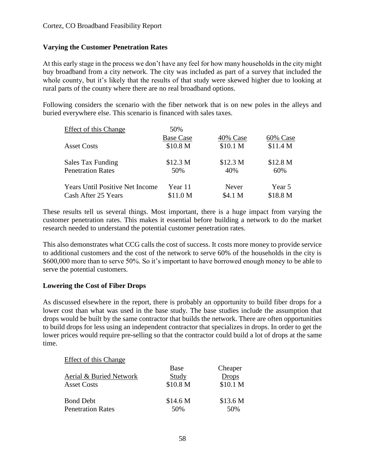## **Varying the Customer Penetration Rates**

At this early stage in the process we don't have any feel for how many households in the city might buy broadband from a city network. The city was included as part of a survey that included the whole county, but it's likely that the results of that study were skewed higher due to looking at rural parts of the county where there are no real broadband options.

Following considers the scenario with the fiber network that is on new poles in the alleys and buried everywhere else. This scenario is financed with sales taxes.

| <b>Effect of this Change</b>           | 50%                 |                     |          |
|----------------------------------------|---------------------|---------------------|----------|
|                                        | <b>Base Case</b>    | 40% Case            | 60% Case |
| <b>Asset Costs</b>                     | \$10.8 M            | \$10.1 <sub>M</sub> | \$11.4 M |
| Sales Tax Funding                      | \$12.3 M            | \$12.3 M            | \$12.8 M |
| <b>Penetration Rates</b>               | 50%                 | 40%                 | 60%      |
| <b>Years Until Positive Net Income</b> | Year 11             | Never               | Year 5   |
| Cash After 25 Years                    | \$11.0 <sub>M</sub> | \$4.1 M             | \$18.8 M |

These results tell us several things. Most important, there is a huge impact from varying the customer penetration rates. This makes it essential before building a network to do the market research needed to understand the potential customer penetration rates.

This also demonstrates what CCG calls the cost of success. It costs more money to provide service to additional customers and the cost of the network to serve 60% of the households in the city is \$600,000 more than to serve 50%. So it's important to have borrowed enough money to be able to serve the potential customers.

### **Lowering the Cost of Fiber Drops**

As discussed elsewhere in the report, there is probably an opportunity to build fiber drops for a lower cost than what was used in the base study. The base studies include the assumption that drops would be built by the same contractor that builds the network. There are often opportunities to build drops for less using an independent contractor that specializes in drops. In order to get the lower prices would require pre-selling so that the contractor could build a lot of drops at the same time.

### Effect of this Change

|                          | Base     | Cheaper             |
|--------------------------|----------|---------------------|
| Aerial & Buried Network  | Study    | <b>Drops</b>        |
| <b>Asset Costs</b>       | \$10.8 M | \$10.1 <sub>M</sub> |
| <b>Bond Debt</b>         | \$14.6 M | \$13.6 M            |
| <b>Penetration Rates</b> | 50%      | 50%                 |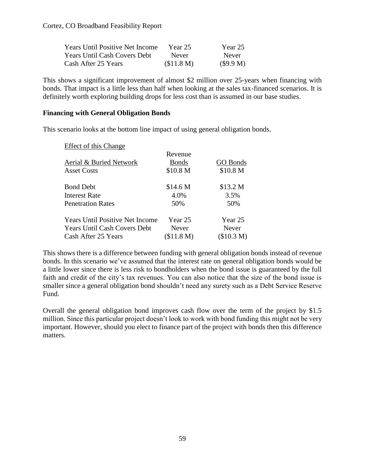| <b>Years Until Positive Net Income</b> | Year 25      | Year 25      |
|----------------------------------------|--------------|--------------|
| <b>Years Until Cash Covers Debt</b>    | <b>Never</b> | <b>Never</b> |
| Cash After 25 Years                    | (\$11.8 M)   | (S9.9 M)     |

This shows a significant improvement of almost \$2 million over 25-years when financing with bonds. That impact is a little less than half when looking at the sales tax-financed scenarios. It is definitely worth exploring building drops for less cost than is assumed in our base studies.

#### **Financing with General Obligation Bonds**

This scenario looks at the bottom line impact of using general obligation bonds.

| Effect of this Change                  |              |                     |
|----------------------------------------|--------------|---------------------|
|                                        | Revenue      |                     |
| Aerial & Buried Network                | <b>Bonds</b> | <b>GO Bonds</b>     |
| <b>Asset Costs</b>                     | \$10.8 M     | \$10.8 <sub>M</sub> |
| <b>Bond Debt</b>                       | \$14.6 M     | \$13.2 M            |
| <b>Interest Rate</b>                   | 4.0%         | 3.5%                |
| <b>Penetration Rates</b>               | 50%          | 50%                 |
| <b>Years Until Positive Net Income</b> | Year 25      | Year 25             |
| <b>Years Until Cash Covers Debt</b>    | Never        | <b>Never</b>        |
| Cash After 25 Years                    | (\$11.8 M)   | (\$10.3 M)          |

This shows there is a difference between funding with general obligation bonds instead of revenue bonds. In this scenario we've assumed that the interest rate on general obligation bonds would be a little lower since there is less risk to bondholders when the bond issue is guaranteed by the full faith and credit of the city's tax revenues. You can also notice that the size of the bond issue is smaller since a general obligation bond shouldn't need any surety such as a Debt Service Reserve Fund.

Overall the general obligation bond improves cash flow over the term of the project by \$1.5 million. Since this particular project doesn't look to work with bond funding this might not be very important. However, should you elect to finance part of the project with bonds then this difference matters.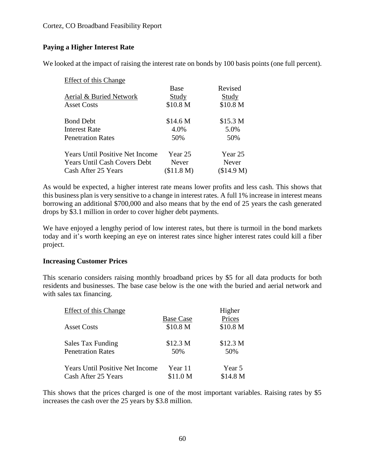#### Cortez, CO Broadband Feasibility Report

## **Paying a Higher Interest Rate**

We looked at the impact of raising the interest rate on bonds by 100 basis points (one full percent).

| Effect of this Change                  |            |            |
|----------------------------------------|------------|------------|
|                                        | Base       | Revised    |
| Aerial & Buried Network                | Study      | Study      |
| <b>Asset Costs</b>                     | \$10.8 M   | \$10.8 M   |
| <b>Bond Debt</b>                       | \$14.6 M   | \$15.3 M   |
| <b>Interest Rate</b>                   | 4.0%       | 5.0%       |
| <b>Penetration Rates</b>               | 50%        | 50%        |
| <b>Years Until Positive Net Income</b> | Year 25    | Year 25    |
| <b>Years Until Cash Covers Debt</b>    | Never      | Never      |
| Cash After 25 Years                    | (\$11.8 M) | (\$14.9 M) |

As would be expected, a higher interest rate means lower profits and less cash. This shows that this business plan is very sensitive to a change in interest rates. A full 1% increase in interest means borrowing an additional \$700,000 and also means that by the end of 25 years the cash generated drops by \$3.1 million in order to cover higher debt payments.

We have enjoyed a lengthy period of low interest rates, but there is turmoil in the bond markets today and it's worth keeping an eye on interest rates since higher interest rates could kill a fiber project.

#### **Increasing Customer Prices**

This scenario considers raising monthly broadband prices by \$5 for all data products for both residents and businesses. The base case below is the one with the buried and aerial network and with sales tax financing.

| <b>Effect of this Change</b>           |                     | Higher   |  |
|----------------------------------------|---------------------|----------|--|
|                                        | <b>Base Case</b>    | Prices   |  |
| <b>Asset Costs</b>                     | \$10.8 M            | \$10.8 M |  |
| Sales Tax Funding                      | \$12.3 M            | \$12.3 M |  |
| <b>Penetration Rates</b>               | 50%                 | 50%      |  |
| <b>Years Until Positive Net Income</b> | Year 11             | Year 5   |  |
| Cash After 25 Years                    | \$11.0 <sub>M</sub> | \$14.8 M |  |

This shows that the prices charged is one of the most important variables. Raising rates by \$5 increases the cash over the 25 years by \$3.8 million.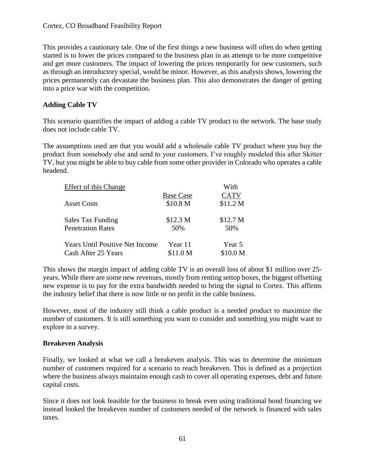#### Cortez, CO Broadband Feasibility Report

This provides a cautionary tale. One of the first things a new business will often do when getting started is to lower the prices compared to the business plan in an attempt to be more competitive and get more customers. The impact of lowering the prices temporarily for new customers, such as through an introductory special, would be minor. However, as this analysis shows, lowering the prices permanently can devastate the business plan. This also demonstrates the danger of getting into a price war with the competition.

### **Adding Cable TV**

This scenario quantifies the impact of adding a cable TV product to the network. The base study does not include cable TV.

The assumptions used are that you would add a wholesale cable TV product where you buy the product from somebody else and send to your customers. I've roughly modeled this after Skitter TV, but you might be able to buy cable from some other provider in Colorado who operates a cable headend.

| Effect of this Change                  | With                |                     |  |
|----------------------------------------|---------------------|---------------------|--|
|                                        | <b>Base Case</b>    | <b>CATV</b>         |  |
| <b>Asset Costs</b>                     | \$10.8 M            | \$11.2 M            |  |
| Sales Tax Funding                      | \$12.3 M            | \$12.7 <sub>M</sub> |  |
| <b>Penetration Rates</b>               | 50%                 | 50%                 |  |
| <b>Years Until Positive Net Income</b> | Year 11             | Year 5              |  |
| Cash After 25 Years                    | \$11.0 <sub>M</sub> | \$10.0 <sub>M</sub> |  |

This shows the margin impact of adding cable TV is an overall loss of about \$1 million over 25 years. While there are some new revenues, mostly from renting settop boxes, the biggest offsetting new expense is to pay for the extra bandwidth needed to bring the signal to Cortez. This affirms the industry belief that there is now little or no profit in the cable business.

However, most of the industry still think a cable product is a needed product to maximize the number of customers. It is still something you want to consider and something you might want to explore in a survey.

### **Breakeven Analysis**

Finally, we looked at what we call a breakeven analysis. This was to determine the minimum number of customers required for a scenario to reach breakeven. This is defined as a projection where the business always maintains enough cash to cover all operating expenses, debt and future capital costs.

Since it does not look feasible for the business to break even using traditional bond financing we instead looked the breakeven number of customers needed of the network is financed with sales taxes.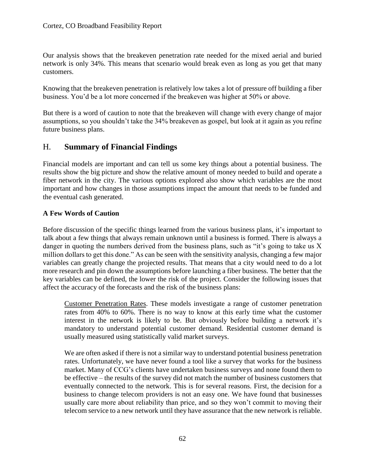Our analysis shows that the breakeven penetration rate needed for the mixed aerial and buried network is only 34%. This means that scenario would break even as long as you get that many customers.

Knowing that the breakeven penetration is relatively low takes a lot of pressure off building a fiber business. You'd be a lot more concerned if the breakeven was higher at 50% or above.

But there is a word of caution to note that the breakeven will change with every change of major assumptions, so you shouldn't take the 34% breakeven as gospel, but look at it again as you refine future business plans.

## H. **Summary of Financial Findings**

Financial models are important and can tell us some key things about a potential business. The results show the big picture and show the relative amount of money needed to build and operate a fiber network in the city. The various options explored also show which variables are the most important and how changes in those assumptions impact the amount that needs to be funded and the eventual cash generated.

## **A Few Words of Caution**

Before discussion of the specific things learned from the various business plans, it's important to talk about a few things that always remain unknown until a business is formed. There is always a danger in quoting the numbers derived from the business plans, such as "it's going to take us X million dollars to get this done." As can be seen with the sensitivity analysis, changing a few major variables can greatly change the projected results. That means that a city would need to do a lot more research and pin down the assumptions before launching a fiber business. The better that the key variables can be defined, the lower the risk of the project. Consider the following issues that affect the accuracy of the forecasts and the risk of the business plans:

Customer Penetration Rates. These models investigate a range of customer penetration rates from 40% to 60%. There is no way to know at this early time what the customer interest in the network is likely to be. But obviously before building a network it's mandatory to understand potential customer demand. Residential customer demand is usually measured using statistically valid market surveys.

We are often asked if there is not a similar way to understand potential business penetration rates. Unfortunately, we have never found a tool like a survey that works for the business market. Many of CCG's clients have undertaken business surveys and none found them to be effective – the results of the survey did not match the number of business customers that eventually connected to the network. This is for several reasons. First, the decision for a business to change telecom providers is not an easy one. We have found that businesses usually care more about reliability than price, and so they won't commit to moving their telecom service to a new network until they have assurance that the new network is reliable.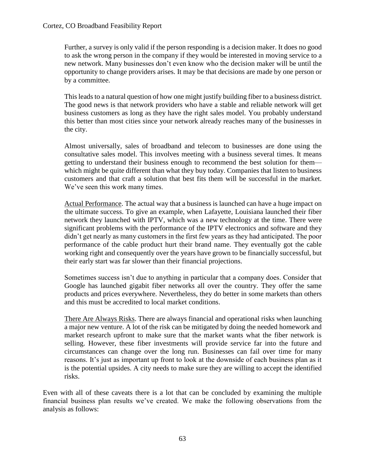Further, a survey is only valid if the person responding is a decision maker. It does no good to ask the wrong person in the company if they would be interested in moving service to a new network. Many businesses don't even know who the decision maker will be until the opportunity to change providers arises. It may be that decisions are made by one person or by a committee.

This leads to a natural question of how one might justify building fiber to a business district. The good news is that network providers who have a stable and reliable network will get business customers as long as they have the right sales model. You probably understand this better than most cities since your network already reaches many of the businesses in the city.

Almost universally, sales of broadband and telecom to businesses are done using the consultative sales model. This involves meeting with a business several times. It means getting to understand their business enough to recommend the best solution for them which might be quite different than what they buy today. Companies that listen to business customers and that craft a solution that best fits them will be successful in the market. We've seen this work many times.

Actual Performance. The actual way that a business is launched can have a huge impact on the ultimate success. To give an example, when Lafayette, Louisiana launched their fiber network they launched with IPTV, which was a new technology at the time. There were significant problems with the performance of the IPTV electronics and software and they didn't get nearly as many customers in the first few years as they had anticipated. The poor performance of the cable product hurt their brand name. They eventually got the cable working right and consequently over the years have grown to be financially successful, but their early start was far slower than their financial projections.

Sometimes success isn't due to anything in particular that a company does. Consider that Google has launched gigabit fiber networks all over the country. They offer the same products and prices everywhere. Nevertheless, they do better in some markets than others and this must be accredited to local market conditions.

There Are Always Risks. There are always financial and operational risks when launching a major new venture. A lot of the risk can be mitigated by doing the needed homework and market research upfront to make sure that the market wants what the fiber network is selling. However, these fiber investments will provide service far into the future and circumstances can change over the long run. Businesses can fail over time for many reasons. It's just as important up front to look at the downside of each business plan as it is the potential upsides. A city needs to make sure they are willing to accept the identified risks.

Even with all of these caveats there is a lot that can be concluded by examining the multiple financial business plan results we've created. We make the following observations from the analysis as follows: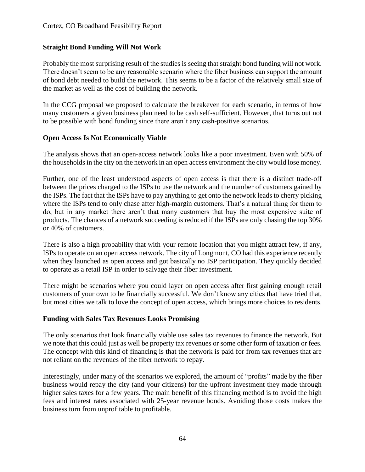## **Straight Bond Funding Will Not Work**

Probably the most surprising result of the studies is seeing that straight bond funding will not work. There doesn't seem to be any reasonable scenario where the fiber business can support the amount of bond debt needed to build the network. This seems to be a factor of the relatively small size of the market as well as the cost of building the network.

In the CCG proposal we proposed to calculate the breakeven for each scenario, in terms of how many customers a given business plan need to be cash self-sufficient. However, that turns out not to be possible with bond funding since there aren't any cash-positive scenarios.

### **Open Access Is Not Economically Viable**

The analysis shows that an open-access network looks like a poor investment. Even with 50% of the households in the city on the network in an open access environment the city would lose money.

Further, one of the least understood aspects of open access is that there is a distinct trade-off between the prices charged to the ISPs to use the network and the number of customers gained by the ISPs. The fact that the ISPs have to pay anything to get onto the network leads to cherry picking where the ISPs tend to only chase after high-margin customers. That's a natural thing for them to do, but in any market there aren't that many customers that buy the most expensive suite of products. The chances of a network succeeding is reduced if the ISPs are only chasing the top 30% or 40% of customers.

There is also a high probability that with your remote location that you might attract few, if any, ISPs to operate on an open access network. The city of Longmont, CO had this experience recently when they launched as open access and got basically no ISP participation. They quickly decided to operate as a retail ISP in order to salvage their fiber investment.

There might be scenarios where you could layer on open access after first gaining enough retail customers of your own to be financially successful. We don't know any cities that have tried that, but most cities we talk to love the concept of open access, which brings more choices to residents.

### **Funding with Sales Tax Revenues Looks Promising**

The only scenarios that look financially viable use sales tax revenues to finance the network. But we note that this could just as well be property tax revenues or some other form of taxation or fees. The concept with this kind of financing is that the network is paid for from tax revenues that are not reliant on the revenues of the fiber network to repay.

Interestingly, under many of the scenarios we explored, the amount of "profits" made by the fiber business would repay the city (and your citizens) for the upfront investment they made through higher sales taxes for a few years. The main benefit of this financing method is to avoid the high fees and interest rates associated with 25-year revenue bonds. Avoiding those costs makes the business turn from unprofitable to profitable.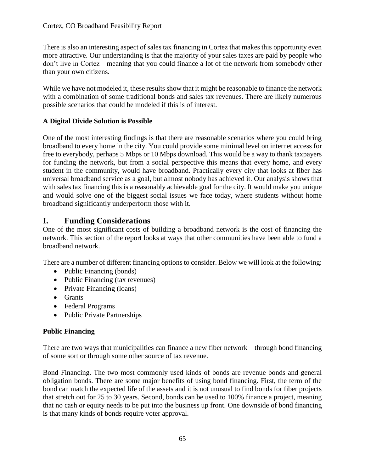There is also an interesting aspect of sales tax financing in Cortez that makes this opportunity even more attractive. Our understanding is that the majority of your sales taxes are paid by people who don't live in Cortez—meaning that you could finance a lot of the network from somebody other than your own citizens.

While we have not modeled it, these results show that it might be reasonable to finance the network with a combination of some traditional bonds and sales tax revenues. There are likely numerous possible scenarios that could be modeled if this is of interest.

## **A Digital Divide Solution is Possible**

One of the most interesting findings is that there are reasonable scenarios where you could bring broadband to every home in the city. You could provide some minimal level on internet access for free to everybody, perhaps 5 Mbps or 10 Mbps download. This would be a way to thank taxpayers for funding the network, but from a social perspective this means that every home, and every student in the community, would have broadband. Practically every city that looks at fiber has universal broadband service as a goal, but almost nobody has achieved it. Our analysis shows that with sales tax financing this is a reasonably achievable goal for the city. It would make you unique and would solve one of the biggest social issues we face today, where students without home broadband significantly underperform those with it.

## **I. Funding Considerations**

One of the most significant costs of building a broadband network is the cost of financing the network. This section of the report looks at ways that other communities have been able to fund a broadband network.

There are a number of different financing options to consider. Below we will look at the following:

- Public Financing (bonds)
- Public Financing (tax revenues)
- Private Financing (loans)
- Grants
- Federal Programs
- Public Private Partnerships

### **Public Financing**

There are two ways that municipalities can finance a new fiber network—through bond financing of some sort or through some other source of tax revenue.

Bond Financing. The two most commonly used kinds of bonds are revenue bonds and general obligation bonds. There are some major benefits of using bond financing. First, the term of the bond can match the expected life of the assets and it is not unusual to find bonds for fiber projects that stretch out for 25 to 30 years. Second, bonds can be used to 100% finance a project, meaning that no cash or equity needs to be put into the business up front. One downside of bond financing is that many kinds of bonds require voter approval.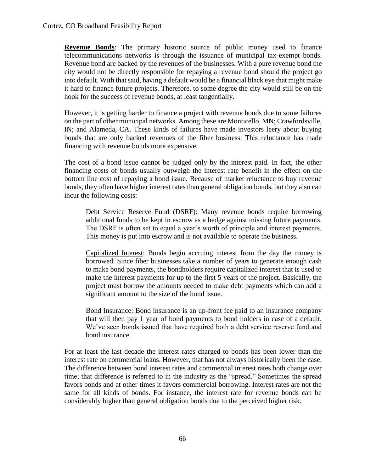**Revenue Bonds**: The primary historic source of public money used to finance telecommunications networks is through the issuance of municipal tax-exempt bonds. Revenue bond are backed by the revenues of the businesses. With a pure revenue bond the city would not be directly responsible for repaying a revenue bond should the project go into default. With that said, having a default would be a financial black eye that might make it hard to finance future projects. Therefore, to some degree the city would still be on the hook for the success of revenue bonds, at least tangentially.

However, it is getting harder to finance a project with revenue bonds due to some failures on the part of other municipal networks. Among these are Monticello, MN; Crawfordsville, IN; and Alameda, CA. These kinds of failures have made investors leery about buying bonds that are only backed revenues of the fiber business. This reluctance has made financing with revenue bonds more expensive.

The cost of a bond issue cannot be judged only by the interest paid. In fact, the other financing costs of bonds usually outweigh the interest rate benefit in the effect on the bottom line cost of repaying a bond issue. Because of market reluctance to buy revenue bonds, they often have higher interest rates than general obligation bonds, but they also can incur the following costs:

Debt Service Reserve Fund (DSRF): Many revenue bonds require borrowing additional funds to be kept in escrow as a hedge against missing future payments. The DSRF is often set to equal a year's worth of principle and interest payments. This money is put into escrow and is not available to operate the business.

Capitalized Interest: Bonds begin accruing interest from the day the money is borrowed. Since fiber businesses take a number of years to generate enough cash to make bond payments, the bondholders require capitalized interest that is used to make the interest payments for up to the first 5 years of the project. Basically, the project must borrow the amounts needed to make debt payments which can add a significant amount to the size of the bond issue.

Bond Insurance: Bond insurance is an up-front fee paid to an insurance company that will then pay 1 year of bond payments to bond holders in case of a default. We've seen bonds issued that have required both a debt service reserve fund and bond insurance.

For at least the last decade the interest rates charged to bonds has been lower than the interest rate on commercial loans. However, that has not always historically been the case. The difference between bond interest rates and commercial interest rates both change over time; that difference is referred to in the industry as the "spread." Sometimes the spread favors bonds and at other times it favors commercial borrowing. Interest rates are not the same for all kinds of bonds. For instance, the interest rate for revenue bonds can be considerably higher than general obligation bonds due to the perceived higher risk.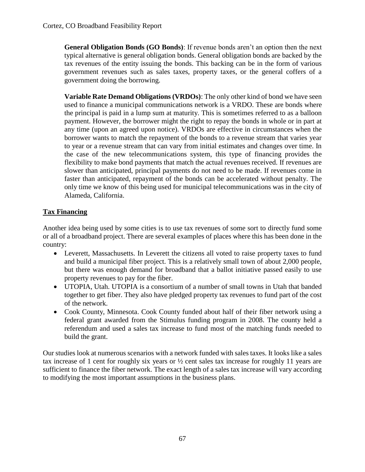**General Obligation Bonds (GO Bonds)**: If revenue bonds aren't an option then the next typical alternative is general obligation bonds. General obligation bonds are backed by the tax revenues of the entity issuing the bonds. This backing can be in the form of various government revenues such as sales taxes, property taxes, or the general coffers of a government doing the borrowing.

**Variable Rate Demand Obligations (VRDOs)**: The only other kind of bond we have seen used to finance a municipal communications network is a VRDO. These are bonds where the principal is paid in a lump sum at maturity. This is sometimes referred to as a balloon payment. However, the borrower might the right to repay the bonds in whole or in part at any time (upon an agreed upon notice). VRDOs are effective in circumstances when the borrower wants to match the repayment of the bonds to a revenue stream that varies year to year or a revenue stream that can vary from initial estimates and changes over time. In the case of the new telecommunications system, this type of financing provides the flexibility to make bond payments that match the actual revenues received. If revenues are slower than anticipated, principal payments do not need to be made. If revenues come in faster than anticipated, repayment of the bonds can be accelerated without penalty. The only time we know of this being used for municipal telecommunications was in the city of Alameda, California.

## **Tax Financing**

Another idea being used by some cities is to use tax revenues of some sort to directly fund some or all of a broadband project. There are several examples of places where this has been done in the country:

- Leverett, Massachusetts. In Leverett the citizens all voted to raise property taxes to fund and build a municipal fiber project. This is a relatively small town of about 2,000 people, but there was enough demand for broadband that a ballot initiative passed easily to use property revenues to pay for the fiber.
- UTOPIA, Utah. UTOPIA is a consortium of a number of small towns in Utah that banded together to get fiber. They also have pledged property tax revenues to fund part of the cost of the network.
- Cook County, Minnesota. Cook County funded about half of their fiber network using a federal grant awarded from the Stimulus funding program in 2008. The county held a referendum and used a sales tax increase to fund most of the matching funds needed to build the grant.

Our studies look at numerous scenarios with a network funded with sales taxes. It looks like a sales tax increase of 1 cent for roughly six years or  $\frac{1}{2}$  cent sales tax increase for roughly 11 years are sufficient to finance the fiber network. The exact length of a sales tax increase will vary according to modifying the most important assumptions in the business plans.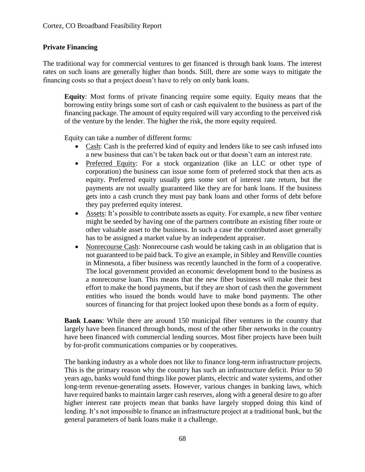## **Private Financing**

The traditional way for commercial ventures to get financed is through bank loans. The interest rates on such loans are generally higher than bonds. Still, there are some ways to mitigate the financing costs so that a project doesn't have to rely on only bank loans.

**Equity**: Most forms of private financing require some equity. Equity means that the borrowing entity brings some sort of cash or cash equivalent to the business as part of the financing package. The amount of equity required will vary according to the perceived risk of the venture by the lender. The higher the risk, the more equity required.

Equity can take a number of different forms:

- Cash: Cash is the preferred kind of equity and lenders like to see cash infused into a new business that can't be taken back out or that doesn't earn an interest rate.
- Preferred Equity: For a stock organization (like an LLC or other type of corporation) the business can issue some form of preferred stock that then acts as equity. Preferred equity usually gets some sort of interest rate return, but the payments are not usually guaranteed like they are for bank loans. If the business gets into a cash crunch they must pay bank loans and other forms of debt before they pay preferred equity interest.
- Assets: It's possible to contribute assets as equity. For example, a new fiber venture might be seeded by having one of the partners contribute an existing fiber route or other valuable asset to the business. In such a case the contributed asset generally has to be assigned a market value by an independent appraiser.
- Nonrecourse Cash: Nonrecourse cash would be taking cash in an obligation that is not guaranteed to be paid back. To give an example, in Sibley and Renville counties in Minnesota, a fiber business was recently launched in the form of a cooperative. The local government provided an economic development bond to the business as a nonrecourse loan. This means that the new fiber business will make their best effort to make the bond payments, but if they are short of cash then the government entities who issued the bonds would have to make bond payments. The other sources of financing for that project looked upon these bonds as a form of equity.

**Bank Loans**: While there are around 150 municipal fiber ventures in the country that largely have been financed through bonds, most of the other fiber networks in the country have been financed with commercial lending sources. Most fiber projects have been built by for-profit communications companies or by cooperatives.

The banking industry as a whole does not like to finance long-term infrastructure projects. This is the primary reason why the country has such an infrastructure deficit. Prior to 50 years ago, banks would fund things like power plants, electric and water systems, and other long-term revenue-generating assets. However, various changes in banking laws, which have required banks to maintain larger cash reserves, along with a general desire to go after higher interest rate projects mean that banks have largely stopped doing this kind of lending. It's not impossible to finance an infrastructure project at a traditional bank, but the general parameters of bank loans make it a challenge.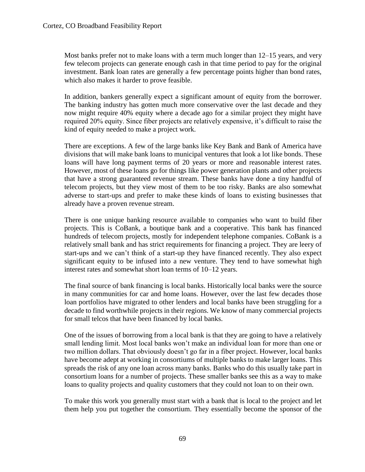Most banks prefer not to make loans with a term much longer than 12–15 years, and very few telecom projects can generate enough cash in that time period to pay for the original investment. Bank loan rates are generally a few percentage points higher than bond rates, which also makes it harder to prove feasible.

In addition, bankers generally expect a significant amount of equity from the borrower. The banking industry has gotten much more conservative over the last decade and they now might require 40% equity where a decade ago for a similar project they might have required 20% equity. Since fiber projects are relatively expensive, it's difficult to raise the kind of equity needed to make a project work.

There are exceptions. A few of the large banks like Key Bank and Bank of America have divisions that will make bank loans to municipal ventures that look a lot like bonds. These loans will have long payment terms of 20 years or more and reasonable interest rates. However, most of these loans go for things like power generation plants and other projects that have a strong guaranteed revenue stream. These banks have done a tiny handful of telecom projects, but they view most of them to be too risky. Banks are also somewhat adverse to start-ups and prefer to make these kinds of loans to existing businesses that already have a proven revenue stream.

There is one unique banking resource available to companies who want to build fiber projects. This is CoBank, a boutique bank and a cooperative. This bank has financed hundreds of telecom projects, mostly for independent telephone companies. CoBank is a relatively small bank and has strict requirements for financing a project. They are leery of start-ups and we can't think of a start-up they have financed recently. They also expect significant equity to be infused into a new venture. They tend to have somewhat high interest rates and somewhat short loan terms of 10–12 years.

The final source of bank financing is local banks. Historically local banks were the source in many communities for car and home loans. However, over the last few decades those loan portfolios have migrated to other lenders and local banks have been struggling for a decade to find worthwhile projects in their regions. We know of many commercial projects for small telcos that have been financed by local banks.

One of the issues of borrowing from a local bank is that they are going to have a relatively small lending limit. Most local banks won't make an individual loan for more than one or two million dollars. That obviously doesn't go far in a fiber project. However, local banks have become adept at working in consortiums of multiple banks to make larger loans. This spreads the risk of any one loan across many banks. Banks who do this usually take part in consortium loans for a number of projects. These smaller banks see this as a way to make loans to quality projects and quality customers that they could not loan to on their own.

To make this work you generally must start with a bank that is local to the project and let them help you put together the consortium. They essentially become the sponsor of the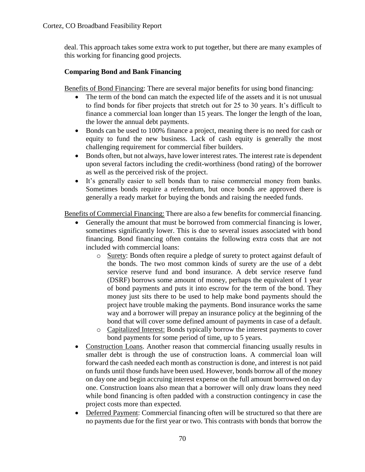deal. This approach takes some extra work to put together, but there are many examples of this working for financing good projects.

## **Comparing Bond and Bank Financing**

Benefits of Bond Financing: There are several major benefits for using bond financing:

- The term of the bond can match the expected life of the assets and it is not unusual to find bonds for fiber projects that stretch out for 25 to 30 years. It's difficult to finance a commercial loan longer than 15 years. The longer the length of the loan, the lower the annual debt payments.
- Bonds can be used to 100% finance a project, meaning there is no need for cash or equity to fund the new business. Lack of cash equity is generally the most challenging requirement for commercial fiber builders.
- Bonds often, but not always, have lower interest rates. The interest rate is dependent upon several factors including the credit-worthiness (bond rating) of the borrower as well as the perceived risk of the project.
- It's generally easier to sell bonds than to raise commercial money from banks. Sometimes bonds require a referendum, but once bonds are approved there is generally a ready market for buying the bonds and raising the needed funds.

Benefits of Commercial Financing: There are also a few benefits for commercial financing.

- Generally the amount that must be borrowed from commercial financing is lower, sometimes significantly lower. This is due to several issues associated with bond financing. Bond financing often contains the following extra costs that are not included with commercial loans:
	- o Surety: Bonds often require a pledge of surety to protect against default of the bonds. The two most common kinds of surety are the use of a debt service reserve fund and bond insurance. A debt service reserve fund (DSRF) borrows some amount of money, perhaps the equivalent of 1 year of bond payments and puts it into escrow for the term of the bond. They money just sits there to be used to help make bond payments should the project have trouble making the payments. Bond insurance works the same way and a borrower will prepay an insurance policy at the beginning of the bond that will cover some defined amount of payments in case of a default.
	- o Capitalized Interest: Bonds typically borrow the interest payments to cover bond payments for some period of time, up to 5 years.
- Construction Loans. Another reason that commercial financing usually results in smaller debt is through the use of construction loans. A commercial loan will forward the cash needed each month as construction is done, and interest is not paid on funds until those funds have been used. However, bonds borrow all of the money on day one and begin accruing interest expense on the full amount borrowed on day one. Construction loans also mean that a borrower will only draw loans they need while bond financing is often padded with a construction contingency in case the project costs more than expected.
- Deferred Payment: Commercial financing often will be structured so that there are no payments due for the first year or two. This contrasts with bonds that borrow the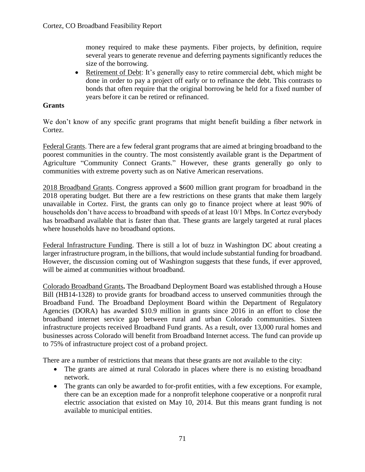money required to make these payments. Fiber projects, by definition, require several years to generate revenue and deferring payments significantly reduces the size of the borrowing.

• Retirement of Debt: It's generally easy to retire commercial debt, which might be done in order to pay a project off early or to refinance the debt. This contrasts to bonds that often require that the original borrowing be held for a fixed number of years before it can be retired or refinanced.

### **Grants**

We don't know of any specific grant programs that might benefit building a fiber network in Cortez.

Federal Grants. There are a few federal grant programs that are aimed at bringing broadband to the poorest communities in the country. The most consistently available grant is the Department of Agriculture "Community Connect Grants." However, these grants generally go only to communities with extreme poverty such as on Native American reservations.

2018 Broadband Grants. Congress approved a \$600 million grant program for broadband in the 2018 operating budget. But there are a few restrictions on these grants that make them largely unavailable in Cortez. First, the grants can only go to finance project where at least 90% of households don't have access to broadband with speeds of at least 10/1 Mbps. In Cortez everybody has broadband available that is faster than that. These grants are largely targeted at rural places where households have no broadband options.

Federal Infrastructure Funding. There is still a lot of buzz in Washington DC about creating a larger infrastructure program, in the billions, that would include substantial funding for broadband. However, the discussion coming out of Washington suggests that these funds, if ever approved, will be aimed at communities without broadband.

Colorado Broadband Grants**.** The Broadband Deployment Board was established through a House Bill (HB14-1328) to provide grants for broadband access to unserved communities through the Broadband Fund. The Broadband Deployment Board within the Department of Regulatory Agencies (DORA) has awarded \$10.9 million in grants since 2016 in an effort to close the broadband internet service gap between rural and urban Colorado communities. Sixteen infrastructure projects received Broadband Fund grants. As a result, over 13,000 rural homes and businesses across Colorado will benefit from Broadband Internet access. The fund can provide up to 75% of infrastructure project cost of a proband project.

There are a number of restrictions that means that these grants are not available to the city:

- The grants are aimed at rural Colorado in places where there is no existing broadband network.
- The grants can only be awarded to for-profit entities, with a few exceptions. For example, there can be an exception made for a nonprofit telephone cooperative or a nonprofit rural electric association that existed on May 10, 2014. But this means grant funding is not available to municipal entities.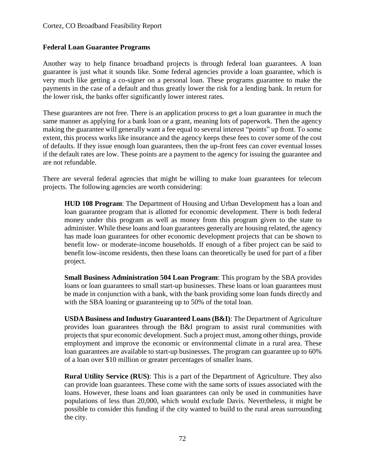## **Federal Loan Guarantee Programs**

Another way to help finance broadband projects is through federal loan guarantees. A loan guarantee is just what it sounds like. Some federal agencies provide a loan guarantee, which is very much like getting a co-signer on a personal loan. These programs guarantee to make the payments in the case of a default and thus greatly lower the risk for a lending bank. In return for the lower risk, the banks offer significantly lower interest rates.

These guarantees are not free. There is an application process to get a loan guarantee in much the same manner as applying for a bank loan or a grant, meaning lots of paperwork. Then the agency making the guarantee will generally want a fee equal to several interest "points" up front. To some extent, this process works like insurance and the agency keeps these fees to cover some of the cost of defaults. If they issue enough loan guarantees, then the up-front fees can cover eventual losses if the default rates are low. These points are a payment to the agency for issuing the guarantee and are not refundable.

There are several federal agencies that might be willing to make loan guarantees for telecom projects. The following agencies are worth considering:

**HUD 108 Program**: The Department of Housing and Urban Development has a loan and loan guarantee program that is allotted for economic development. There is both federal money under this program as well as money from this program given to the state to administer. While these loans and loan guarantees generally are housing related, the agency has made loan guarantees for other economic development projects that can be shown to benefit low- or moderate-income households. If enough of a fiber project can be said to benefit low-income residents, then these loans can theoretically be used for part of a fiber project.

**Small Business Administration 504 Loan Program**: This program by the SBA provides loans or loan guarantees to small start-up businesses. These loans or loan guarantees must be made in conjunction with a bank, with the bank providing some loan funds directly and with the SBA loaning or guaranteeing up to 50% of the total loan.

**USDA Business and Industry Guaranteed Loans (B&I)**: The Department of Agriculture provides loan guarantees through the B&I program to assist rural communities with projects that spur economic development. Such a project must, among other things, provide employment and improve the economic or environmental climate in a rural area. These loan guarantees are available to start-up businesses. The program can guarantee up to 60% of a loan over \$10 million or greater percentages of smaller loans.

**Rural Utility Service (RUS)**: This is a part of the Department of Agriculture. They also can provide loan guarantees. These come with the same sorts of issues associated with the loans. However, these loans and loan guarantees can only be used in communities have populations of less than 20,000, which would exclude Davis. Nevertheless, it might be possible to consider this funding if the city wanted to build to the rural areas surrounding the city.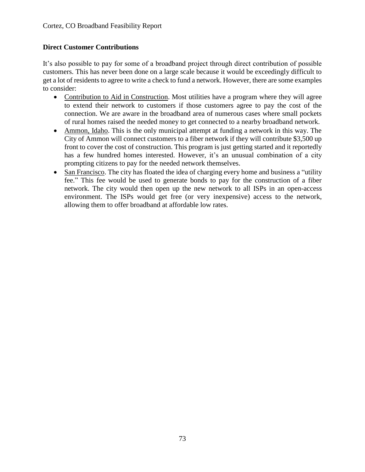# **Direct Customer Contributions**

It's also possible to pay for some of a broadband project through direct contribution of possible customers. This has never been done on a large scale because it would be exceedingly difficult to get a lot of residents to agree to write a check to fund a network. However, there are some examples to consider:

- Contribution to Aid in Construction. Most utilities have a program where they will agree to extend their network to customers if those customers agree to pay the cost of the connection. We are aware in the broadband area of numerous cases where small pockets of rural homes raised the needed money to get connected to a nearby broadband network.
- Ammon, Idaho. This is the only municipal attempt at funding a network in this way. The City of Ammon will connect customers to a fiber network if they will contribute \$3,500 up front to cover the cost of construction. This program is just getting started and it reportedly has a few hundred homes interested. However, it's an unusual combination of a city prompting citizens to pay for the needed network themselves.
- San Francisco. The city has floated the idea of charging every home and business a "utility" fee." This fee would be used to generate bonds to pay for the construction of a fiber network. The city would then open up the new network to all ISPs in an open-access environment. The ISPs would get free (or very inexpensive) access to the network, allowing them to offer broadband at affordable low rates.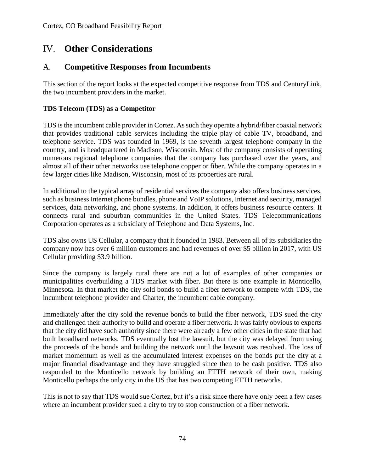# IV. **Other Considerations**

# A. **Competitive Responses from Incumbents**

This section of the report looks at the expected competitive response from TDS and CenturyLink, the two incumbent providers in the market.

# **TDS Telecom (TDS) as a Competitor**

TDS is the incumbent cable provider in Cortez. As such they operate a hybrid/fiber coaxial network that provides traditional cable services including the triple play of cable TV, broadband, and telephone service. TDS was founded in 1969, is the seventh largest telephone company in the country, and is headquartered in Madison, Wisconsin. Most of the company consists of operating numerous regional telephone companies that the company has purchased over the years, and almost all of their other networks use telephone copper or fiber. While the company operates in a few larger cities like Madison, Wisconsin, most of its properties are rural.

In additional to the typical array of residential services the company also offers business services, such as business Internet phone bundles, phone and VoIP solutions, Internet and security, managed services, data networking, and phone systems. In addition, it offers business resource centers. It connects rural and suburban communities in the United States. TDS Telecommunications Corporation operates as a subsidiary of Telephone and Data Systems, Inc.

TDS also owns US Cellular, a company that it founded in 1983. Between all of its subsidiaries the company now has over 6 million customers and had revenues of over \$5 billion in 2017, with US Cellular providing \$3.9 billion.

Since the company is largely rural there are not a lot of examples of other companies or municipalities overbuilding a TDS market with fiber. But there is one example in Monticello, Minnesota. In that market the city sold bonds to build a fiber network to compete with TDS, the incumbent telephone provider and Charter, the incumbent cable company.

Immediately after the city sold the revenue bonds to build the fiber network, TDS sued the city and challenged their authority to build and operate a fiber network. It was fairly obvious to experts that the city did have such authority since there were already a few other cities in the state that had built broadband networks. TDS eventually lost the lawsuit, but the city was delayed from using the proceeds of the bonds and building the network until the lawsuit was resolved. The loss of market momentum as well as the accumulated interest expenses on the bonds put the city at a major financial disadvantage and they have struggled since then to be cash positive. TDS also responded to the Monticello network by building an FTTH network of their own, making Monticello perhaps the only city in the US that has two competing FTTH networks.

This is not to say that TDS would sue Cortez, but it's a risk since there have only been a few cases where an incumbent provider sued a city to try to stop construction of a fiber network.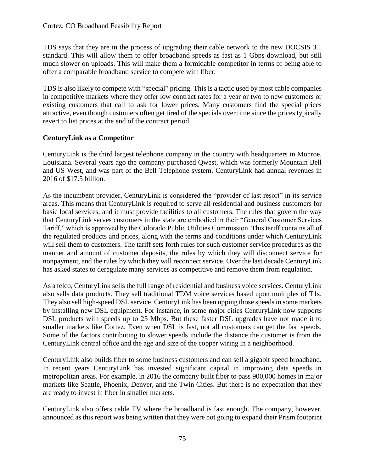TDS says that they are in the process of upgrading their cable network to the new DOCSIS 3.1 standard. This will allow them to offer broadband speeds as fast as 1 Gbps download, but still much slower on uploads. This will make them a formidable competitor in terms of being able to offer a comparable broadband service to compete with fiber.

TDS is also likely to compete with "special" pricing. This is a tactic used by most cable companies in competitive markets where they offer low contract rates for a year or two to new customers or existing customers that call to ask for lower prices. Many customers find the special prices attractive, even though customers often get tired of the specials over time since the prices typically revert to list prices at the end of the contract period.

# **CenturyLink as a Competitor**

CenturyLink is the third largest telephone company in the country with headquarters in Monroe, Louisiana. Several years ago the company purchased Qwest, which was formerly Mountain Bell and US West, and was part of the Bell Telephone system. CenturyLink had annual revenues in 2016 of \$17.5 billion.

As the incumbent provider, CenturyLink is considered the "provider of last resort" in its service areas. This means that CenturyLink is required to serve all residential and business customers for basic local services, and it must provide facilities to all customers. The rules that govern the way that CenturyLink serves customers in the state are embodied in their "General Customer Services Tariff," which is approved by the Colorado Public Utilities Commission. This tariff contains all of the regulated products and prices, along with the terms and conditions under which CenturyLink will sell them to customers. The tariff sets forth rules for such customer service procedures as the manner and amount of customer deposits, the rules by which they will disconnect service for nonpayment, and the rules by which they will reconnect service. Over the last decade CenturyLink has asked states to deregulate many services as competitive and remove them from regulation.

As a telco, CenturyLink sells the full range of residential and business voice services. CenturyLink also sells data products. They sell traditional TDM voice services based upon multiples of T1s. They also sell high-speed DSL service. CenturyLink has been upping those speeds in some markets by installing new DSL equipment. For instance, in some major cities CenturyLink now supports DSL products with speeds up to 25 Mbps. But these faster DSL upgrades have not made it to smaller markets like Cortez. Even when DSL is fast, not all customers can get the fast speeds. Some of the factors contributing to slower speeds include the distance the customer is from the CenturyLink central office and the age and size of the copper wiring in a neighborhood.

CenturyLink also builds fiber to some business customers and can sell a gigabit speed broadband. In recent years CenturyLink has invested significant capital in improving data speeds in metropolitan areas. For example, in 2016 the company built fiber to pass 900,000 homes in major markets like Seattle, Phoenix, Denver, and the Twin Cities. But there is no expectation that they are ready to invest in fiber in smaller markets.

CenturyLink also offers cable TV where the broadband is fast enough. The company, however, announced as this report was being written that they were not going to expand their Prism footprint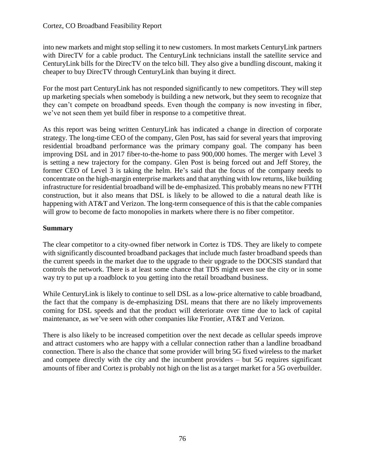into new markets and might stop selling it to new customers. In most markets CenturyLink partners with DirecTV for a cable product. The CenturyLink technicians install the satellite service and CenturyLink bills for the DirecTV on the telco bill. They also give a bundling discount, making it cheaper to buy DirecTV through CenturyLink than buying it direct.

For the most part CenturyLink has not responded significantly to new competitors. They will step up marketing specials when somebody is building a new network, but they seem to recognize that they can't compete on broadband speeds. Even though the company is now investing in fiber, we've not seen them yet build fiber in response to a competitive threat.

As this report was being written CenturyLink has indicated a change in direction of corporate strategy. The long-time CEO of the company, Glen Post, has said for several years that improving residential broadband performance was the primary company goal. The company has been improving DSL and in 2017 fiber-to-the-home to pass 900,000 homes. The merger with Level 3 is setting a new trajectory for the company. Glen Post is being forced out and Jeff Storey, the former CEO of Level 3 is taking the helm. He's said that the focus of the company needs to concentrate on the high-margin enterprise markets and that anything with low returns, like building infrastructure for residential broadband will be de-emphasized. This probably means no new FTTH construction, but it also means that DSL is likely to be allowed to die a natural death like is happening with AT&T and Verizon. The long-term consequence of this is that the cable companies will grow to become de facto monopolies in markets where there is no fiber competitor.

# **Summary**

The clear competitor to a city-owned fiber network in Cortez is TDS. They are likely to compete with significantly discounted broadband packages that include much faster broadband speeds than the current speeds in the market due to the upgrade to their upgrade to the DOCSIS standard that controls the network. There is at least some chance that TDS might even sue the city or in some way try to put up a roadblock to you getting into the retail broadband business.

While CenturyLink is likely to continue to sell DSL as a low-price alternative to cable broadband, the fact that the company is de-emphasizing DSL means that there are no likely improvements coming for DSL speeds and that the product will deteriorate over time due to lack of capital maintenance, as we've seen with other companies like Frontier, AT&T and Verizon.

There is also likely to be increased competition over the next decade as cellular speeds improve and attract customers who are happy with a cellular connection rather than a landline broadband connection. There is also the chance that some provider will bring 5G fixed wireless to the market and compete directly with the city and the incumbent providers – but 5G requires significant amounts of fiber and Cortez is probably not high on the list as a target market for a 5G overbuilder.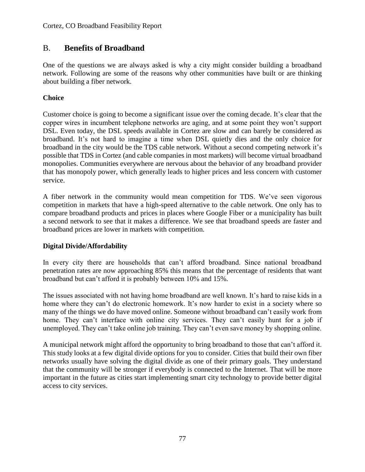# B. **Benefits of Broadband**

One of the questions we are always asked is why a city might consider building a broadband network. Following are some of the reasons why other communities have built or are thinking about building a fiber network.

# **Choice**

Customer choice is going to become a significant issue over the coming decade. It's clear that the copper wires in incumbent telephone networks are aging, and at some point they won't support DSL. Even today, the DSL speeds available in Cortez are slow and can barely be considered as broadband. It's not hard to imagine a time when DSL quietly dies and the only choice for broadband in the city would be the TDS cable network. Without a second competing network it's possible that TDS in Cortez (and cable companies in most markets) will become virtual broadband monopolies. Communities everywhere are nervous about the behavior of any broadband provider that has monopoly power, which generally leads to higher prices and less concern with customer service.

A fiber network in the community would mean competition for TDS. We've seen vigorous competition in markets that have a high-speed alternative to the cable network. One only has to compare broadband products and prices in places where Google Fiber or a municipality has built a second network to see that it makes a difference. We see that broadband speeds are faster and broadband prices are lower in markets with competition.

# **Digital Divide/Affordability**

In every city there are households that can't afford broadband. Since national broadband penetration rates are now approaching 85% this means that the percentage of residents that want broadband but can't afford it is probably between 10% and 15%.

The issues associated with not having home broadband are well known. It's hard to raise kids in a home where they can't do electronic homework. It's now harder to exist in a society where so many of the things we do have moved online. Someone without broadband can't easily work from home. They can't interface with online city services. They can't easily hunt for a job if unemployed. They can't take online job training. They can't even save money by shopping online.

A municipal network might afford the opportunity to bring broadband to those that can't afford it. This study looks at a few digital divide options for you to consider. Cities that build their own fiber networks usually have solving the digital divide as one of their primary goals. They understand that the community will be stronger if everybody is connected to the Internet. That will be more important in the future as cities start implementing smart city technology to provide better digital access to city services.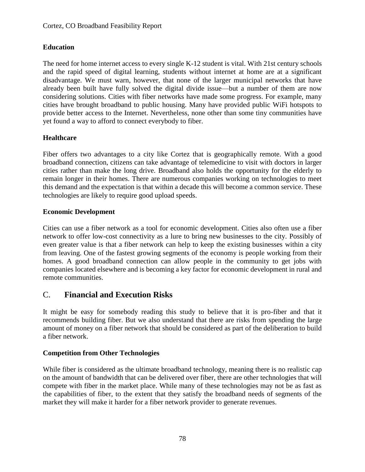# **Education**

The need for home internet access to every single K-12 student is vital. With 21st century schools and the rapid speed of digital learning, students without internet at home are at a significant disadvantage. We must warn, however, that none of the larger municipal networks that have already been built have fully solved the digital divide issue—but a number of them are now considering solutions. Cities with fiber networks have made some progress. For example, many cities have brought broadband to public housing. Many have provided public WiFi hotspots to provide better access to the Internet. Nevertheless, none other than some tiny communities have yet found a way to afford to connect everybody to fiber.

# **Healthcare**

Fiber offers two advantages to a city like Cortez that is geographically remote. With a good broadband connection, citizens can take advantage of telemedicine to visit with doctors in larger cities rather than make the long drive. Broadband also holds the opportunity for the elderly to remain longer in their homes. There are numerous companies working on technologies to meet this demand and the expectation is that within a decade this will become a common service. These technologies are likely to require good upload speeds.

# **Economic Development**

Cities can use a fiber network as a tool for economic development. Cities also often use a fiber network to offer low-cost connectivity as a lure to bring new businesses to the city. Possibly of even greater value is that a fiber network can help to keep the existing businesses within a city from leaving. One of the fastest growing segments of the economy is people working from their homes. A good broadband connection can allow people in the community to get jobs with companies located elsewhere and is becoming a key factor for economic development in rural and remote communities.

# C. **Financial and Execution Risks**

It might be easy for somebody reading this study to believe that it is pro-fiber and that it recommends building fiber. But we also understand that there are risks from spending the large amount of money on a fiber network that should be considered as part of the deliberation to build a fiber network.

# **Competition from Other Technologies**

While fiber is considered as the ultimate broadband technology, meaning there is no realistic cap on the amount of bandwidth that can be delivered over fiber, there are other technologies that will compete with fiber in the market place. While many of these technologies may not be as fast as the capabilities of fiber, to the extent that they satisfy the broadband needs of segments of the market they will make it harder for a fiber network provider to generate revenues.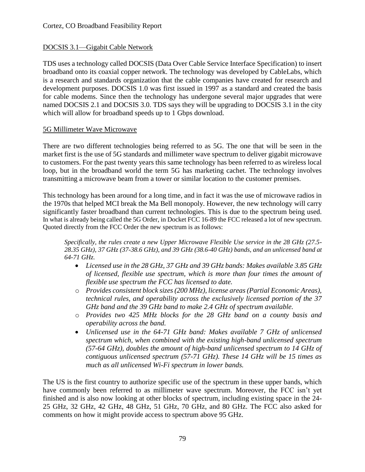# DOCSIS 3.1—Gigabit Cable Network

TDS uses a technology called DOCSIS (Data Over Cable Service Interface Specification) to insert broadband onto its coaxial copper network. The technology was developed by CableLabs, which is a research and standards organization that the cable companies have created for research and development purposes. DOCSIS 1.0 was first issued in 1997 as a standard and created the basis for cable modems. Since then the technology has undergone several major upgrades that were named DOCSIS 2.1 and DOCSIS 3.0. TDS says they will be upgrading to DOCSIS 3.1 in the city which will allow for broadband speeds up to 1 Gbps download.

#### 5G Millimeter Wave Microwave

There are two different technologies being referred to as 5G. The one that will be seen in the market first is the use of 5G standards and millimeter wave spectrum to deliver gigabit microwave to customers. For the past twenty years this same technology has been referred to as wireless local loop, but in the broadband world the term 5G has marketing cachet. The technology involves transmitting a microwave beam from a tower or similar location to the customer premises.

This technology has been around for a long time, and in fact it was the use of microwave radios in the 1970s that helped MCI break the Ma Bell monopoly. However, the new technology will carry significantly faster broadband than current technologies. This is due to the spectrum being used. In what is already being called the 5G Order, in Docket FCC 16-89 the FCC released a lot of new spectrum. Quoted directly from the FCC Order the new spectrum is as follows:

*Specifically, the rules create a new Upper Microwave Flexible Use service in the 28 GHz (27.5- 28.35 GHz), 37 GHz (37-38.6 GHz), and 39 GHz (38.6-40 GHz) bands, and an unlicensed band at 64-71 GHz.*

- *Licensed use in the 28 GHz, 37 GHz and 39 GHz bands: Makes available 3.85 GHz of licensed, flexible use spectrum, which is more than four times the amount of flexible use spectrum the FCC has licensed to date.*
- o *Provides consistent block sizes (200 MHz), license areas (Partial Economic Areas), technical rules, and operability across the exclusively licensed portion of the 37 GHz band and the 39 GHz band to make 2.4 GHz of spectrum available.*
- o *Provides two 425 MHz blocks for the 28 GHz band on a county basis and operability across the band.*
- *Unlicensed use in the 64-71 GHz band: Makes available 7 GHz of unlicensed spectrum which, when combined with the existing high-band unlicensed spectrum (57-64 GHz), doubles the amount of high-band unlicensed spectrum to 14 GHz of contiguous unlicensed spectrum (57-71 GHz). These 14 GHz will be 15 times as much as all unlicensed Wi-Fi spectrum in lower bands.*

The US is the first country to authorize specific use of the spectrum in these upper bands, which have commonly been referred to as millimeter wave spectrum. Moreover, the FCC isn't yet finished and is also now looking at other blocks of spectrum, including existing space in the 24- 25 GHz, 32 GHz, 42 GHz, 48 GHz, 51 GHz, 70 GHz, and 80 GHz. The FCC also asked for comments on how it might provide access to spectrum above 95 GHz.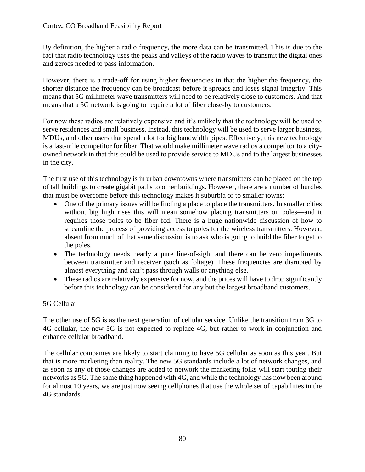By definition, the higher a radio frequency, the more data can be transmitted. This is due to the fact that radio technology uses the peaks and valleys of the radio waves to transmit the digital ones and zeroes needed to pass information.

However, there is a trade-off for using higher frequencies in that the higher the frequency, the shorter distance the frequency can be broadcast before it spreads and loses signal integrity. This means that 5G millimeter wave transmitters will need to be relatively close to customers. And that means that a 5G network is going to require a lot of fiber close-by to customers.

For now these radios are relatively expensive and it's unlikely that the technology will be used to serve residences and small business. Instead, this technology will be used to serve larger business, MDUs, and other users that spend a lot for big bandwidth pipes. Effectively, this new technology is a last-mile competitor for fiber. That would make millimeter wave radios a competitor to a cityowned network in that this could be used to provide service to MDUs and to the largest businesses in the city.

The first use of this technology is in urban downtowns where transmitters can be placed on the top of tall buildings to create gigabit paths to other buildings. However, there are a number of hurdles that must be overcome before this technology makes it suburbia or to smaller towns:

- One of the primary issues will be finding a place to place the transmitters. In smaller cities without big high rises this will mean somehow placing transmitters on poles—and it requires those poles to be fiber fed. There is a huge nationwide discussion of how to streamline the process of providing access to poles for the wireless transmitters. However, absent from much of that same discussion is to ask who is going to build the fiber to get to the poles.
- The technology needs nearly a pure line-of-sight and there can be zero impediments between transmitter and receiver (such as foliage). These frequencies are disrupted by almost everything and can't pass through walls or anything else.
- These radios are relatively expensive for now, and the prices will have to drop significantly before this technology can be considered for any but the largest broadband customers.

# 5G Cellular

The other use of 5G is as the next generation of cellular service. Unlike the transition from 3G to 4G cellular, the new 5G is not expected to replace 4G, but rather to work in conjunction and enhance cellular broadband.

The cellular companies are likely to start claiming to have 5G cellular as soon as this year. But that is more marketing than reality. The new 5G standards include a lot of network changes, and as soon as any of those changes are added to network the marketing folks will start touting their networks as 5G. The same thing happened with 4G, and while the technology has now been around for almost 10 years, we are just now seeing cellphones that use the whole set of capabilities in the 4G standards.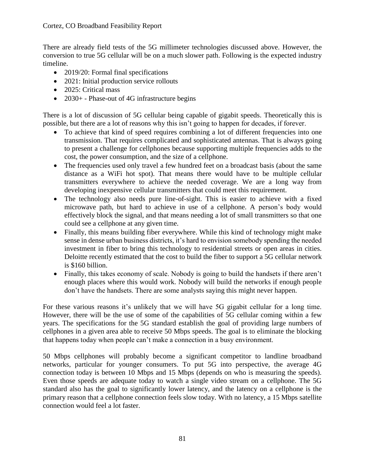There are already field tests of the 5G millimeter technologies discussed above. However, the conversion to true 5G cellular will be on a much slower path. Following is the expected industry timeline.

- 2019/20: Formal final specifications
- 2021: Initial production service rollouts
- 2025: Critical mass
- 2030+ Phase-out of 4G infrastructure begins

There is a lot of discussion of 5G cellular being capable of gigabit speeds. Theoretically this is possible, but there are a lot of reasons why this isn't going to happen for decades, if forever.

- To achieve that kind of speed requires combining a lot of different frequencies into one transmission. That requires complicated and sophisticated antennas. That is always going to present a challenge for cellphones because supporting multiple frequencies adds to the cost, the power consumption, and the size of a cellphone.
- The frequencies used only travel a few hundred feet on a broadcast basis (about the same distance as a WiFi hot spot). That means there would have to be multiple cellular transmitters everywhere to achieve the needed coverage. We are a long way from developing inexpensive cellular transmitters that could meet this requirement.
- The technology also needs pure line-of-sight. This is easier to achieve with a fixed microwave path, but hard to achieve in use of a cellphone. A person's body would effectively block the signal, and that means needing a lot of small transmitters so that one could see a cellphone at any given time.
- Finally, this means building fiber everywhere. While this kind of technology might make sense in dense urban business districts, it's hard to envision somebody spending the needed investment in fiber to bring this technology to residential streets or open areas in cities. Deloitte recently estimated that the cost to build the fiber to support a 5G cellular network is \$160 billion.
- Finally, this takes economy of scale. Nobody is going to build the handsets if there aren't enough places where this would work. Nobody will build the networks if enough people don't have the handsets. There are some analysts saying this might never happen.

For these various reasons it's unlikely that we will have 5G gigabit cellular for a long time. However, there will be the use of some of the capabilities of 5G cellular coming within a few years. The specifications for the 5G standard establish the goal of providing large numbers of cellphones in a given area able to receive 50 Mbps speeds. The goal is to eliminate the blocking that happens today when people can't make a connection in a busy environment.

50 Mbps cellphones will probably become a significant competitor to landline broadband networks, particular for younger consumers. To put 5G into perspective, the average 4G connection today is between 10 Mbps and 15 Mbps (depends on who is measuring the speeds). Even those speeds are adequate today to watch a single video stream on a cellphone. The 5G standard also has the goal to significantly lower latency, and the latency on a cellphone is the primary reason that a cellphone connection feels slow today. With no latency, a 15 Mbps satellite connection would feel a lot faster.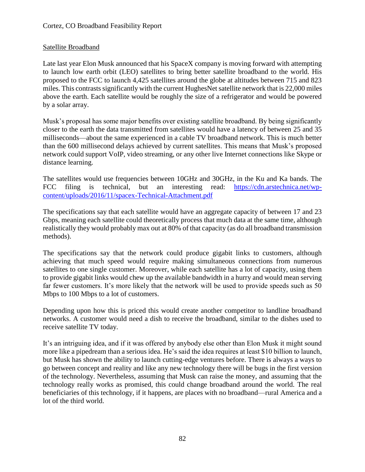# Satellite Broadband

Late last year Elon Musk announced that his SpaceX company is moving forward with attempting to launch low earth orbit (LEO) satellites to bring better satellite broadband to the world. His proposed to the FCC to launch 4,425 satellites around the globe at altitudes between 715 and 823 miles. This contrasts significantly with the current HughesNet satellite network that is 22,000 miles above the earth. Each satellite would be roughly the size of a refrigerator and would be powered by a solar array.

Musk's proposal has some major benefits over existing satellite broadband. By being significantly closer to the earth the data transmitted from satellites would have a latency of between 25 and 35 milliseconds—about the same experienced in a cable TV broadband network. This is much better than the 600 millisecond delays achieved by current satellites. This means that Musk's proposed network could support VoIP, video streaming, or any other live Internet connections like Skype or distance learning.

The satellites would use frequencies between 10GHz and 30GHz, in the Ku and Ka bands. The FCC filing is technical, but an interesting read: [https://cdn.arstechnica.net/wp](https://cdn.arstechnica.net/wp-content/uploads/2016/11/spacex-Technical-Attachment.pdf)[content/uploads/2016/11/spacex-Technical-Attachment.pdf](https://cdn.arstechnica.net/wp-content/uploads/2016/11/spacex-Technical-Attachment.pdf)

The specifications say that each satellite would have an aggregate capacity of between 17 and 23 Gbps, meaning each satellite could theoretically process that much data at the same time, although realistically they would probably max out at 80% of that capacity (as do all broadband transmission methods).

The specifications say that the network could produce gigabit links to customers, although achieving that much speed would require making simultaneous connections from numerous satellites to one single customer. Moreover, while each satellite has a lot of capacity, using them to provide gigabit links would chew up the available bandwidth in a hurry and would mean serving far fewer customers. It's more likely that the network will be used to provide speeds such as 50 Mbps to 100 Mbps to a lot of customers.

Depending upon how this is priced this would create another competitor to landline broadband networks. A customer would need a dish to receive the broadband, similar to the dishes used to receive satellite TV today.

It's an intriguing idea, and if it was offered by anybody else other than Elon Musk it might sound more like a pipedream than a serious idea. He's said the idea requires at least \$10 billion to launch, but Musk has shown the ability to launch cutting-edge ventures before. There is always a ways to go between concept and reality and like any new technology there will be bugs in the first version of the technology. Nevertheless, assuming that Musk can raise the money, and assuming that the technology really works as promised, this could change broadband around the world. The real beneficiaries of this technology, if it happens, are places with no broadband—rural America and a lot of the third world.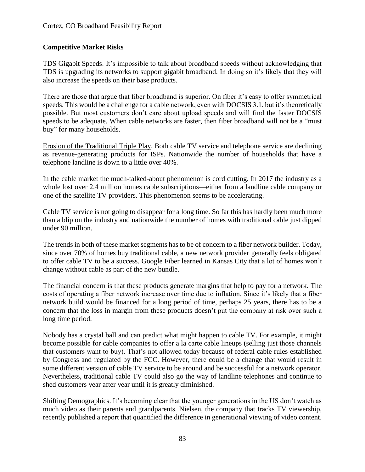# **Competitive Market Risks**

TDS Gigabit Speeds. It's impossible to talk about broadband speeds without acknowledging that TDS is upgrading its networks to support gigabit broadband. In doing so it's likely that they will also increase the speeds on their base products.

There are those that argue that fiber broadband is superior. On fiber it's easy to offer symmetrical speeds. This would be a challenge for a cable network, even with DOCSIS 3.1, but it's theoretically possible. But most customers don't care about upload speeds and will find the faster DOCSIS speeds to be adequate. When cable networks are faster, then fiber broadband will not be a "must buy" for many households.

Erosion of the Traditional Triple Play. Both cable TV service and telephone service are declining as revenue-generating products for ISPs. Nationwide the number of households that have a telephone landline is down to a little over 40%.

In the cable market the much-talked-about phenomenon is cord cutting. In 2017 the industry as a whole lost over 2.4 million homes cable subscriptions—either from a landline cable company or one of the satellite TV providers. This phenomenon seems to be accelerating.

Cable TV service is not going to disappear for a long time. So far this has hardly been much more than a blip on the industry and nationwide the number of homes with traditional cable just dipped under 90 million.

The trends in both of these market segments has to be of concern to a fiber network builder. Today, since over 70% of homes buy traditional cable, a new network provider generally feels obligated to offer cable TV to be a success. Google Fiber learned in Kansas City that a lot of homes won't change without cable as part of the new bundle.

The financial concern is that these products generate margins that help to pay for a network. The costs of operating a fiber network increase over time due to inflation. Since it's likely that a fiber network build would be financed for a long period of time, perhaps 25 years, there has to be a concern that the loss in margin from these products doesn't put the company at risk over such a long time period.

Nobody has a crystal ball and can predict what might happen to cable TV. For example, it might become possible for cable companies to offer a la carte cable lineups (selling just those channels that customers want to buy). That's not allowed today because of federal cable rules established by Congress and regulated by the FCC. However, there could be a change that would result in some different version of cable TV service to be around and be successful for a network operator. Nevertheless, traditional cable TV could also go the way of landline telephones and continue to shed customers year after year until it is greatly diminished.

Shifting Demographics. It's becoming clear that the younger generations in the US don't watch as much video as their parents and grandparents. Nielsen, the company that tracks TV viewership, recently published a report that quantified the difference in generational viewing of video content.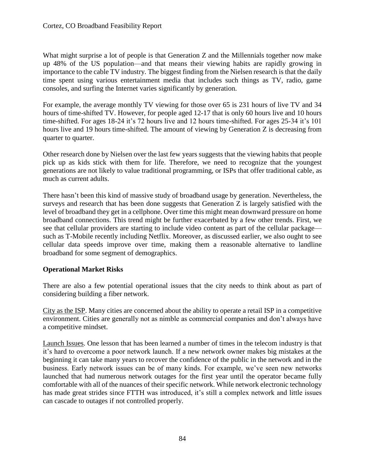What might surprise a lot of people is that Generation Z and the Millennials together now make up 48% of the US population—and that means their viewing habits are rapidly growing in importance to the cable TV industry. The biggest finding from the Nielsen research is that the daily time spent using various entertainment media that includes such things as TV, radio, game consoles, and surfing the Internet varies significantly by generation.

For example, the average monthly TV viewing for those over 65 is 231 hours of live TV and 34 hours of time-shifted TV. However, for people aged 12-17 that is only 60 hours live and 10 hours time-shifted. For ages 18-24 it's 72 hours live and 12 hours time-shifted. For ages 25-34 it's 101 hours live and 19 hours time-shifted. The amount of viewing by Generation Z is decreasing from quarter to quarter.

Other research done by Nielsen over the last few years suggests that the viewing habits that people pick up as kids stick with them for life. Therefore, we need to recognize that the youngest generations are not likely to value traditional programming, or ISPs that offer traditional cable, as much as current adults.

There hasn't been this kind of massive study of broadband usage by generation. Nevertheless, the surveys and research that has been done suggests that Generation Z is largely satisfied with the level of broadband they get in a cellphone. Over time this might mean downward pressure on home broadband connections. This trend might be further exacerbated by a few other trends. First, we see that cellular providers are starting to include video content as part of the cellular package such as T-Mobile recently including Netflix. Moreover, as discussed earlier, we also ought to see cellular data speeds improve over time, making them a reasonable alternative to landline broadband for some segment of demographics.

# **Operational Market Risks**

There are also a few potential operational issues that the city needs to think about as part of considering building a fiber network.

City as the ISP. Many cities are concerned about the ability to operate a retail ISP in a competitive environment. Cities are generally not as nimble as commercial companies and don't always have a competitive mindset.

Launch Issues. One lesson that has been learned a number of times in the telecom industry is that it's hard to overcome a poor network launch. If a new network owner makes big mistakes at the beginning it can take many years to recover the confidence of the public in the network and in the business. Early network issues can be of many kinds. For example, we've seen new networks launched that had numerous network outages for the first year until the operator became fully comfortable with all of the nuances of their specific network. While network electronic technology has made great strides since FTTH was introduced, it's still a complex network and little issues can cascade to outages if not controlled properly.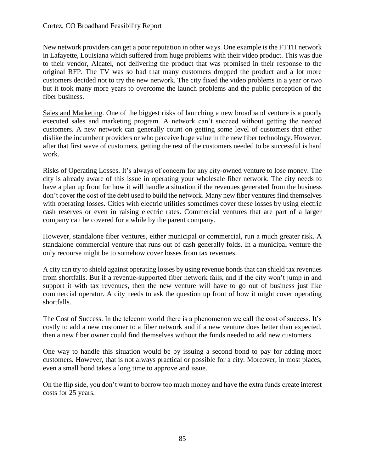New network providers can get a poor reputation in other ways. One example is the FTTH network in Lafayette, Louisiana which suffered from huge problems with their video product. This was due to their vendor, Alcatel, not delivering the product that was promised in their response to the original RFP. The TV was so bad that many customers dropped the product and a lot more customers decided not to try the new network. The city fixed the video problems in a year or two but it took many more years to overcome the launch problems and the public perception of the fiber business.

Sales and Marketing. One of the biggest risks of launching a new broadband venture is a poorly executed sales and marketing program. A network can't succeed without getting the needed customers. A new network can generally count on getting some level of customers that either dislike the incumbent providers or who perceive huge value in the new fiber technology. However, after that first wave of customers, getting the rest of the customers needed to be successful is hard work.

Risks of Operating Losses. It's always of concern for any city-owned venture to lose money. The city is already aware of this issue in operating your wholesale fiber network. The city needs to have a plan up front for how it will handle a situation if the revenues generated from the business don't cover the cost of the debt used to build the network. Many new fiber ventures find themselves with operating losses. Cities with electric utilities sometimes cover these losses by using electric cash reserves or even in raising electric rates. Commercial ventures that are part of a larger company can be covered for a while by the parent company.

However, standalone fiber ventures, either municipal or commercial, run a much greater risk. A standalone commercial venture that runs out of cash generally folds. In a municipal venture the only recourse might be to somehow cover losses from tax revenues.

A city can try to shield against operating losses by using revenue bonds that can shield tax revenues from shortfalls. But if a revenue-supported fiber network fails, and if the city won't jump in and support it with tax revenues, then the new venture will have to go out of business just like commercial operator. A city needs to ask the question up front of how it might cover operating shortfalls.

The Cost of Success. In the telecom world there is a phenomenon we call the cost of success. It's costly to add a new customer to a fiber network and if a new venture does better than expected, then a new fiber owner could find themselves without the funds needed to add new customers.

One way to handle this situation would be by issuing a second bond to pay for adding more customers. However, that is not always practical or possible for a city. Moreover, in most places, even a small bond takes a long time to approve and issue.

On the flip side, you don't want to borrow too much money and have the extra funds create interest costs for 25 years.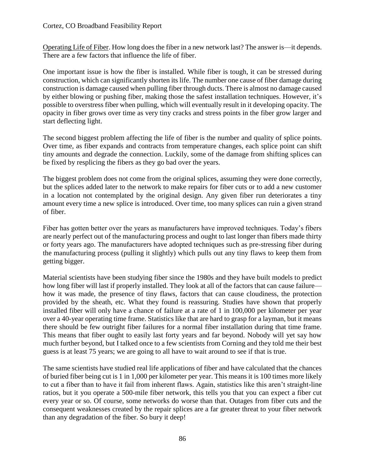Operating Life of Fiber. How long does the fiber in a new network last? The answer is—it depends. There are a few factors that influence the life of fiber.

One important issue is how the fiber is installed. While fiber is tough, it can be stressed during construction, which can significantly shorten its life. The number one cause of fiber damage during construction is damage caused when pulling fiber through ducts. There is almost no damage caused by either blowing or pushing fiber, making those the safest installation techniques. However, it's possible to overstress fiber when pulling, which will eventually result in it developing opacity. The opacity in fiber grows over time as very tiny cracks and stress points in the fiber grow larger and start deflecting light.

The second biggest problem affecting the life of fiber is the number and quality of splice points. Over time, as fiber expands and contracts from temperature changes, each splice point can shift tiny amounts and degrade the connection. Luckily, some of the damage from shifting splices can be fixed by resplicing the fibers as they go bad over the years.

The biggest problem does not come from the original splices, assuming they were done correctly, but the splices added later to the network to make repairs for fiber cuts or to add a new customer in a location not contemplated by the original design. Any given fiber run deteriorates a tiny amount every time a new splice is introduced. Over time, too many splices can ruin a given strand of fiber.

Fiber has gotten better over the years as manufacturers have improved techniques. Today's fibers are nearly perfect out of the manufacturing process and ought to last longer than fibers made thirty or forty years ago. The manufacturers have adopted techniques such as pre-stressing fiber during the manufacturing process (pulling it slightly) which pulls out any tiny flaws to keep them from getting bigger.

Material scientists have been studying fiber since the 1980s and they have built models to predict how long fiber will last if properly installed. They look at all of the factors that can cause failure how it was made, the presence of tiny flaws, factors that can cause cloudiness, the protection provided by the sheath, etc. What they found is reassuring. Studies have shown that properly installed fiber will only have a chance of failure at a rate of 1 in 100,000 per kilometer per year over a 40-year operating time frame. Statistics like that are hard to grasp for a layman, but it means there should be few outright fiber failures for a normal fiber installation during that time frame. This means that fiber ought to easily last forty years and far beyond. Nobody will yet say how much further beyond, but I talked once to a few scientists from Corning and they told me their best guess is at least 75 years; we are going to all have to wait around to see if that is true.

The same scientists have studied real life applications of fiber and have calculated that the chances of buried fiber being cut is 1 in 1,000 per kilometer per year. This means it is 100 times more likely to cut a fiber than to have it fail from inherent flaws. Again, statistics like this aren't straight-line ratios, but it you operate a 500-mile fiber network, this tells you that you can expect a fiber cut every year or so. Of course, some networks do worse than that. Outages from fiber cuts and the consequent weaknesses created by the repair splices are a far greater threat to your fiber network than any degradation of the fiber. So bury it deep!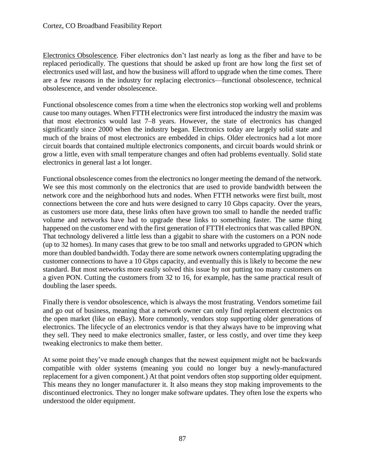Electronics Obsolescence. Fiber electronics don't last nearly as long as the fiber and have to be replaced periodically. The questions that should be asked up front are how long the first set of electronics used will last, and how the business will afford to upgrade when the time comes. There are a few reasons in the industry for replacing electronics—functional obsolescence, technical obsolescence, and vender obsolescence.

Functional obsolescence comes from a time when the electronics stop working well and problems cause too many outages. When FTTH electronics were first introduced the industry the maxim was that most electronics would last 7–8 years. However, the state of electronics has changed significantly since 2000 when the industry began. Electronics today are largely solid state and much of the brains of most electronics are embedded in chips. Older electronics had a lot more circuit boards that contained multiple electronics components, and circuit boards would shrink or grow a little, even with small temperature changes and often had problems eventually. Solid state electronics in general last a lot longer.

Functional obsolescence comes from the electronics no longer meeting the demand of the network. We see this most commonly on the electronics that are used to provide bandwidth between the network core and the neighborhood huts and nodes. When FTTH networks were first built, most connections between the core and huts were designed to carry 10 Gbps capacity. Over the years, as customers use more data, these links often have grown too small to handle the needed traffic volume and networks have had to upgrade these links to something faster. The same thing happened on the customer end with the first generation of FTTH electronics that was called BPON. That technology delivered a little less than a gigabit to share with the customers on a PON node (up to 32 homes). In many cases that grew to be too small and networks upgraded to GPON which more than doubled bandwidth. Today there are some network owners contemplating upgrading the customer connections to have a 10 Gbps capacity, and eventually this is likely to become the new standard. But most networks more easily solved this issue by not putting too many customers on a given PON. Cutting the customers from 32 to 16, for example, has the same practical result of doubling the laser speeds.

Finally there is vendor obsolescence, which is always the most frustrating. Vendors sometime fail and go out of business, meaning that a network owner can only find replacement electronics on the open market (like on eBay). More commonly, vendors stop supporting older generations of electronics. The lifecycle of an electronics vendor is that they always have to be improving what they sell. They need to make electronics smaller, faster, or less costly, and over time they keep tweaking electronics to make them better.

At some point they've made enough changes that the newest equipment might not be backwards compatible with older systems (meaning you could no longer buy a newly-manufactured replacement for a given component.) At that point vendors often stop supporting older equipment. This means they no longer manufacturer it. It also means they stop making improvements to the discontinued electronics. They no longer make software updates. They often lose the experts who understood the older equipment.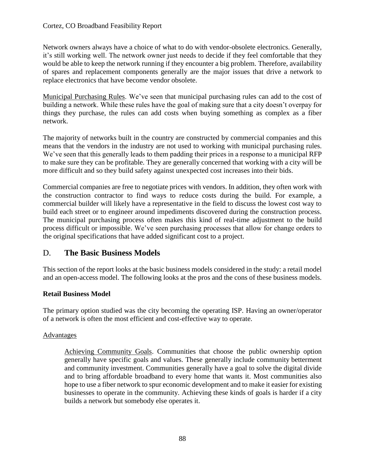Network owners always have a choice of what to do with vendor-obsolete electronics. Generally, it's still working well. The network owner just needs to decide if they feel comfortable that they would be able to keep the network running if they encounter a big problem. Therefore, availability of spares and replacement components generally are the major issues that drive a network to replace electronics that have become vendor obsolete.

Municipal Purchasing Rules. We've seen that municipal purchasing rules can add to the cost of building a network. While these rules have the goal of making sure that a city doesn't overpay for things they purchase, the rules can add costs when buying something as complex as a fiber network.

The majority of networks built in the country are constructed by commercial companies and this means that the vendors in the industry are not used to working with municipal purchasing rules. We've seen that this generally leads to them padding their prices in a response to a municipal RFP to make sure they can be profitable. They are generally concerned that working with a city will be more difficult and so they build safety against unexpected cost increases into their bids.

Commercial companies are free to negotiate prices with vendors. In addition, they often work with the construction contractor to find ways to reduce costs during the build. For example, a commercial builder will likely have a representative in the field to discuss the lowest cost way to build each street or to engineer around impediments discovered during the construction process. The municipal purchasing process often makes this kind of real-time adjustment to the build process difficult or impossible. We've seen purchasing processes that allow for change orders to the original specifications that have added significant cost to a project.

# D. **The Basic Business Models**

This section of the report looks at the basic business models considered in the study: a retail model and an open-access model. The following looks at the pros and the cons of these business models.

# **Retail Business Model**

The primary option studied was the city becoming the operating ISP. Having an owner/operator of a network is often the most efficient and cost-effective way to operate.

#### Advantages

Achieving Community Goals. Communities that choose the public ownership option generally have specific goals and values. These generally include community betterment and community investment. Communities generally have a goal to solve the digital divide and to bring affordable broadband to every home that wants it. Most communities also hope to use a fiber network to spur economic development and to make it easier for existing businesses to operate in the community. Achieving these kinds of goals is harder if a city builds a network but somebody else operates it.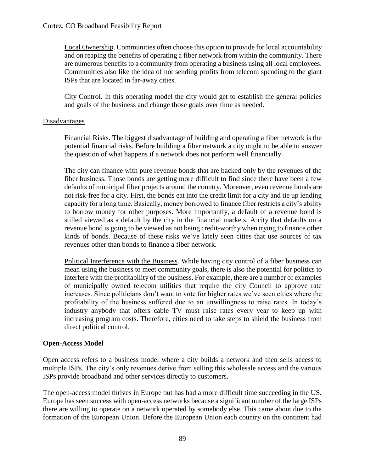Local Ownership. Communities often choose this option to provide for local accountability and on reaping the benefits of operating a fiber network from within the community. There are numerous benefits to a community from operating a business using all local employees. Communities also like the idea of not sending profits from telecom spending to the giant ISPs that are located in far-away cities.

City Control. In this operating model the city would get to establish the general policies and goals of the business and change those goals over time as needed.

# Disadvantages

Financial Risks. The biggest disadvantage of building and operating a fiber network is the potential financial risks. Before building a fiber network a city ought to be able to answer the question of what happens if a network does not perform well financially.

The city can finance with pure revenue bonds that are backed only by the revenues of the fiber business. Those bonds are getting more difficult to find since there have been a few defaults of municipal fiber projects around the country. Moreover, even revenue bonds are not risk-free for a city. First, the bonds eat into the credit limit for a city and tie up lending capacity for a long time. Basically, money borrowed to finance fiber restricts a city's ability to borrow money for other purposes. More importantly, a default of a revenue bond is stilled viewed as a default by the city in the financial markets. A city that defaults on a revenue bond is going to be viewed as not being credit-worthy when trying to finance other kinds of bonds. Because of these risks we've lately seen cities that use sources of tax revenues other than bonds to finance a fiber network.

Political Interference with the Business. While having city control of a fiber business can mean using the business to meet community goals, there is also the potential for politics to interfere with the profitability of the business. For example, there are a number of examples of municipally owned telecom utilities that require the city Council to approve rate increases. Since politicians don't want to vote for higher rates we've seen cities where the profitability of the business suffered due to an unwillingness to raise rates. In today's industry anybody that offers cable TV must raise rates every year to keep up with increasing program costs. Therefore, cities need to take steps to shield the business from direct political control.

# **Open-Access Model**

Open access refers to a business model where a city builds a network and then sells access to multiple ISPs. The city's only revenues derive from selling this wholesale access and the various ISPs provide broadband and other services directly to customers.

The open-access model thrives in Europe but has had a more difficult time succeeding in the US. Europe has seen success with open-access networks because a significant number of the large ISPs there are willing to operate on a network operated by somebody else. This came about due to the formation of the European Union. Before the European Union each country on the continent had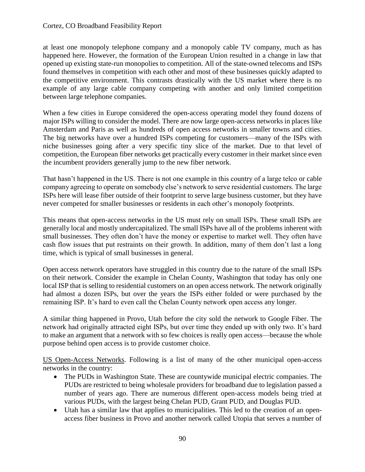at least one monopoly telephone company and a monopoly cable TV company, much as has happened here. However, the formation of the European Union resulted in a change in law that opened up existing state-run monopolies to competition. All of the state-owned telecoms and ISPs found themselves in competition with each other and most of these businesses quickly adapted to the competitive environment. This contrasts drastically with the US market where there is no example of any large cable company competing with another and only limited competition between large telephone companies.

When a few cities in Europe considered the open-access operating model they found dozens of major ISPs willing to consider the model. There are now large open-access networks in places like Amsterdam and Paris as well as hundreds of open access networks in smaller towns and cities. The big networks have over a hundred ISPs competing for customers—many of the ISPs with niche businesses going after a very specific tiny slice of the market. Due to that level of competition, the European fiber networks get practically every customer in their market since even the incumbent providers generally jump to the new fiber network.

That hasn't happened in the US. There is not one example in this country of a large telco or cable company agreeing to operate on somebody else's network to serve residential customers. The large ISPs here will lease fiber outside of their footprint to serve large business customer, but they have never competed for smaller businesses or residents in each other's monopoly footprints.

This means that open-access networks in the US must rely on small ISPs. These small ISPs are generally local and mostly undercapitalized. The small ISPs have all of the problems inherent with small businesses. They often don't have the money or expertise to market well. They often have cash flow issues that put restraints on their growth. In addition, many of them don't last a long time, which is typical of small businesses in general.

Open access network operators have struggled in this country due to the nature of the small ISPs on their network. Consider the example in Chelan County, Washington that today has only one local ISP that is selling to residential customers on an open access network. The network originally had almost a dozen ISPs, but over the years the ISPs either folded or were purchased by the remaining ISP. It's hard to even call the Chelan County network open access any longer.

A similar thing happened in Provo, Utah before the city sold the network to Google Fiber. The network had originally attracted eight ISPs, but over time they ended up with only two. It's hard to make an argument that a network with so few choices is really open access—because the whole purpose behind open access is to provide customer choice.

US Open-Access Networks. Following is a list of many of the other municipal open-access networks in the country:

- The PUDs in Washington State. These are countywide municipal electric companies. The PUDs are restricted to being wholesale providers for broadband due to legislation passed a number of years ago. There are numerous different open-access models being tried at various PUDs, with the largest being Chelan PUD, Grant PUD, and Douglas PUD.
- Utah has a similar law that applies to municipalities. This led to the creation of an openaccess fiber business in Provo and another network called Utopia that serves a number of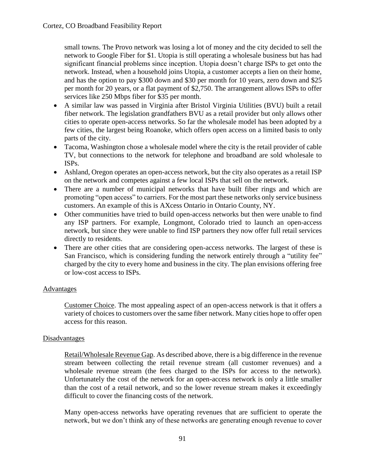small towns. The Provo network was losing a lot of money and the city decided to sell the network to Google Fiber for \$1. Utopia is still operating a wholesale business but has had significant financial problems since inception. Utopia doesn't charge ISPs to get onto the network. Instead, when a household joins Utopia, a customer accepts a lien on their home, and has the option to pay \$300 down and \$30 per month for 10 years, zero down and \$25 per month for 20 years, or a flat payment of \$2,750. The arrangement allows ISPs to offer services like 250 Mbps fiber for \$35 per month.

- A similar law was passed in Virginia after Bristol Virginia Utilities (BVU) built a retail fiber network. The legislation grandfathers BVU as a retail provider but only allows other cities to operate open-access networks. So far the wholesale model has been adopted by a few cities, the largest being Roanoke, which offers open access on a limited basis to only parts of the city.
- Tacoma, Washington chose a wholesale model where the city is the retail provider of cable TV, but connections to the network for telephone and broadband are sold wholesale to ISPs.
- Ashland, Oregon operates an open-access network, but the city also operates as a retail ISP on the network and competes against a few local ISPs that sell on the network.
- There are a number of municipal networks that have built fiber rings and which are promoting "open access" to carriers. For the most part these networks only service business customers. An example of this is AXcess Ontario in Ontario County, NY.
- Other communities have tried to build open-access networks but then were unable to find any ISP partners. For example, Longmont, Colorado tried to launch an open-access network, but since they were unable to find ISP partners they now offer full retail services directly to residents.
- There are other cities that are considering open-access networks. The largest of these is San Francisco, which is considering funding the network entirely through a "utility fee" charged by the city to every home and business in the city. The plan envisions offering free or low-cost access to ISPs.

# Advantages

Customer Choice. The most appealing aspect of an open-access network is that it offers a variety of choices to customers over the same fiber network. Many cities hope to offer open access for this reason.

# Disadvantages

Retail/Wholesale Revenue Gap. As described above, there is a big difference in the revenue stream between collecting the retail revenue stream (all customer revenues) and a wholesale revenue stream (the fees charged to the ISPs for access to the network). Unfortunately the cost of the network for an open-access network is only a little smaller than the cost of a retail network, and so the lower revenue stream makes it exceedingly difficult to cover the financing costs of the network.

Many open-access networks have operating revenues that are sufficient to operate the network, but we don't think any of these networks are generating enough revenue to cover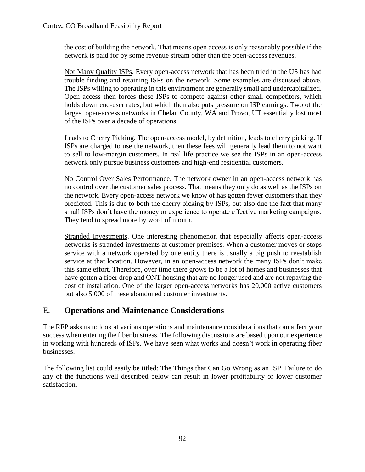the cost of building the network. That means open access is only reasonably possible if the network is paid for by some revenue stream other than the open-access revenues.

Not Many Quality ISPs. Every open-access network that has been tried in the US has had trouble finding and retaining ISPs on the network. Some examples are discussed above. The ISPs willing to operating in this environment are generally small and undercapitalized. Open access then forces these ISPs to compete against other small competitors, which holds down end-user rates, but which then also puts pressure on ISP earnings. Two of the largest open-access networks in Chelan County, WA and Provo, UT essentially lost most of the ISPs over a decade of operations.

Leads to Cherry Picking. The open-access model, by definition, leads to cherry picking. If ISPs are charged to use the network, then these fees will generally lead them to not want to sell to low-margin customers. In real life practice we see the ISPs in an open-access network only pursue business customers and high-end residential customers.

No Control Over Sales Performance. The network owner in an open-access network has no control over the customer sales process. That means they only do as well as the ISPs on the network. Every open-access network we know of has gotten fewer customers than they predicted. This is due to both the cherry picking by ISPs, but also due the fact that many small ISPs don't have the money or experience to operate effective marketing campaigns. They tend to spread more by word of mouth.

Stranded Investments. One interesting phenomenon that especially affects open-access networks is stranded investments at customer premises. When a customer moves or stops service with a network operated by one entity there is usually a big push to reestablish service at that location. However, in an open-access network the many ISPs don't make this same effort. Therefore, over time there grows to be a lot of homes and businesses that have gotten a fiber drop and ONT housing that are no longer used and are not repaying the cost of installation. One of the larger open-access networks has 20,000 active customers but also 5,000 of these abandoned customer investments.

# E. **Operations and Maintenance Considerations**

The RFP asks us to look at various operations and maintenance considerations that can affect your success when entering the fiber business. The following discussions are based upon our experience in working with hundreds of ISPs. We have seen what works and doesn't work in operating fiber businesses.

The following list could easily be titled: The Things that Can Go Wrong as an ISP. Failure to do any of the functions well described below can result in lower profitability or lower customer satisfaction.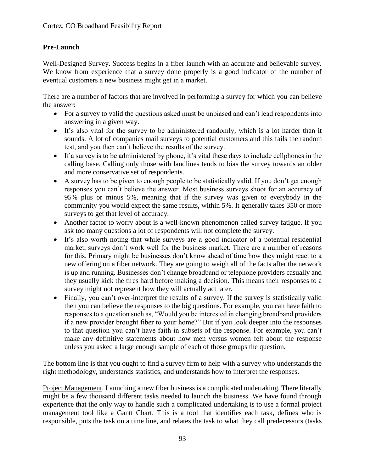# **Pre-Launch**

Well-Designed Survey. Success begins in a fiber launch with an accurate and believable survey. We know from experience that a survey done properly is a good indicator of the number of eventual customers a new business might get in a market.

There are a number of factors that are involved in performing a survey for which you can believe the answer:

- For a survey to valid the questions asked must be unbiased and can't lead respondents into answering in a given way.
- It's also vital for the survey to be administered randomly, which is a lot harder than it sounds. A lot of companies mail surveys to potential customers and this fails the random test, and you then can't believe the results of the survey.
- If a survey is to be administered by phone, it's vital these days to include cellphones in the calling base. Calling only those with landlines tends to bias the survey towards an older and more conservative set of respondents.
- A survey has to be given to enough people to be statistically valid. If you don't get enough responses you can't believe the answer. Most business surveys shoot for an accuracy of 95% plus or minus 5%, meaning that if the survey was given to everybody in the community you would expect the same results, within 5%. It generally takes 350 or more surveys to get that level of accuracy.
- Another factor to worry about is a well-known phenomenon called survey fatigue. If you ask too many questions a lot of respondents will not complete the survey.
- It's also worth noting that while surveys are a good indicator of a potential residential market, surveys don't work well for the business market. There are a number of reasons for this. Primary might be businesses don't know ahead of time how they might react to a new offering on a fiber network. They are going to weigh all of the facts after the network is up and running. Businesses don't change broadband or telephone providers casually and they usually kick the tires hard before making a decision. This means their responses to a survey might not represent how they will actually act later.
- Finally, you can't over-interpret the results of a survey. If the survey is statistically valid then you can believe the responses to the big questions. For example, you can have faith to responses to a question such as, "Would you be interested in changing broadband providers if a new provider brought fiber to your home?" But if you look deeper into the responses to that question you can't have faith in subsets of the response. For example, you can't make any definitive statements about how men versus women felt about the response unless you asked a large enough sample of each of those groups the question.

The bottom line is that you ought to find a survey firm to help with a survey who understands the right methodology, understands statistics, and understands how to interpret the responses.

Project Management. Launching a new fiber business is a complicated undertaking. There literally might be a few thousand different tasks needed to launch the business. We have found through experience that the only way to handle such a complicated undertaking is to use a formal project management tool like a Gantt Chart. This is a tool that identifies each task, defines who is responsible, puts the task on a time line, and relates the task to what they call predecessors (tasks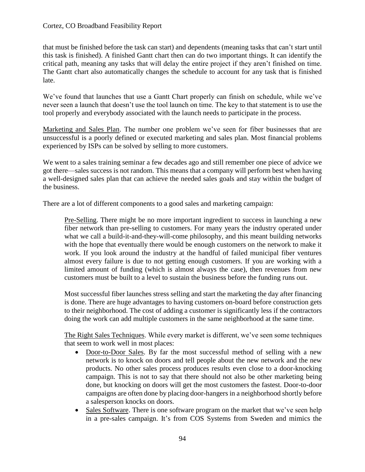that must be finished before the task can start) and dependents (meaning tasks that can't start until this task is finished). A finished Gantt chart then can do two important things. It can identify the critical path, meaning any tasks that will delay the entire project if they aren't finished on time. The Gantt chart also automatically changes the schedule to account for any task that is finished late.

We've found that launches that use a Gantt Chart properly can finish on schedule, while we've never seen a launch that doesn't use the tool launch on time. The key to that statement is to use the tool properly and everybody associated with the launch needs to participate in the process.

Marketing and Sales Plan. The number one problem we've seen for fiber businesses that are unsuccessful is a poorly defined or executed marketing and sales plan. Most financial problems experienced by ISPs can be solved by selling to more customers.

We went to a sales training seminar a few decades ago and still remember one piece of advice we got there—sales success is not random. This means that a company will perform best when having a well-designed sales plan that can achieve the needed sales goals and stay within the budget of the business.

There are a lot of different components to a good sales and marketing campaign:

Pre-Selling. There might be no more important ingredient to success in launching a new fiber network than pre-selling to customers. For many years the industry operated under what we call a build-it-and-they-will-come philosophy, and this meant building networks with the hope that eventually there would be enough customers on the network to make it work. If you look around the industry at the handful of failed municipal fiber ventures almost every failure is due to not getting enough customers. If you are working with a limited amount of funding (which is almost always the case), then revenues from new customers must be built to a level to sustain the business before the funding runs out.

Most successful fiber launches stress selling and start the marketing the day after financing is done. There are huge advantages to having customers on-board before construction gets to their neighborhood. The cost of adding a customer is significantly less if the contractors doing the work can add multiple customers in the same neighborhood at the same time.

The Right Sales Techniques. While every market is different, we've seen some techniques that seem to work well in most places:

- Door-to-Door Sales. By far the most successful method of selling with a new network is to knock on doors and tell people about the new network and the new products. No other sales process produces results even close to a door-knocking campaign. This is not to say that there should not also be other marketing being done, but knocking on doors will get the most customers the fastest. Door-to-door campaigns are often done by placing door-hangers in a neighborhood shortly before a salesperson knocks on doors.
- Sales Software. There is one software program on the market that we've seen help in a pre-sales campaign. It's from COS Systems from Sweden and mimics the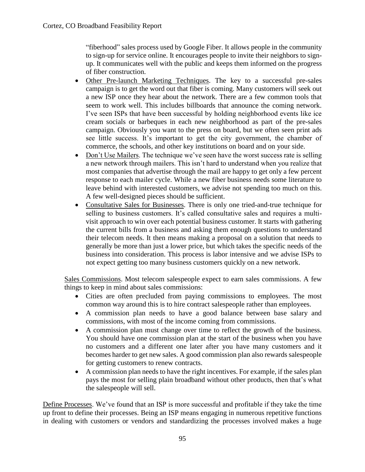"fiberhood" sales process used by Google Fiber. It allows people in the community to sign-up for service online. It encourages people to invite their neighbors to signup. It communicates well with the public and keeps them informed on the progress of fiber construction.

- Other Pre-launch Marketing Techniques. The key to a successful pre-sales campaign is to get the word out that fiber is coming. Many customers will seek out a new ISP once they hear about the network. There are a few common tools that seem to work well. This includes billboards that announce the coming network. I've seen ISPs that have been successful by holding neighborhood events like ice cream socials or barbeques in each new neighborhood as part of the pre-sales campaign. Obviously you want to the press on board, but we often seen print ads see little success. It's important to get the city government, the chamber of commerce, the schools, and other key institutions on board and on your side.
- Don't Use Mailers. The technique we've seen have the worst success rate is selling a new network through mailers. This isn't hard to understand when you realize that most companies that advertise through the mail are happy to get only a few percent response to each mailer cycle. While a new fiber business needs some literature to leave behind with interested customers, we advise not spending too much on this. A few well-designed pieces should be sufficient.
- Consultative Sales for Businesses. There is only one tried-and-true technique for selling to business customers. It's called consultative sales and requires a multivisit approach to win over each potential business customer. It starts with gathering the current bills from a business and asking them enough questions to understand their telecom needs. It then means making a proposal on a solution that needs to generally be more than just a lower price, but which takes the specific needs of the business into consideration. This process is labor intensive and we advise ISPs to not expect getting too many business customers quickly on a new network.

Sales Commissions. Most telecom salespeople expect to earn sales commissions. A few things to keep in mind about sales commissions:

- Cities are often precluded from paying commissions to employees. The most common way around this is to hire contract salespeople rather than employees.
- A commission plan needs to have a good balance between base salary and commissions, with most of the income coming from commissions.
- A commission plan must change over time to reflect the growth of the business. You should have one commission plan at the start of the business when you have no customers and a different one later after you have many customers and it becomes harder to get new sales. A good commission plan also rewards salespeople for getting customers to renew contracts.
- A commission plan needs to have the right incentives. For example, if the sales plan pays the most for selling plain broadband without other products, then that's what the salespeople will sell.

Define Processes. We've found that an ISP is more successful and profitable if they take the time up front to define their processes. Being an ISP means engaging in numerous repetitive functions in dealing with customers or vendors and standardizing the processes involved makes a huge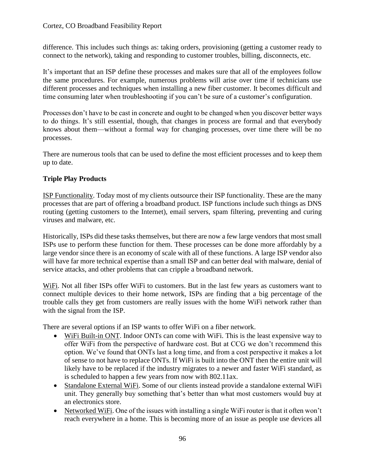difference. This includes such things as: taking orders, provisioning (getting a customer ready to connect to the network), taking and responding to customer troubles, billing, disconnects, etc.

It's important that an ISP define these processes and makes sure that all of the employees follow the same procedures. For example, numerous problems will arise over time if technicians use different processes and techniques when installing a new fiber customer. It becomes difficult and time consuming later when troubleshooting if you can't be sure of a customer's configuration.

Processes don't have to be cast in concrete and ought to be changed when you discover better ways to do things. It's still essential, though, that changes in process are formal and that everybody knows about them—without a formal way for changing processes, over time there will be no processes.

There are numerous tools that can be used to define the most efficient processes and to keep them up to date.

# **Triple Play Products**

ISP Functionality. Today most of my clients outsource their ISP functionality. These are the many processes that are part of offering a broadband product. ISP functions include such things as DNS routing (getting customers to the Internet), email servers, spam filtering, preventing and curing viruses and malware, etc.

Historically, ISPs did these tasks themselves, but there are now a few large vendors that most small ISPs use to perform these function for them. These processes can be done more affordably by a large vendor since there is an economy of scale with all of these functions. A large ISP vendor also will have far more technical expertise than a small ISP and can better deal with malware, denial of service attacks, and other problems that can cripple a broadband network.

WiFi. Not all fiber ISPs offer WiFi to customers. But in the last few years as customers want to connect multiple devices to their home network, ISPs are finding that a big percentage of the trouble calls they get from customers are really issues with the home WiFi network rather than with the signal from the ISP.

There are several options if an ISP wants to offer WiFi on a fiber network.

- WiFi Built-in ONT. Indoor ONTs can come with WiFi. This is the least expensive way to offer WiFi from the perspective of hardware cost. But at CCG we don't recommend this option. We've found that ONTs last a long time, and from a cost perspective it makes a lot of sense to not have to replace ONTs. If WiFi is built into the ONT then the entire unit will likely have to be replaced if the industry migrates to a newer and faster WiFi standard, as is scheduled to happen a few years from now with 802.11ax.
- Standalone External WiFi. Some of our clients instead provide a standalone external WiFi unit. They generally buy something that's better than what most customers would buy at an electronics store.
- Networked WiFi. One of the issues with installing a single WiFi router is that it often won't reach everywhere in a home. This is becoming more of an issue as people use devices all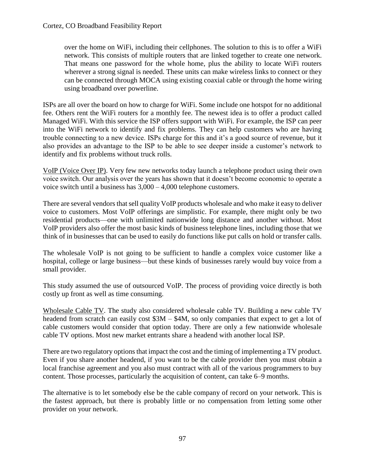over the home on WiFi, including their cellphones. The solution to this is to offer a WiFi network. This consists of multiple routers that are linked together to create one network. That means one password for the whole home, plus the ability to locate WiFi routers wherever a strong signal is needed. These units can make wireless links to connect or they can be connected through MOCA using existing coaxial cable or through the home wiring using broadband over powerline.

ISPs are all over the board on how to charge for WiFi. Some include one hotspot for no additional fee. Others rent the WiFi routers for a monthly fee. The newest idea is to offer a product called Managed WiFi. With this service the ISP offers support with WiFi. For example, the ISP can peer into the WiFi network to identify and fix problems. They can help customers who are having trouble connecting to a new device. ISPs charge for this and it's a good source of revenue, but it also provides an advantage to the ISP to be able to see deeper inside a customer's network to identify and fix problems without truck rolls.

VoIP (Voice Over IP). Very few new networks today launch a telephone product using their own voice switch. Our analysis over the years has shown that it doesn't become economic to operate a voice switch until a business has 3,000 – 4,000 telephone customers.

There are several vendors that sell quality VoIP products wholesale and who make it easy to deliver voice to customers. Most VoIP offerings are simplistic. For example, there might only be two residential products—one with unlimited nationwide long distance and another without. Most VoIP providers also offer the most basic kinds of business telephone lines, including those that we think of in businesses that can be used to easily do functions like put calls on hold or transfer calls.

The wholesale VoIP is not going to be sufficient to handle a complex voice customer like a hospital, college or large business—but these kinds of businesses rarely would buy voice from a small provider.

This study assumed the use of outsourced VoIP. The process of providing voice directly is both costly up front as well as time consuming.

Wholesale Cable TV. The study also considered wholesale cable TV. Building a new cable TV headend from scratch can easily cost  $$3M - $4M$ , so only companies that expect to get a lot of cable customers would consider that option today. There are only a few nationwide wholesale cable TV options. Most new market entrants share a headend with another local ISP.

There are two regulatory options that impact the cost and the timing of implementing a TV product. Even if you share another headend, if you want to be the cable provider then you must obtain a local franchise agreement and you also must contract with all of the various programmers to buy content. Those processes, particularly the acquisition of content, can take 6–9 months.

The alternative is to let somebody else be the cable company of record on your network. This is the fastest approach, but there is probably little or no compensation from letting some other provider on your network.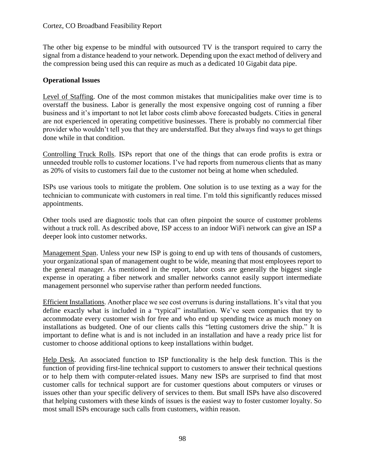The other big expense to be mindful with outsourced TV is the transport required to carry the signal from a distance headend to your network. Depending upon the exact method of delivery and the compression being used this can require as much as a dedicated 10 Gigabit data pipe.

# **Operational Issues**

Level of Staffing. One of the most common mistakes that municipalities make over time is to overstaff the business. Labor is generally the most expensive ongoing cost of running a fiber business and it's important to not let labor costs climb above forecasted budgets. Cities in general are not experienced in operating competitive businesses. There is probably no commercial fiber provider who wouldn't tell you that they are understaffed. But they always find ways to get things done while in that condition.

Controlling Truck Rolls. ISPs report that one of the things that can erode profits is extra or unneeded trouble rolls to customer locations. I've had reports from numerous clients that as many as 20% of visits to customers fail due to the customer not being at home when scheduled.

ISPs use various tools to mitigate the problem. One solution is to use texting as a way for the technician to communicate with customers in real time. I'm told this significantly reduces missed appointments.

Other tools used are diagnostic tools that can often pinpoint the source of customer problems without a truck roll. As described above, ISP access to an indoor WiFi network can give an ISP a deeper look into customer networks.

Management Span. Unless your new ISP is going to end up with tens of thousands of customers, your organizational span of management ought to be wide, meaning that most employees report to the general manager. As mentioned in the report, labor costs are generally the biggest single expense in operating a fiber network and smaller networks cannot easily support intermediate management personnel who supervise rather than perform needed functions.

Efficient Installations. Another place we see cost overruns is during installations. It's vital that you define exactly what is included in a "typical" installation. We've seen companies that try to accommodate every customer wish for free and who end up spending twice as much money on installations as budgeted. One of our clients calls this "letting customers drive the ship." It is important to define what is and is not included in an installation and have a ready price list for customer to choose additional options to keep installations within budget.

Help Desk. An associated function to ISP functionality is the help desk function. This is the function of providing first-line technical support to customers to answer their technical questions or to help them with computer-related issues. Many new ISPs are surprised to find that most customer calls for technical support are for customer questions about computers or viruses or issues other than your specific delivery of services to them. But small ISPs have also discovered that helping customers with these kinds of issues is the easiest way to foster customer loyalty. So most small ISPs encourage such calls from customers, within reason.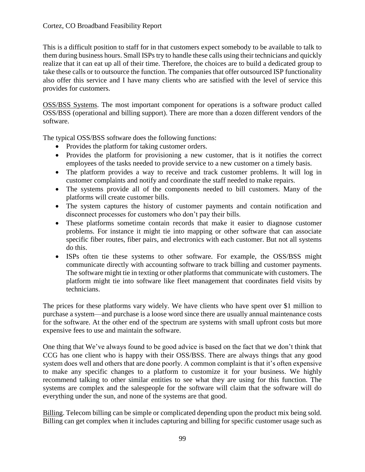This is a difficult position to staff for in that customers expect somebody to be available to talk to them during business hours. Small ISPs try to handle these calls using their technicians and quickly realize that it can eat up all of their time. Therefore, the choices are to build a dedicated group to take these calls or to outsource the function. The companies that offer outsourced ISP functionality also offer this service and I have many clients who are satisfied with the level of service this provides for customers.

OSS/BSS Systems. The most important component for operations is a software product called OSS/BSS (operational and billing support). There are more than a dozen different vendors of the software.

The typical OSS/BSS software does the following functions:

- Provides the platform for taking customer orders.
- Provides the platform for provisioning a new customer, that is it notifies the correct employees of the tasks needed to provide service to a new customer on a timely basis.
- The platform provides a way to receive and track customer problems. It will log in customer complaints and notify and coordinate the staff needed to make repairs.
- The systems provide all of the components needed to bill customers. Many of the platforms will create customer bills.
- The system captures the history of customer payments and contain notification and disconnect processes for customers who don't pay their bills.
- These platforms sometime contain records that make it easier to diagnose customer problems. For instance it might tie into mapping or other software that can associate specific fiber routes, fiber pairs, and electronics with each customer. But not all systems do this.
- ISPs often tie these systems to other software. For example, the OSS/BSS might communicate directly with accounting software to track billing and customer payments. The software might tie in texting or other platforms that communicate with customers. The platform might tie into software like fleet management that coordinates field visits by technicians.

The prices for these platforms vary widely. We have clients who have spent over \$1 million to purchase a system—and purchase is a loose word since there are usually annual maintenance costs for the software. At the other end of the spectrum are systems with small upfront costs but more expensive fees to use and maintain the software.

One thing that We've always found to be good advice is based on the fact that we don't think that CCG has one client who is happy with their OSS/BSS. There are always things that any good system does well and others that are done poorly. A common complaint is that it's often expensive to make any specific changes to a platform to customize it for your business. We highly recommend talking to other similar entities to see what they are using for this function. The systems are complex and the salespeople for the software will claim that the software will do everything under the sun, and none of the systems are that good.

Billing. Telecom billing can be simple or complicated depending upon the product mix being sold. Billing can get complex when it includes capturing and billing for specific customer usage such as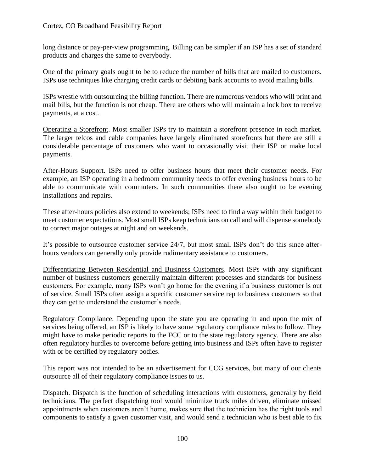long distance or pay-per-view programming. Billing can be simpler if an ISP has a set of standard products and charges the same to everybody.

One of the primary goals ought to be to reduce the number of bills that are mailed to customers. ISPs use techniques like charging credit cards or debiting bank accounts to avoid mailing bills.

ISPs wrestle with outsourcing the billing function. There are numerous vendors who will print and mail bills, but the function is not cheap. There are others who will maintain a lock box to receive payments, at a cost.

Operating a Storefront. Most smaller ISPs try to maintain a storefront presence in each market. The larger telcos and cable companies have largely eliminated storefronts but there are still a considerable percentage of customers who want to occasionally visit their ISP or make local payments.

After-Hours Support. ISPs need to offer business hours that meet their customer needs. For example, an ISP operating in a bedroom community needs to offer evening business hours to be able to communicate with commuters. In such communities there also ought to be evening installations and repairs.

These after-hours policies also extend to weekends; ISPs need to find a way within their budget to meet customer expectations. Most small ISPs keep technicians on call and will dispense somebody to correct major outages at night and on weekends.

It's possible to outsource customer service 24/7, but most small ISPs don't do this since afterhours vendors can generally only provide rudimentary assistance to customers.

Differentiating Between Residential and Business Customers. Most ISPs with any significant number of business customers generally maintain different processes and standards for business customers. For example, many ISPs won't go home for the evening if a business customer is out of service. Small ISPs often assign a specific customer service rep to business customers so that they can get to understand the customer's needs.

Regulatory Compliance. Depending upon the state you are operating in and upon the mix of services being offered, an ISP is likely to have some regulatory compliance rules to follow. They might have to make periodic reports to the FCC or to the state regulatory agency. There are also often regulatory hurdles to overcome before getting into business and ISPs often have to register with or be certified by regulatory bodies.

This report was not intended to be an advertisement for CCG services, but many of our clients outsource all of their regulatory compliance issues to us.

Dispatch. Dispatch is the function of scheduling interactions with customers, generally by field technicians. The perfect dispatching tool would minimize truck miles driven, eliminate missed appointments when customers aren't home, makes sure that the technician has the right tools and components to satisfy a given customer visit, and would send a technician who is best able to fix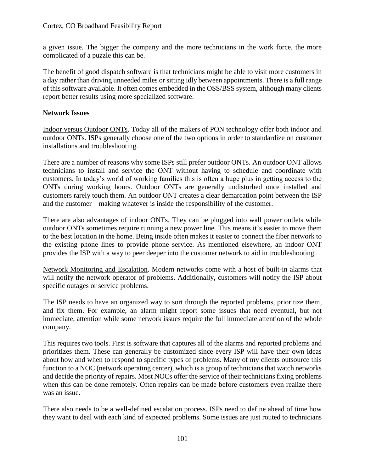a given issue. The bigger the company and the more technicians in the work force, the more complicated of a puzzle this can be.

The benefit of good dispatch software is that technicians might be able to visit more customers in a day rather than driving unneeded miles or sitting idly between appointments. There is a full range of this software available. It often comes embedded in the OSS/BSS system, although many clients report better results using more specialized software.

# **Network Issues**

Indoor versus Outdoor ONTs. Today all of the makers of PON technology offer both indoor and outdoor ONTs. ISPs generally choose one of the two options in order to standardize on customer installations and troubleshooting.

There are a number of reasons why some ISPs still prefer outdoor ONTs. An outdoor ONT allows technicians to install and service the ONT without having to schedule and coordinate with customers. In today's world of working families this is often a huge plus in getting access to the ONTs during working hours. Outdoor ONTs are generally undisturbed once installed and customers rarely touch them. An outdoor ONT creates a clear demarcation point between the ISP and the customer—making whatever is inside the responsibility of the customer.

There are also advantages of indoor ONTs. They can be plugged into wall power outlets while outdoor ONTs sometimes require running a new power line. This means it's easier to move them to the best location in the home. Being inside often makes it easier to connect the fiber network to the existing phone lines to provide phone service. As mentioned elsewhere, an indoor ONT provides the ISP with a way to peer deeper into the customer network to aid in troubleshooting.

Network Monitoring and Escalation. Modern networks come with a host of built-in alarms that will notify the network operator of problems. Additionally, customers will notify the ISP about specific outages or service problems.

The ISP needs to have an organized way to sort through the reported problems, prioritize them, and fix them. For example, an alarm might report some issues that need eventual, but not immediate, attention while some network issues require the full immediate attention of the whole company.

This requires two tools. First is software that captures all of the alarms and reported problems and prioritizes them. These can generally be customized since every ISP will have their own ideas about how and when to respond to specific types of problems. Many of my clients outsource this function to a NOC (network operating center), which is a group of technicians that watch networks and decide the priority of repairs. Most NOCs offer the service of their technicians fixing problems when this can be done remotely. Often repairs can be made before customers even realize there was an issue.

There also needs to be a well-defined escalation process. ISPs need to define ahead of time how they want to deal with each kind of expected problems. Some issues are just routed to technicians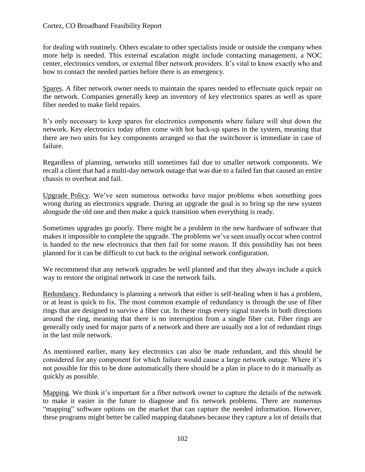for dealing with routinely. Others escalate to other specialists inside or outside the company when more help is needed. This external escalation might include contacting management, a NOC center, electronics vendors, or external fiber network providers. It's vital to know exactly who and how to contact the needed parties before there is an emergency.

Spares. A fiber network owner needs to maintain the spares needed to effectuate quick repair on the network. Companies generally keep an inventory of key electronics spares as well as spare fiber needed to make field repairs.

It's only necessary to keep spares for electronics components where failure will shut down the network. Key electronics today often come with hot back-up spares in the system, meaning that there are two units for key components arranged so that the switchover is immediate in case of failure.

Regardless of planning, networks still sometimes fail due to smaller network components. We recall a client that had a multi-day network outage that was due to a failed fan that caused an entire chassis to overheat and fail.

Upgrade Policy. We've seen numerous networks have major problems when something goes wrong during an electronics upgrade. During an upgrade the goal is to bring up the new system alongside the old one and then make a quick transition when everything is ready.

Sometimes upgrades go poorly. There might be a problem in the new hardware of software that makes it impossible to complete the upgrade. The problems we've seen usually occur when control is handed to the new electronics that then fail for some reason. If this possibility has not been planned for it can be difficult to cut back to the original network configuration.

We recommend that any network upgrades be well planned and that they always include a quick way to restore the original network in case the network fails.

Redundancy. Redundancy is planning a network that either is self-healing when it has a problem, or at least is quick to fix. The most common example of redundancy is through the use of fiber rings that are designed to survive a fiber cut. In these rings every signal travels in both directions around the ring, meaning that there is no interruption from a single fiber cut. Fiber rings are generally only used for major parts of a network and there are usually not a lot of redundant rings in the last mile network.

As mentioned earlier, many key electronics can also be made redundant, and this should be considered for any component for which failure would cause a large network outage. Where it's not possible for this to be done automatically there should be a plan in place to do it manually as quickly as possible.

Mapping. We think it's important for a fiber network owner to capture the details of the network to make it easier in the future to diagnose and fix network problems. There are numerous "mapping" software options on the market that can capture the needed information. However, these programs might better be called mapping databases because they capture a lot of details that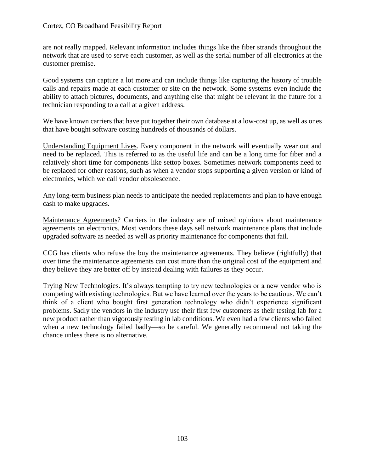are not really mapped. Relevant information includes things like the fiber strands throughout the network that are used to serve each customer, as well as the serial number of all electronics at the customer premise.

Good systems can capture a lot more and can include things like capturing the history of trouble calls and repairs made at each customer or site on the network. Some systems even include the ability to attach pictures, documents, and anything else that might be relevant in the future for a technician responding to a call at a given address.

We have known carriers that have put together their own database at a low-cost up, as well as ones that have bought software costing hundreds of thousands of dollars.

Understanding Equipment Lives. Every component in the network will eventually wear out and need to be replaced. This is referred to as the useful life and can be a long time for fiber and a relatively short time for components like settop boxes. Sometimes network components need to be replaced for other reasons, such as when a vendor stops supporting a given version or kind of electronics, which we call vendor obsolescence.

Any long-term business plan needs to anticipate the needed replacements and plan to have enough cash to make upgrades.

Maintenance Agreements? Carriers in the industry are of mixed opinions about maintenance agreements on electronics. Most vendors these days sell network maintenance plans that include upgraded software as needed as well as priority maintenance for components that fail.

CCG has clients who refuse the buy the maintenance agreements. They believe (rightfully) that over time the maintenance agreements can cost more than the original cost of the equipment and they believe they are better off by instead dealing with failures as they occur.

Trying New Technologies. It's always tempting to try new technologies or a new vendor who is competing with existing technologies. But we have learned over the years to be cautious. We can't think of a client who bought first generation technology who didn't experience significant problems. Sadly the vendors in the industry use their first few customers as their testing lab for a new product rather than vigorously testing in lab conditions. We even had a few clients who failed when a new technology failed badly—so be careful. We generally recommend not taking the chance unless there is no alternative.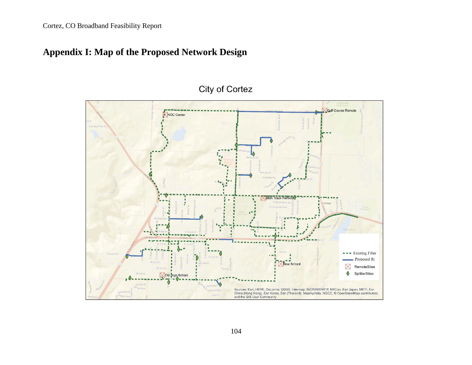# **Appendix I: Map of the Proposed Network Design**



# City of Cortez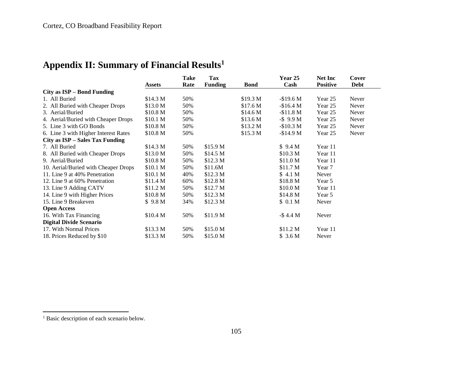# **Appendix II: Summary of Financial Results<sup>1</sup>**

|                                      |                     | Take | Tax                 |             | Year 25             | <b>Net Inc</b>  | Cover       |
|--------------------------------------|---------------------|------|---------------------|-------------|---------------------|-----------------|-------------|
|                                      | Assets              | Rate | <b>Funding</b>      | <b>Bond</b> | Cash                | <b>Positive</b> | <b>Debt</b> |
| City as ISP – Bond Funding           |                     |      |                     |             |                     |                 |             |
| 1. All Buried                        | \$14.3 M            | 50%  |                     | \$19.3 M    | $-$19.6 M$          | Year 25         | Never       |
| 2. All Buried with Cheaper Drops     | \$13.0 M            | 50%  |                     | \$17.6 M    | $-$16.4 M$          | Year 25         | Never       |
| 3. Aerial/Buried                     | \$10.8 M            | 50%  |                     | \$14.6 M    | $-$11.8 M$          | Year 25         | Never       |
| 4. Aerial/Buried with Cheaper Drops  | \$10.1 M            | 50%  |                     | \$13.6 M    | $-$ \$ 9.9 M        | Year 25         | Never       |
| 5. Line 3 with GO Bonds              | \$10.8 <sub>M</sub> | 50%  |                     | \$13.2 M    | $-$10.3 M$          | Year 25         | Never       |
| 6. Line 3 with Higher Interest Rates | \$10.8 <sub>M</sub> | 50%  |                     | \$15.3 M    | $-$14.9 M$          | Year 25         | Never       |
| City as ISP – Sales Tax Funding      |                     |      |                     |             |                     |                 |             |
| 7. All Buried                        | \$14.3 M            | 50%  | \$15.9 <sub>M</sub> |             | \$9.4 M             | Year 11         |             |
| 8. All Buried with Cheaper Drops     | \$13.0 M            | 50%  | \$14.5 M            |             | \$10.3 M            | Year 11         |             |
| 9. Aerial/Buried                     | \$10.8 <sub>M</sub> | 50%  | \$12.3 M            |             | \$11.0 <sub>M</sub> | Year 11         |             |
| 10. Aerial/Buried with Cheaper Drops | \$10.1 M            | 50%  | \$11.6M             |             | \$11.7 <sub>M</sub> | Year 7          |             |
| 11. Line 9 at 40% Penetration        | \$10.1 <sub>M</sub> | 40%  | \$12.3 M            |             | \$4.1 <sub>M</sub>  | Never           |             |
| 12. Line 9 at 60% Penetration        | \$11.4 M            | 60%  | \$12.8 <sub>M</sub> |             | \$18.8 M            | Year 5          |             |
| 13. Line 9 Adding CATV               | \$11.2 M            | 50%  | \$12.7 <sub>M</sub> |             | \$10.0 <sub>M</sub> | Year 11         |             |
| 14. Line 9 with Higher Prices        | \$10.8 M            | 50%  | \$12.3 M            |             | \$14.8 <sub>M</sub> | Year 5          |             |
| 15. Line 9 Breakeven                 | \$9.8 <sub>M</sub>  | 34%  | \$12.3 M            |             | \$0.1 <sub>M</sub>  | Never           |             |
| <b>Open Access</b>                   |                     |      |                     |             |                     |                 |             |
| 16. With Tax Financing               | \$10.4 M            | 50%  | \$11.9 <sub>M</sub> |             | $-$4.4 M$           | Never           |             |
| <b>Digital Divide Scenario</b>       |                     |      |                     |             |                     |                 |             |
| 17. With Normal Prices               | \$13.3 M            | 50%  | \$15.0 M            |             | \$11.2 M            | Year 11         |             |
| 18. Prices Reduced by \$10           | \$13.3 M            | 50%  | \$15.0 M            |             | \$3.6 M             | Never           |             |

 $\overline{\phantom{a}}$ 

<sup>&</sup>lt;sup>1</sup> Basic description of each scenario below.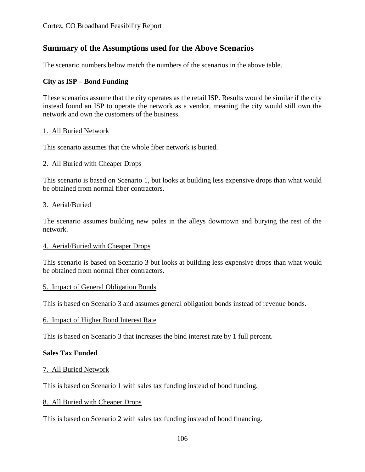# **Summary of the Assumptions used for the Above Scenarios**

The scenario numbers below match the numbers of the scenarios in the above table.

# **City as ISP – Bond Funding**

These scenarios assume that the city operates as the retail ISP. Results would be similar if the city instead found an ISP to operate the network as a vendor, meaning the city would still own the network and own the customers of the business.

#### 1. All Buried Network

This scenario assumes that the whole fiber network is buried.

#### 2. All Buried with Cheaper Drops

This scenario is based on Scenario 1, but looks at building less expensive drops than what would be obtained from normal fiber contractors.

#### 3. Aerial/Buried

The scenario assumes building new poles in the alleys downtown and burying the rest of the network.

#### 4. Aerial/Buried with Cheaper Drops

This scenario is based on Scenario 3 but looks at building less expensive drops than what would be obtained from normal fiber contractors.

#### 5. Impact of General Obligation Bonds

This is based on Scenario 3 and assumes general obligation bonds instead of revenue bonds.

#### 6. Impact of Higher Bond Interest Rate

This is based on Scenario 3 that increases the bind interest rate by 1 full percent.

#### **Sales Tax Funded**

#### 7. All Buried Network

This is based on Scenario 1 with sales tax funding instead of bond funding.

#### 8. All Buried with Cheaper Drops

This is based on Scenario 2 with sales tax funding instead of bond financing.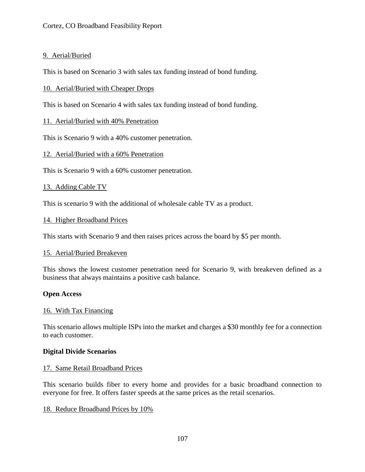# 9. Aerial/Buried

This is based on Scenario 3 with sales tax funding instead of bond funding.

# 10. Aerial/Buried with Cheaper Drops

This is based on Scenario 4 with sales tax funding instead of bond funding.

# 11. Aerial/Buried with 40% Penetration

This is Scenario 9 with a 40% customer penetration.

# 12. Aerial/Buried with a 60% Penetration

This is Scenario 9 with a 60% customer penetration.

# 13. Adding Cable TV

This is scenario 9 with the additional of wholesale cable TV as a product.

# 14. Higher Broadband Prices

This starts with Scenario 9 and then raises prices across the board by \$5 per month.

#### 15. Aerial/Buried Breakeven

This shows the lowest customer penetration need for Scenario 9, with breakeven defined as a business that always maintains a positive cash balance.

#### **Open Access**

#### 16. With Tax Financing

This scenario allows multiple ISPs into the market and charges a \$30 monthly fee for a connection to each customer.

#### **Digital Divide Scenarios**

#### 17. Same Retail Broadband Prices

This scenario builds fiber to every home and provides for a basic broadband connection to everyone for free. It offers faster speeds at the same prices as the retail scenarios.

# 18. Reduce Broadband Prices by 10%